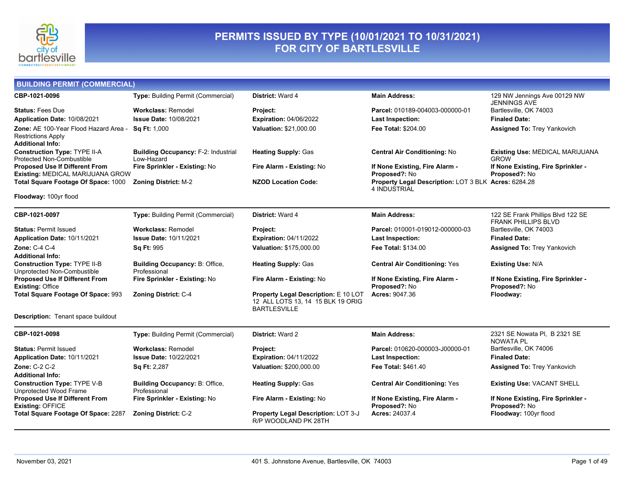

### **PERMITS ISSUED BY TYPE (10/01/2021 TO 10/31/2021) FOR CITY OF BARTLESVILLE**

| <b>BUILDING PERMIT (COMMERCIAL)</b>                                                           |                                                          |                                                                                                         |                                                                      |                                                                 |
|-----------------------------------------------------------------------------------------------|----------------------------------------------------------|---------------------------------------------------------------------------------------------------------|----------------------------------------------------------------------|-----------------------------------------------------------------|
| CBP-1021-0096                                                                                 | <b>Type: Building Permit (Commercial)</b>                | District: Ward 4                                                                                        | <b>Main Address:</b>                                                 | 129 NW Jennings Ave 00129 NW<br><b>JENNINGS AVE</b>             |
| <b>Status: Fees Due</b>                                                                       | <b>Workclass: Remodel</b>                                | Project:                                                                                                | Parcel: 010189-004003-000000-01                                      | Bartlesville, OK 74003                                          |
| Application Date: 10/08/2021                                                                  | <b>Issue Date: 10/08/2021</b>                            | <b>Expiration: 04/06/2022</b>                                                                           | <b>Last Inspection:</b>                                              | <b>Finaled Date:</b>                                            |
| Zone: AE 100-Year Flood Hazard Area -<br><b>Restrictions Apply</b><br><b>Additional Info:</b> | <b>Sq Ft: 1,000</b>                                      | Valuation: \$21,000.00                                                                                  | Fee Total: \$204.00                                                  | <b>Assigned To: Trey Yankovich</b>                              |
| <b>Construction Type: TYPE II-A</b><br>Protected Non-Combustible                              | <b>Building Occupancy: F-2: Industrial</b><br>Low-Hazard | <b>Heating Supply: Gas</b>                                                                              | <b>Central Air Conditioning: No</b>                                  | <b>Existing Use: MEDICAL MARIJUANA</b><br><b>GROW</b>           |
| <b>Proposed Use If Different From</b><br>Existing: MEDICAL MARIJUANA GROW                     | Fire Sprinkler - Existing: No                            | Fire Alarm - Existing: No                                                                               | If None Existing, Fire Alarm -<br>Proposed?: No                      | If None Existing, Fire Sprinkler -<br>Proposed?: No             |
| Total Square Footage Of Space: 1000                                                           | <b>Zoning District: M-2</b>                              | <b>NZOD Location Code:</b>                                                                              | Property Legal Description: LOT 3 BLK Acres: 6284.28<br>4 INDUSTRIAL |                                                                 |
| Floodway: 100yr flood                                                                         |                                                          |                                                                                                         |                                                                      |                                                                 |
| CBP-1021-0097                                                                                 | <b>Type: Building Permit (Commercial)</b>                | District: Ward 4                                                                                        | <b>Main Address:</b>                                                 | 122 SE Frank Phillips Blvd 122 SE<br><b>FRANK PHILLIPS BLVD</b> |
| <b>Status: Permit Issued</b>                                                                  | <b>Workclass: Remodel</b>                                | Project:                                                                                                | Parcel: 010001-019012-000000-03                                      | Bartlesville, OK 74003                                          |
| Application Date: 10/11/2021                                                                  | <b>Issue Date: 10/11/2021</b>                            | <b>Expiration: 04/11/2022</b>                                                                           | <b>Last Inspection:</b>                                              | <b>Finaled Date:</b>                                            |
| Zone: C-4 C-4<br><b>Additional Info:</b>                                                      | <b>Sq Ft: 995</b>                                        | Valuation: \$175,000.00                                                                                 | <b>Fee Total: \$134.00</b>                                           | <b>Assigned To: Trey Yankovich</b>                              |
| <b>Construction Type: TYPE II-B</b><br>Unprotected Non-Combustible                            | Building Occupancy: B: Office,<br>Professional           | <b>Heating Supply: Gas</b>                                                                              | <b>Central Air Conditioning: Yes</b>                                 | <b>Existing Use: N/A</b>                                        |
| <b>Proposed Use If Different From</b><br><b>Existing: Office</b>                              | Fire Sprinkler - Existing: No                            | Fire Alarm - Existing: No                                                                               | If None Existing, Fire Alarm -<br>Proposed?: No                      | If None Existing, Fire Sprinkler -<br>Proposed?: No             |
| Total Square Footage Of Space: 993                                                            | <b>Zoning District: C-4</b>                              | <b>Property Legal Description: E 10 LOT</b><br>12 ALL LOTS 13, 14 15 BLK 19 ORIG<br><b>BARTLESVILLE</b> | Acres: 9047.36                                                       | Floodway:                                                       |
| <b>Description:</b> Tenant space buildout                                                     |                                                          |                                                                                                         |                                                                      |                                                                 |
| CBP-1021-0098                                                                                 | Type: Building Permit (Commercial)                       | <b>District: Ward 2</b>                                                                                 | <b>Main Address:</b>                                                 | 2321 SE Nowata PI, B 2321 SE<br><b>NOWATA PL</b>                |
| <b>Status: Permit Issued</b>                                                                  | <b>Workclass: Remodel</b>                                | Project:                                                                                                | Parcel: 010620-000003-J00000-01                                      | Bartlesville, OK 74006                                          |
| Application Date: 10/11/2021                                                                  | Issue Date: 10/22/2021                                   | <b>Expiration: 04/11/2022</b>                                                                           | <b>Last Inspection:</b>                                              | <b>Finaled Date:</b>                                            |
| <b>Zone: C-2 C-2</b>                                                                          | Sa Ft: 2.287                                             | Valuation: \$200,000.00                                                                                 | <b>Fee Total: \$461.40</b>                                           | <b>Assigned To: Trey Yankovich</b>                              |

**Construction Type:** TYPE V-B

**Building Occupancy:** B: Office,

**Total Square Footage Of Space:** 2287 **Zoning District:** C-2 **Property Legal Description:** LOT 3-J

Professional

**Additional Info:**

**Existing:** OFFICE

**If None Existing, Fire Sprinkler -** 

**Proposed?:** No

**Acres:** 24037.4 **Floodway:** 100yr flood

**Fire Sprinkler - Existing:** No **Fire Alarm - Existing:** No **If None Existing, Fire Alarm -** 

R/P WOODLAND PK 28TH

**Heating Supply:** Gas **Central Air Conditioning:** Yes **Existing Use:** VACANT SHELL

**Proposed?:** No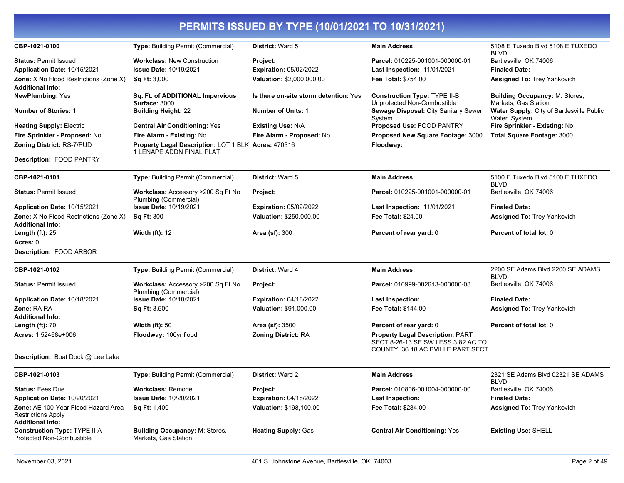| CBP-1021-0100                                                                                                                     | Type: Building Permit (Commercial)                                                         | District: Ward 5                                                       | <b>Main Address:</b>                                                                                                                          | 5108 E Tuxedo Blvd 5108 E TUXEDO<br><b>BLVD</b>                                      |
|-----------------------------------------------------------------------------------------------------------------------------------|--------------------------------------------------------------------------------------------|------------------------------------------------------------------------|-----------------------------------------------------------------------------------------------------------------------------------------------|--------------------------------------------------------------------------------------|
| <b>Status: Permit Issued</b><br>Application Date: 10/15/2021<br>Zone: X No Flood Restrictions (Zone X)<br><b>Additional Info:</b> | <b>Workclass: New Construction</b><br><b>Issue Date: 10/19/2021</b><br><b>Sq Ft: 3,000</b> | Project:<br><b>Expiration: 05/02/2022</b><br>Valuation: \$2,000,000.00 | Parcel: 010225-001001-000000-01<br><b>Last Inspection: 11/01/2021</b><br><b>Fee Total: \$754.00</b>                                           | Bartlesville, OK 74006<br><b>Finaled Date:</b><br><b>Assigned To: Trey Yankovich</b> |
| <b>NewPlumbing: Yes</b>                                                                                                           | Sq. Ft. of ADDITIONAL Impervious<br>Surface: 3000                                          | Is there on-site storm detention: Yes                                  | <b>Construction Type: TYPE II-B</b><br>Unprotected Non-Combustible                                                                            | <b>Building Occupancy: M: Stores,</b><br>Markets. Gas Station                        |
| <b>Number of Stories: 1</b>                                                                                                       | <b>Building Height: 22</b>                                                                 | <b>Number of Units: 1</b>                                              | Sewage Disposal: City Sanitary Sewer<br>System                                                                                                | Water Supply: City of Bartlesville Public<br>Water System                            |
| <b>Heating Supply: Electric</b>                                                                                                   | <b>Central Air Conditioning: Yes</b>                                                       | <b>Existing Use: N/A</b>                                               | <b>Proposed Use: FOOD PANTRY</b>                                                                                                              | Fire Sprinkler - Existing: No                                                        |
| Fire Sprinkler - Proposed: No                                                                                                     | Fire Alarm - Existing: No                                                                  | Fire Alarm - Proposed: No                                              | Proposed New Square Footage: 3000                                                                                                             | <b>Total Square Footage: 3000</b>                                                    |
| Zoning District: RS-7/PUD                                                                                                         | <b>Property Legal Description: LOT 1 BLK Acres: 470316</b><br>1 LENAPE ADDN FINAL PLAT     |                                                                        | Floodway:                                                                                                                                     |                                                                                      |
| <b>Description: FOOD PANTRY</b>                                                                                                   |                                                                                            |                                                                        |                                                                                                                                               |                                                                                      |
| CBP-1021-0101                                                                                                                     | Type: Building Permit (Commercial)                                                         | District: Ward 5                                                       | <b>Main Address:</b>                                                                                                                          | 5100 E Tuxedo Blvd 5100 E TUXEDO<br><b>BLVD</b>                                      |
| <b>Status: Permit Issued</b>                                                                                                      | Workclass: Accessory >200 Sq Ft No<br>Plumbing (Commercial)                                | Project:                                                               | Parcel: 010225-001001-000000-01                                                                                                               | Bartlesville, OK 74006                                                               |
| Application Date: 10/15/2021                                                                                                      | <b>Issue Date: 10/19/2021</b>                                                              | <b>Expiration: 05/02/2022</b>                                          | <b>Last Inspection: 11/01/2021</b>                                                                                                            | <b>Finaled Date:</b>                                                                 |
| Zone: X No Flood Restrictions (Zone X)<br><b>Additional Info:</b>                                                                 | <b>Sq Ft: 300</b>                                                                          | Valuation: \$250,000.00                                                | Fee Total: \$24.00                                                                                                                            | <b>Assigned To: Trey Yankovich</b>                                                   |
| Length $(ft)$ : 25                                                                                                                | <b>Width (ft): 12</b>                                                                      | <b>Area (sf): 300</b>                                                  | Percent of rear yard: 0                                                                                                                       | Percent of total lot: 0                                                              |
| Acres: 0<br>Description: FOOD ARBOR                                                                                               |                                                                                            |                                                                        |                                                                                                                                               |                                                                                      |
| CBP-1021-0102                                                                                                                     | Type: Building Permit (Commercial)                                                         | District: Ward 4                                                       | <b>Main Address:</b>                                                                                                                          | 2200 SE Adams Blvd 2200 SE ADAMS                                                     |
|                                                                                                                                   |                                                                                            |                                                                        |                                                                                                                                               | <b>BLVD</b>                                                                          |
| <b>Status: Permit Issued</b>                                                                                                      | Workclass: Accessory >200 Sq Ft No<br>Plumbing (Commercial)                                | Project:                                                               | Parcel: 010999-082613-003000-03                                                                                                               | Bartlesville, OK 74006                                                               |
| Application Date: 10/18/2021                                                                                                      | <b>Issue Date: 10/18/2021</b>                                                              | <b>Expiration: 04/18/2022</b>                                          | <b>Last Inspection:</b>                                                                                                                       | <b>Finaled Date:</b>                                                                 |
| Zone: RA RA                                                                                                                       | <b>Sq Ft: 3,500</b>                                                                        | Valuation: \$91,000.00                                                 | <b>Fee Total: \$144.00</b>                                                                                                                    | <b>Assigned To: Trey Yankovich</b>                                                   |
| <b>Additional Info:</b>                                                                                                           |                                                                                            |                                                                        |                                                                                                                                               |                                                                                      |
| Length $(ft)$ : 70<br>Acres: 1.52468e+006                                                                                         | Width $(ft)$ : 50<br>Floodway: 100yr flood                                                 | Area (sf): 3500<br><b>Zoning District: RA</b>                          | Percent of rear yard: 0<br><b>Property Legal Description: PART</b><br>SECT 8-26-13 SE SW LESS 3.82 AC TO<br>COUNTY: 36.18 AC BVILLE PART SECT | Percent of total lot: 0                                                              |
| <b>Description:</b> Boat Dock @ Lee Lake                                                                                          |                                                                                            |                                                                        |                                                                                                                                               |                                                                                      |
| CBP-1021-0103                                                                                                                     | Type: Building Permit (Commercial)                                                         | <b>District: Ward 2</b>                                                | <b>Main Address:</b>                                                                                                                          | 2321 SE Adams Blvd 02321 SE ADAMS<br><b>BLVD</b>                                     |
| <b>Status: Fees Due</b>                                                                                                           | <b>Workclass: Remodel</b>                                                                  | <b>Project:</b>                                                        | Parcel: 010806-001004-000000-00                                                                                                               | Bartlesville, OK 74006                                                               |
| Application Date: 10/20/2021                                                                                                      | <b>Issue Date: 10/20/2021</b>                                                              | <b>Expiration: 04/18/2022</b>                                          | <b>Last Inspection:</b>                                                                                                                       | <b>Finaled Date:</b>                                                                 |
| Zone: AE 100-Year Flood Hazard Area -<br><b>Restrictions Apply</b><br><b>Additional Info:</b>                                     | Sq Ft: 1,400                                                                               | Valuation: \$198,100.00                                                | Fee Total: \$284.00                                                                                                                           | <b>Assigned To: Trey Yankovich</b>                                                   |
| <b>Construction Type: TYPE II-A</b><br><b>Protected Non-Combustible</b>                                                           | <b>Building Occupancy: M: Stores,</b><br>Markets, Gas Station                              | <b>Heating Supply: Gas</b>                                             | <b>Central Air Conditioning: Yes</b>                                                                                                          | <b>Existing Use: SHELL</b>                                                           |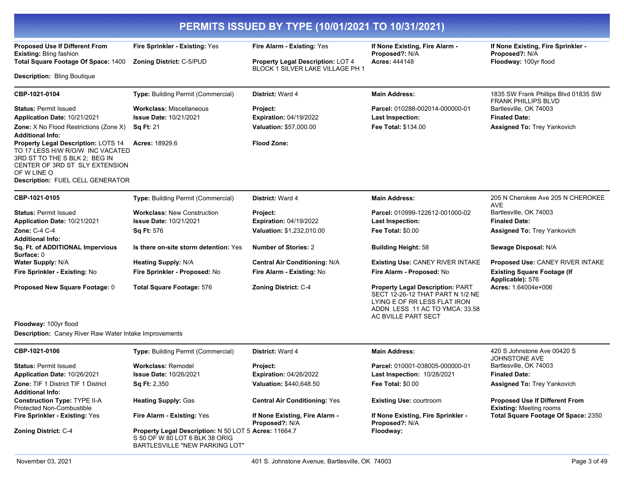|                                                                                                                                                                                               | PERMITS ISSUED BY TYPE (10/01/2021 TO 10/31/2021)                                                                         |                                                                       |                                                                                                                                                                      |                                                                         |  |  |
|-----------------------------------------------------------------------------------------------------------------------------------------------------------------------------------------------|---------------------------------------------------------------------------------------------------------------------------|-----------------------------------------------------------------------|----------------------------------------------------------------------------------------------------------------------------------------------------------------------|-------------------------------------------------------------------------|--|--|
| <b>Proposed Use If Different From</b><br><b>Existing: Bling fashion</b>                                                                                                                       | Fire Sprinkler - Existing: Yes                                                                                            | Fire Alarm - Existing: Yes                                            | If None Existing, Fire Alarm -<br>Proposed?: N/A                                                                                                                     | If None Existing, Fire Sprinkler -<br>Proposed?: N/A                    |  |  |
| Total Square Footage Of Space: 1400                                                                                                                                                           | Zoning District: C-5/PUD                                                                                                  | Property Legal Description: LOT 4<br>BLOCK 1 SILVER LAKE VILLAGE PH 1 | <b>Acres: 444148</b>                                                                                                                                                 | Floodway: 100yr flood                                                   |  |  |
| <b>Description: Bling Boutique</b>                                                                                                                                                            |                                                                                                                           |                                                                       |                                                                                                                                                                      |                                                                         |  |  |
| CBP-1021-0104                                                                                                                                                                                 | Type: Building Permit (Commercial)                                                                                        | District: Ward 4                                                      | <b>Main Address:</b>                                                                                                                                                 | 1835 SW Frank Phillips Blvd 01835 SW<br><b>FRANK PHILLIPS BLVD</b>      |  |  |
| <b>Status: Permit Issued</b>                                                                                                                                                                  | <b>Workclass: Miscellaneous</b>                                                                                           | Project:                                                              | Parcel: 010288-002014-000000-01                                                                                                                                      | Bartlesville, OK 74003                                                  |  |  |
| Application Date: 10/21/2021                                                                                                                                                                  | <b>Issue Date: 10/21/2021</b>                                                                                             | <b>Expiration: 04/19/2022</b><br>Valuation: \$57,000.00               | <b>Last Inspection:</b>                                                                                                                                              | <b>Finaled Date:</b>                                                    |  |  |
| Zone: X No Flood Restrictions (Zone X)<br><b>Additional Info:</b>                                                                                                                             | <b>Sq Ft: 21</b>                                                                                                          |                                                                       | Fee Total: \$134.00                                                                                                                                                  | Assigned To: Trey Yankovich                                             |  |  |
| Property Legal Description: LOTS 14<br>TO 17 LESS H/W R/O/W INC VACATED<br>3RD ST TO THE S BLK 2; BEG IN<br>CENTER OF 3RD ST SLY EXTENSION<br>OF W LINE O<br>Description: FUEL CELL GENERATOR | <b>Acres: 18929.6</b>                                                                                                     | <b>Flood Zone:</b>                                                    |                                                                                                                                                                      |                                                                         |  |  |
| CBP-1021-0105                                                                                                                                                                                 | Type: Building Permit (Commercial)                                                                                        | District: Ward 4                                                      | <b>Main Address:</b>                                                                                                                                                 | 205 N Cherokee Ave 205 N CHEROKEE<br><b>AVE</b>                         |  |  |
| <b>Status: Permit Issued</b>                                                                                                                                                                  | <b>Workclass: New Construction</b>                                                                                        | Project:                                                              | Parcel: 010999-122612-001000-02                                                                                                                                      | Bartlesville, OK 74003                                                  |  |  |
| Application Date: 10/21/2021                                                                                                                                                                  | <b>Issue Date: 10/21/2021</b>                                                                                             | <b>Expiration: 04/19/2022</b>                                         | <b>Last Inspection:</b>                                                                                                                                              | <b>Finaled Date:</b>                                                    |  |  |
| <b>Zone: C-4 C-4</b>                                                                                                                                                                          | Sq Ft: 576                                                                                                                | Valuation: \$1,232,010.00                                             | Fee Total: \$0.00                                                                                                                                                    | Assigned To: Trey Yankovich                                             |  |  |
| <b>Additional Info:</b><br>Sq. Ft. of ADDITIONAL Impervious<br>Surface: 0                                                                                                                     | Is there on-site storm detention: Yes                                                                                     | <b>Number of Stories: 2</b>                                           | <b>Building Height: 58</b>                                                                                                                                           | Sewage Disposal: N/A                                                    |  |  |
| <b>Water Supply: N/A</b>                                                                                                                                                                      | <b>Heating Supply: N/A</b>                                                                                                | <b>Central Air Conditioning: N/A</b>                                  | Existing Use: CANEY RIVER INTAKE                                                                                                                                     | Proposed Use: CANEY RIVER INTAKE                                        |  |  |
| Fire Sprinkler - Existing: No                                                                                                                                                                 | Fire Sprinkler - Proposed: No                                                                                             | Fire Alarm - Existing: No                                             | Fire Alarm - Proposed: No                                                                                                                                            | <b>Existing Square Footage (If</b><br>Applicable): 576                  |  |  |
| Proposed New Square Footage: 0                                                                                                                                                                | <b>Total Square Footage: 576</b>                                                                                          | <b>Zoning District: C-4</b>                                           | <b>Property Legal Description: PART</b><br>SECT 12-26-12 THAT PART N 1/2 NE<br>LYING E OF RR LESS FLAT IRON<br>ADDN LESS 11 AC TO YMCA: 33.58<br>AC BVILLE PART SECT | Acres: 1.64004e+006                                                     |  |  |
| Floodway: 100yr flood<br><b>Description:</b> Caney River Raw Water Intake Improvements                                                                                                        |                                                                                                                           |                                                                       |                                                                                                                                                                      |                                                                         |  |  |
| CBP-1021-0106                                                                                                                                                                                 | <b>Type: Building Permit (Commercial)</b>                                                                                 | District: Ward 4                                                      | <b>Main Address:</b>                                                                                                                                                 | 420 S Johnstone Ave 00420 S<br><b>JOHNSTONE AVE</b>                     |  |  |
| <b>Status: Permit Issued</b>                                                                                                                                                                  | <b>Workclass: Remodel</b>                                                                                                 | <b>Project:</b>                                                       | Parcel: 010001-038005-000000-01                                                                                                                                      | Bartlesville, OK 74003                                                  |  |  |
| Application Date: 10/26/2021                                                                                                                                                                  | <b>Issue Date: 10/26/2021</b>                                                                                             | <b>Expiration: 04/26/2022</b>                                         | Last Inspection: 10/28/2021                                                                                                                                          | <b>Finaled Date:</b>                                                    |  |  |
| Zone: TIF 1 District TIF 1 District<br><b>Additional Info:</b>                                                                                                                                | <b>Sq Ft: 2,350</b>                                                                                                       | <b>Valuation: \$440,648.50</b>                                        | Fee Total: \$0.00                                                                                                                                                    | Assigned To: Trey Yankovich                                             |  |  |
| <b>Construction Type: TYPE II-A</b><br>Protected Non-Combustible                                                                                                                              | <b>Heating Supply: Gas</b>                                                                                                | <b>Central Air Conditioning: Yes</b>                                  | <b>Existing Use: courtroom</b>                                                                                                                                       | <b>Proposed Use If Different From</b><br><b>Existing: Meeting rooms</b> |  |  |
| Fire Sprinkler - Existing: Yes                                                                                                                                                                | Fire Alarm - Existing: Yes                                                                                                | If None Existing, Fire Alarm -<br><b>Proposed?: N/A</b>               | If None Existing, Fire Sprinkler -<br><b>Proposed?: N/A</b>                                                                                                          | Total Square Footage Of Space: 2350                                     |  |  |
| Zoning District: C-4                                                                                                                                                                          | Property Legal Description: N 50 LOT 5 Acres: 11664.7<br>S 50 OF W 80 LOT 6 BLK 38 ORIG<br>BARTLESVILLE "NEW PARKING LOT" |                                                                       | Floodway:                                                                                                                                                            |                                                                         |  |  |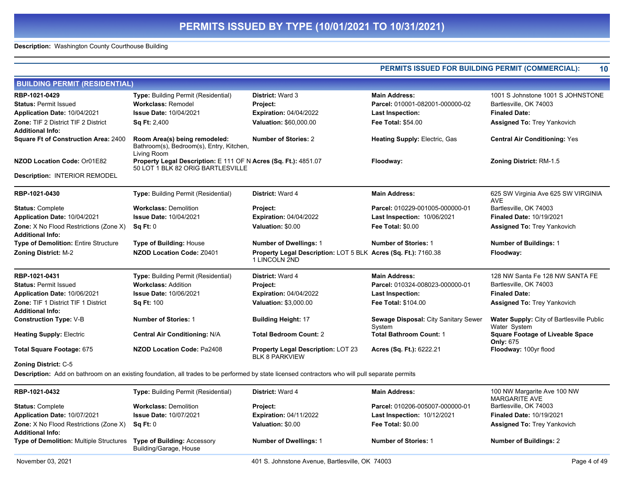**Description:** Washington County Courthouse Building

|                                                                   |                                                                                                                                                 |                                                                                 | PERMITS ISSUED FOR BUILDING PERMIT (COMMERCIAL):      | 10                                                               |
|-------------------------------------------------------------------|-------------------------------------------------------------------------------------------------------------------------------------------------|---------------------------------------------------------------------------------|-------------------------------------------------------|------------------------------------------------------------------|
| <b>BUILDING PERMIT (RESIDENTIAL)</b>                              |                                                                                                                                                 |                                                                                 |                                                       |                                                                  |
| RBP-1021-0429                                                     | Type: Building Permit (Residential)                                                                                                             | <b>District: Ward 3</b>                                                         | <b>Main Address:</b>                                  | 1001 S Johnstone 1001 S JOHNSTONE                                |
| <b>Status: Permit Issued</b>                                      | <b>Workclass: Remodel</b>                                                                                                                       | <b>Project:</b>                                                                 | Parcel: 010001-082001-000000-02                       | Bartlesville, OK 74003                                           |
| Application Date: 10/04/2021                                      | <b>Issue Date: 10/04/2021</b>                                                                                                                   | <b>Expiration: 04/04/2022</b>                                                   | <b>Last Inspection:</b>                               | <b>Finaled Date:</b>                                             |
| <b>Zone: TIF 2 District TIF 2 District</b>                        | <b>Sq Ft: 2,400</b>                                                                                                                             | Valuation: \$60,000.00                                                          | <b>Fee Total: \$54.00</b>                             | <b>Assigned To: Trey Yankovich</b>                               |
| <b>Additional Info:</b>                                           |                                                                                                                                                 |                                                                                 |                                                       |                                                                  |
| <b>Square Ft of Construction Area: 2400</b>                       | Room Area(s) being remodeled:<br>Bathroom(s), Bedroom(s), Entry, Kitchen,<br>Living Room                                                        | <b>Number of Stories: 2</b>                                                     | <b>Heating Supply: Electric, Gas.</b>                 | <b>Central Air Conditioning: Yes</b>                             |
| NZOD Location Code: Or01E82                                       | Property Legal Description: E 111 OF N Acres (Sq. Ft.): 4851.07<br>50 LOT 1 BLK 82 ORIG BARTLESVILLE                                            |                                                                                 | Floodway:                                             | <b>Zoning District: RM-1.5</b>                                   |
| <b>Description: INTERIOR REMODEL</b>                              |                                                                                                                                                 |                                                                                 |                                                       |                                                                  |
| RBP-1021-0430                                                     | Type: Building Permit (Residential)                                                                                                             | District: Ward 4                                                                | <b>Main Address:</b>                                  | 625 SW Virginia Ave 625 SW VIRGINIA<br><b>AVE</b>                |
| <b>Status: Complete</b>                                           | <b>Workclass: Demolition</b>                                                                                                                    | Project:                                                                        | Parcel: 010229-001005-000000-01                       | Bartlesville, OK 74003                                           |
| Application Date: 10/04/2021                                      | <b>Issue Date: 10/04/2021</b>                                                                                                                   | <b>Expiration: 04/04/2022</b>                                                   | <b>Last Inspection: 10/06/2021</b>                    | <b>Finaled Date: 10/19/2021</b>                                  |
| Zone: X No Flood Restrictions (Zone X)<br><b>Additional Info:</b> | Sq Ft: 0                                                                                                                                        | Valuation: \$0.00                                                               | Fee Total: \$0.00                                     | <b>Assigned To: Trey Yankovich</b>                               |
| <b>Type of Demolition: Entire Structure</b>                       | <b>Type of Building: House</b>                                                                                                                  | <b>Number of Dwellings: 1</b>                                                   | <b>Number of Stories: 1</b>                           | <b>Number of Buildings: 1</b>                                    |
| <b>Zoning District: M-2</b>                                       | NZOD Location Code: Z0401                                                                                                                       | Property Legal Description: LOT 5 BLK Acres (Sq. Ft.): 7160.38<br>1 LINCOLN 2ND |                                                       | Floodway:                                                        |
| RBP-1021-0431                                                     | Type: Building Permit (Residential)                                                                                                             | District: Ward 4                                                                | <b>Main Address:</b>                                  | 128 NW Santa Fe 128 NW SANTA FE                                  |
| <b>Status: Permit Issued</b>                                      | <b>Workclass: Addition</b>                                                                                                                      | Project:                                                                        | Parcel: 010324-008023-000000-01                       | Bartlesville, OK 74003                                           |
| Application Date: 10/06/2021                                      | <b>Issue Date: 10/06/2021</b>                                                                                                                   | <b>Expiration: 04/04/2022</b>                                                   | <b>Last Inspection:</b>                               | <b>Finaled Date:</b>                                             |
| Zone: TIF 1 District TIF 1 District<br><b>Additional Info:</b>    | <b>Sq Ft: 100</b>                                                                                                                               | <b>Valuation: \$3,000.00</b>                                                    | <b>Fee Total: \$104.00</b>                            | <b>Assigned To: Trey Yankovich</b>                               |
| <b>Construction Type: V-B</b>                                     | <b>Number of Stories: 1</b>                                                                                                                     | <b>Building Height: 17</b>                                                      | <b>Sewage Disposal: City Sanitary Sewer</b><br>System | <b>Water Supply: City of Bartlesville Public</b><br>Water System |
| <b>Heating Supply: Electric</b>                                   | Central Air Conditioning: N/A                                                                                                                   | <b>Total Bedroom Count: 2</b>                                                   | <b>Total Bathroom Count: 1</b>                        | <b>Square Footage of Liveable Space</b><br>Only: 675             |
| Total Square Footage: 675                                         | <b>NZOD Location Code: Pa2408</b>                                                                                                               | <b>Property Legal Description: LOT 23</b><br><b>BLK 8 PARKVIEW</b>              | <b>Acres (Sq. Ft.): 6222.21</b>                       | Floodway: 100yr flood                                            |
| <b>Zoning District: C-5</b>                                       |                                                                                                                                                 |                                                                                 |                                                       |                                                                  |
|                                                                   | Description: Add on bathroom on an existing foundation, all trades to be performed by state licensed contractors who will pull separate permits |                                                                                 |                                                       |                                                                  |
| RBP-1021-0432                                                     | Type: Building Permit (Residential)                                                                                                             | District: Ward 4                                                                | <b>Main Address:</b>                                  | 100 NW Margarite Ave 100 NW<br><b>MARGARITE AVE</b>              |
| <b>Status: Complete</b>                                           | <b>Workclass: Demolition</b>                                                                                                                    | Project:                                                                        | Parcel: 010206-005007-000000-01                       | Bartlesville, OK 74003                                           |
| Application Date: 10/07/2021                                      | <b>Issue Date: 10/07/2021</b>                                                                                                                   | <b>Expiration: 04/11/2022</b>                                                   | <b>Last Inspection: 10/12/2021</b>                    | Finaled Date: 10/19/2021                                         |
| Zone: X No Flood Restrictions (Zone X)<br><b>Additional Info:</b> | Sq Ft: 0                                                                                                                                        | Valuation: \$0.00                                                               | <b>Fee Total: \$0.00</b>                              | <b>Assigned To: Trey Yankovich</b>                               |
| <b>Type of Demolition: Multiple Structures</b>                    | <b>Type of Building: Accessory</b><br>Building/Garage, House                                                                                    | <b>Number of Dwellings: 1</b>                                                   | <b>Number of Stories: 1</b>                           | <b>Number of Buildings: 2</b>                                    |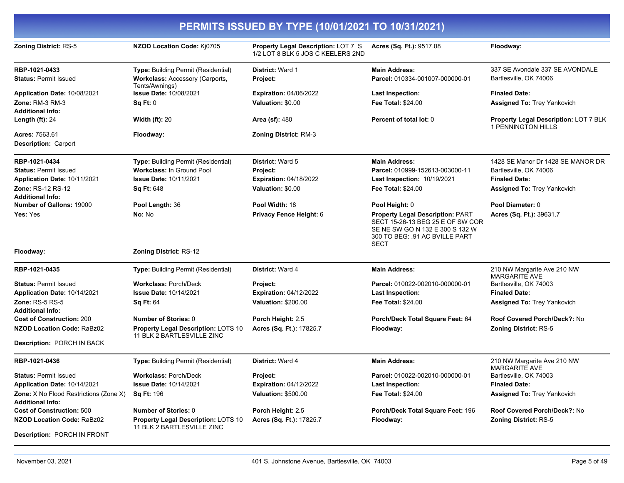| PERMITS ISSUED BY TYPE (10/01/2021 TO 10/31/2021)                                                                             |                                                                                                                        |                                                                                           |                                                                                                                                                          |                                                                                                                           |
|-------------------------------------------------------------------------------------------------------------------------------|------------------------------------------------------------------------------------------------------------------------|-------------------------------------------------------------------------------------------|----------------------------------------------------------------------------------------------------------------------------------------------------------|---------------------------------------------------------------------------------------------------------------------------|
| Zoning District: RS-5                                                                                                         | NZOD Location Code: Kj0705                                                                                             | Property Legal Description: LOT 7 S<br>1/2 LOT 8 BLK 5 JOS C KEELERS 2ND                  | Acres (Sq. Ft.): 9517.08                                                                                                                                 | Floodway:                                                                                                                 |
| RBP-1021-0433<br><b>Status: Permit Issued</b>                                                                                 | Type: Building Permit (Residential)<br>Workclass: Accessory (Carports,<br>Tents/Awnings)                               | <b>District: Ward 1</b><br>Project:                                                       | <b>Main Address:</b><br>Parcel: 010334-001007-000000-01                                                                                                  | 337 SE Avondale 337 SE AVONDALE<br>Bartlesville, OK 74006                                                                 |
| Application Date: 10/08/2021<br>Zone: RM-3 RM-3                                                                               | <b>Issue Date: 10/08/2021</b><br>Sq Ft: 0                                                                              | <b>Expiration: 04/06/2022</b><br>Valuation: \$0.00                                        | <b>Last Inspection:</b><br><b>Fee Total: \$24.00</b>                                                                                                     | <b>Finaled Date:</b><br><b>Assigned To: Trey Yankovich</b>                                                                |
| <b>Additional Info:</b><br>Length $(ft)$ : 24                                                                                 | <b>Width (ft): 20</b>                                                                                                  | <b>Area (sf): 480</b>                                                                     | Percent of total lot: 0                                                                                                                                  | Property Legal Description: LOT 7 BLK<br><b>1 PENNINGTON HILLS</b>                                                        |
| Acres: 7563.61<br><b>Description: Carport</b>                                                                                 | Floodway:                                                                                                              | <b>Zoning District: RM-3</b>                                                              |                                                                                                                                                          |                                                                                                                           |
| RBP-1021-0434<br><b>Status: Permit Issued</b><br>Application Date: 10/11/2021<br>Zone: RS-12 RS-12<br><b>Additional Info:</b> | Type: Building Permit (Residential)<br><b>Workclass: In Ground Pool</b><br><b>Issue Date: 10/11/2021</b><br>Sq Ft: 648 | <b>District: Ward 5</b><br>Project:<br><b>Expiration: 04/18/2022</b><br>Valuation: \$0.00 | <b>Main Address:</b><br>Parcel: 010999-152613-003000-11<br>Last Inspection: 10/19/2021<br>Fee Total: \$24.00                                             | 1428 SE Manor Dr 1428 SE MANOR DR<br>Bartlesville, OK 74006<br><b>Finaled Date:</b><br><b>Assigned To: Trey Yankovich</b> |
| <b>Number of Gallons: 19000</b>                                                                                               | Pool Length: 36                                                                                                        | Pool Width: 18                                                                            | Pool Height: 0                                                                                                                                           | Pool Diameter: 0                                                                                                          |
| Yes: Yes                                                                                                                      | No: No                                                                                                                 | Privacy Fence Height: 6                                                                   | <b>Property Legal Description: PART</b><br>SECT 15-26-13 BEG 25 E OF SW COR<br>SE NE SW GO N 132 E 300 S 132 W<br>300 TO BEG: .91 AC BVILLE PART<br>SECT | Acres (Sq. Ft.): 39631.7                                                                                                  |
| Floodway:                                                                                                                     | Zoning District: RS-12                                                                                                 |                                                                                           |                                                                                                                                                          |                                                                                                                           |
| RBP-1021-0435                                                                                                                 | <b>Type: Building Permit (Residential)</b>                                                                             | <b>District: Ward 4</b>                                                                   | <b>Main Address:</b>                                                                                                                                     | 210 NW Margarite Ave 210 NW<br><b>MARGARITE AVE</b>                                                                       |
| <b>Status: Permit Issued</b>                                                                                                  | <b>Workclass: Porch/Deck</b>                                                                                           | Project:                                                                                  | Parcel: 010022-002010-000000-01                                                                                                                          | Bartlesville, OK 74003                                                                                                    |
| Application Date: 10/14/2021<br>Zone: RS-5 RS-5<br><b>Additional Info:</b>                                                    | <b>Issue Date: 10/14/2021</b><br><b>Sq Ft: 64</b>                                                                      | <b>Expiration: 04/12/2022</b><br><b>Valuation: \$200.00</b>                               | <b>Last Inspection:</b><br>Fee Total: \$24.00                                                                                                            | <b>Finaled Date:</b><br><b>Assigned To: Trey Yankovich</b>                                                                |
| <b>Cost of Construction: 200</b>                                                                                              | <b>Number of Stories: 0</b>                                                                                            | Porch Height: 2.5                                                                         | Porch/Deck Total Square Feet: 64                                                                                                                         | Roof Covered Porch/Deck?: No                                                                                              |
| <b>NZOD Location Code: RaBz02</b>                                                                                             | <b>Property Legal Description: LOTS 10</b><br>11 BLK 2 BARTLESVILLE ZINC                                               | Acres (Sq. Ft.): 17825.7                                                                  | Floodway:                                                                                                                                                | <b>Zoning District: RS-5</b>                                                                                              |
| Description: PORCH IN BACK                                                                                                    |                                                                                                                        |                                                                                           |                                                                                                                                                          |                                                                                                                           |
| RBP-1021-0436                                                                                                                 | Type: Building Permit (Residential)                                                                                    | District: Ward 4                                                                          | <b>Main Address:</b>                                                                                                                                     | 210 NW Margarite Ave 210 NW<br><b>MARGARITE AVE</b>                                                                       |
| <b>Status: Permit Issued</b><br>Application Date: 10/14/2021                                                                  | <b>Workclass: Porch/Deck</b><br><b>Issue Date: 10/14/2021</b>                                                          | Project:<br><b>Expiration: 04/12/2022</b>                                                 | Parcel: 010022-002010-000000-01<br><b>Last Inspection:</b>                                                                                               | Bartlesville, OK 74003<br><b>Finaled Date:</b>                                                                            |
| <b>Zone:</b> X No Flood Restrictions (Zone X)<br><b>Additional Info:</b>                                                      | <b>Sq Ft: 196</b>                                                                                                      | <b>Valuation: \$500.00</b>                                                                | Fee Total: \$24.00                                                                                                                                       | Assigned To: Trey Yankovich                                                                                               |
| <b>Cost of Construction: 500</b>                                                                                              | <b>Number of Stories: 0</b>                                                                                            | Porch Height: 2.5                                                                         | Porch/Deck Total Square Feet: 196                                                                                                                        | Roof Covered Porch/Deck?: No                                                                                              |
| <b>NZOD Location Code: RaBz02</b>                                                                                             | <b>Property Legal Description: LOTS 10</b><br>11 BLK 2 BARTLESVILLE ZINC                                               | Acres (Sq. Ft.): 17825.7                                                                  | Floodway:                                                                                                                                                | <b>Zoning District: RS-5</b>                                                                                              |
| <b>Description: PORCH IN FRONT</b>                                                                                            |                                                                                                                        |                                                                                           |                                                                                                                                                          |                                                                                                                           |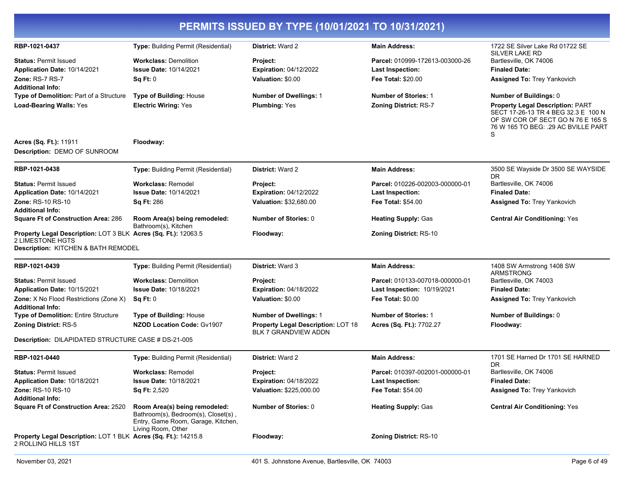|                                                                                                                                  |                                                                                                                                  | PERMITS ISSUED BY TYPE (10/01/2021 TO 10/31/2021)                 |                                 |                                                                                                                                                            |
|----------------------------------------------------------------------------------------------------------------------------------|----------------------------------------------------------------------------------------------------------------------------------|-------------------------------------------------------------------|---------------------------------|------------------------------------------------------------------------------------------------------------------------------------------------------------|
| RBP-1021-0437                                                                                                                    | Type: Building Permit (Residential)                                                                                              | <b>District: Ward 2</b>                                           | <b>Main Address:</b>            | 1722 SE Silver Lake Rd 01722 SE<br><b>SILVER LAKE RD</b>                                                                                                   |
| <b>Status: Permit Issued</b>                                                                                                     | <b>Workclass: Demolition</b>                                                                                                     | Project:                                                          | Parcel: 010999-172613-003000-26 | Bartlesville, OK 74006                                                                                                                                     |
| Application Date: 10/14/2021                                                                                                     | <b>Issue Date: 10/14/2021</b>                                                                                                    | <b>Expiration: 04/12/2022</b>                                     | <b>Last Inspection:</b>         | <b>Finaled Date:</b>                                                                                                                                       |
| <b>Zone: RS-7 RS-7</b><br><b>Additional Info:</b>                                                                                | Sq Ft: 0                                                                                                                         | Valuation: \$0.00                                                 | <b>Fee Total: \$20.00</b>       | Assigned To: Trey Yankovich                                                                                                                                |
| Type of Demolition: Part of a Structure                                                                                          | <b>Type of Building: House</b>                                                                                                   | <b>Number of Dwellings: 1</b>                                     | <b>Number of Stories: 1</b>     | Number of Buildings: 0                                                                                                                                     |
| <b>Load-Bearing Walls: Yes</b>                                                                                                   | <b>Electric Wiring: Yes</b>                                                                                                      | <b>Plumbing: Yes</b>                                              | <b>Zoning District: RS-7</b>    | <b>Property Legal Description: PART</b><br>SECT 17-26-13 TR 4 BEG 32.3 E 100 N<br>OF SW COR OF SECT GO N 76 E 165 S<br>76 W 165 TO BEG: .29 AC BVILLE PART |
| Acres (Sq. Ft.): 11911<br>Description: DEMO OF SUNROOM                                                                           | Floodway:                                                                                                                        |                                                                   |                                 |                                                                                                                                                            |
| RBP-1021-0438                                                                                                                    | <b>Type: Building Permit (Residential)</b>                                                                                       | <b>District: Ward 2</b>                                           | <b>Main Address:</b>            | 3500 SE Wayside Dr 3500 SE WAYSIDE<br>DR.                                                                                                                  |
| <b>Status: Permit Issued</b>                                                                                                     | <b>Workclass: Remodel</b>                                                                                                        | Project:                                                          | Parcel: 010226-002003-000000-01 | Bartlesville, OK 74006                                                                                                                                     |
| Application Date: 10/14/2021                                                                                                     | <b>Issue Date: 10/14/2021</b>                                                                                                    | <b>Expiration: 04/12/2022</b>                                     | <b>Last Inspection:</b>         | <b>Finaled Date:</b>                                                                                                                                       |
| Zone: RS-10 RS-10<br><b>Additional Info:</b>                                                                                     | <b>Sq Ft: 286</b>                                                                                                                | Valuation: \$32,680.00                                            | <b>Fee Total: \$54.00</b>       | <b>Assigned To: Trey Yankovich</b>                                                                                                                         |
| <b>Square Ft of Construction Area: 286</b>                                                                                       | Room Area(s) being remodeled:<br>Bathroom(s), Kitchen                                                                            | <b>Number of Stories: 0</b>                                       | <b>Heating Supply: Gas</b>      | <b>Central Air Conditioning: Yes</b>                                                                                                                       |
| Property Legal Description: LOT 3 BLK Acres (Sq. Ft.): 12063.5<br><b>2 LIMESTONE HGTS</b><br>Description: KITCHEN & BATH REMODEL |                                                                                                                                  | Floodway:                                                         | <b>Zoning District: RS-10</b>   |                                                                                                                                                            |
| RBP-1021-0439                                                                                                                    | <b>Type: Building Permit (Residential)</b>                                                                                       | <b>District: Ward 3</b>                                           | <b>Main Address:</b>            | 1408 SW Armstrong 1408 SW<br><b>ARMSTRONG</b>                                                                                                              |
| <b>Status: Permit Issued</b>                                                                                                     | <b>Workclass: Demolition</b>                                                                                                     | Project:                                                          | Parcel: 010133-007018-000000-01 | Bartlesville, OK 74003                                                                                                                                     |
| <b>Application Date: 10/15/2021</b>                                                                                              | <b>Issue Date: 10/18/2021</b>                                                                                                    | <b>Expiration: 04/18/2022</b>                                     | Last Inspection: 10/19/2021     | <b>Finaled Date:</b>                                                                                                                                       |
| Zone: X No Flood Restrictions (Zone X)<br><b>Additional Info:</b>                                                                | Sq Ft: 0                                                                                                                         | Valuation: \$0.00                                                 | <b>Fee Total: \$0.00</b>        | Assigned To: Trey Yankovich                                                                                                                                |
| <b>Type of Demolition: Entire Structure</b>                                                                                      | <b>Type of Building: House</b>                                                                                                   | <b>Number of Dwellings: 1</b>                                     | <b>Number of Stories: 1</b>     | Number of Buildings: 0                                                                                                                                     |
| Zoning District: RS-5                                                                                                            | <b>NZOD Location Code: Gv1907</b>                                                                                                | <b>Property Legal Description: LOT 18</b><br>BLK 7 GRANDVIEW ADDN | Acres (Sq. Ft.): 7702.27        | Floodway:                                                                                                                                                  |
| Description: DILAPIDATED STRUCTURE CASE # DS-21-005                                                                              |                                                                                                                                  |                                                                   |                                 |                                                                                                                                                            |
| RBP-1021-0440                                                                                                                    | <b>Type: Building Permit (Residential)</b>                                                                                       | <b>District: Ward 2</b>                                           | <b>Main Address:</b>            | 1701 SE Harned Dr 1701 SE HARNED<br><b>DR</b>                                                                                                              |
| <b>Status: Permit Issued</b>                                                                                                     | <b>Workclass: Remodel</b>                                                                                                        | <b>Project:</b>                                                   | Parcel: 010397-002001-000000-01 | Bartlesville, OK 74006                                                                                                                                     |
| Application Date: 10/18/2021                                                                                                     | <b>Issue Date: 10/18/2021</b>                                                                                                    | <b>Expiration: 04/18/2022</b>                                     | <b>Last Inspection:</b>         | <b>Finaled Date:</b>                                                                                                                                       |
| <b>Zone: RS-10 RS-10</b><br><b>Additional Info:</b>                                                                              | <b>Sq Ft: 2,520</b>                                                                                                              | Valuation: \$225,000.00                                           | Fee Total: \$54.00              | Assigned To: Trey Yankovich                                                                                                                                |
| <b>Square Ft of Construction Area: 2520</b>                                                                                      | Room Area(s) being remodeled:<br>Bathroom(s), Bedroom(s), Closet(s),<br>Entry, Game Room, Garage, Kitchen,<br>Living Room, Other | Number of Stories: 0                                              | <b>Heating Supply: Gas</b>      | <b>Central Air Conditioning: Yes</b>                                                                                                                       |
| Property Legal Description: LOT 1 BLK Acres (Sq. Ft.): 14215.8<br>2 ROLLING HILLS 1ST                                            |                                                                                                                                  | Floodway:                                                         | <b>Zoning District: RS-10</b>   |                                                                                                                                                            |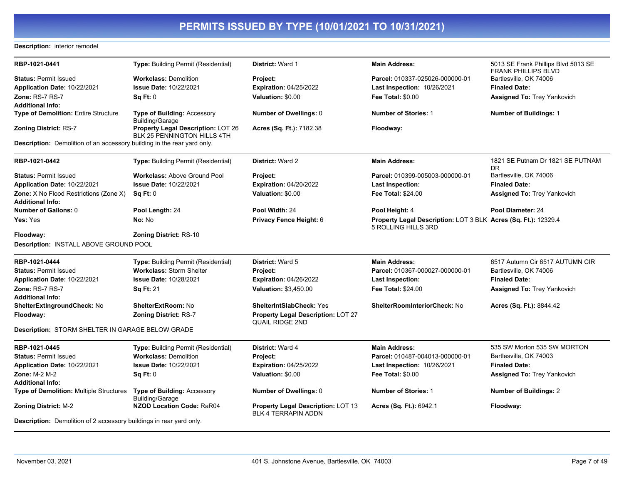### **Description:** interior remodel

| RBP-1021-0441                                                                  | Type: Building Permit (Residential)                               | District: Ward 1                                                    | <b>Main Address:</b>                                                                  | 5013 SE Frank Phillips Blvd 5013 SE<br><b>FRANK PHILLIPS BLVD</b> |
|--------------------------------------------------------------------------------|-------------------------------------------------------------------|---------------------------------------------------------------------|---------------------------------------------------------------------------------------|-------------------------------------------------------------------|
| <b>Status: Permit Issued</b>                                                   | <b>Workclass: Demolition</b>                                      | Project:                                                            | Parcel: 010337-025026-000000-01                                                       | Bartlesville, OK 74006                                            |
| Application Date: 10/22/2021                                                   | <b>Issue Date: 10/22/2021</b>                                     | <b>Expiration: 04/25/2022</b>                                       | <b>Last Inspection: 10/26/2021</b>                                                    | <b>Finaled Date:</b>                                              |
| <b>Zone: RS-7 RS-7</b>                                                         | Sq Ft: 0                                                          | Valuation: \$0.00                                                   | <b>Fee Total: \$0.00</b>                                                              | <b>Assigned To: Trey Yankovich</b>                                |
| Additional Info:                                                               |                                                                   |                                                                     |                                                                                       |                                                                   |
| <b>Type of Demolition: Entire Structure</b>                                    | <b>Type of Building: Accessory</b><br><b>Building/Garage</b>      | <b>Number of Dwellings: 0</b>                                       | <b>Number of Stories: 1</b>                                                           | <b>Number of Buildings: 1</b>                                     |
| <b>Zoning District: RS-7</b>                                                   | Property Legal Description: LOT 26<br>BLK 25 PENNINGTON HILLS 4TH | Acres (Sq. Ft.): 7182.38                                            | Floodway:                                                                             |                                                                   |
| <b>Description:</b> Demolition of an accessory building in the rear yard only. |                                                                   |                                                                     |                                                                                       |                                                                   |
| RBP-1021-0442                                                                  | Type: Building Permit (Residential)                               | District: Ward 2                                                    | <b>Main Address:</b>                                                                  | 1821 SE Putnam Dr 1821 SE PUTNAM<br>DR.                           |
| <b>Status: Permit Issued</b>                                                   | <b>Workclass: Above Ground Pool</b>                               | Project:                                                            | Parcel: 010399-005003-000000-01                                                       | Bartlesville, OK 74006                                            |
| Application Date: 10/22/2021                                                   | Issue Date: 10/22/2021                                            | <b>Expiration: 04/20/2022</b>                                       | Last Inspection:                                                                      | <b>Finaled Date:</b>                                              |
| Zone: X No Flood Restrictions (Zone X)<br>Additional Info:                     | Sq Ft: 0                                                          | Valuation: \$0.00                                                   | <b>Fee Total: \$24.00</b>                                                             | Assigned To: Trey Yankovich                                       |
| <b>Number of Gallons: 0</b>                                                    | Pool Length: 24                                                   | Pool Width: 24                                                      | Pool Height: 4                                                                        | Pool Diameter: 24                                                 |
| <b>Yes:</b> Yes                                                                | No: No                                                            | Privacy Fence Height: 6                                             | Property Legal Description: LOT 3 BLK Acres (Sq. Ft.): 12329.4<br>5 ROLLING HILLS 3RD |                                                                   |
| Floodway:                                                                      | <b>Zoning District: RS-10</b>                                     |                                                                     |                                                                                       |                                                                   |
| Description: INSTALL ABOVE GROUND POOL                                         |                                                                   |                                                                     |                                                                                       |                                                                   |
| RBP-1021-0444                                                                  | Type: Building Permit (Residential)                               | <b>District: Ward 5</b>                                             | <b>Main Address:</b>                                                                  | 6517 Autumn Cir 6517 AUTUMN CIR                                   |
| <b>Status: Permit Issued</b>                                                   | <b>Workclass: Storm Shelter</b>                                   | Project:                                                            | Parcel: 010367-000027-000000-01                                                       | Bartlesville, OK 74006                                            |
| Application Date: 10/22/2021                                                   | <b>Issue Date: 10/28/2021</b>                                     | <b>Expiration: 04/26/2022</b>                                       | Last Inspection:                                                                      | <b>Finaled Date:</b>                                              |
| Zone: RS-7 RS-7                                                                | <b>Sq Ft: 21</b>                                                  | <b>Valuation: \$3,450.00</b>                                        | <b>Fee Total: \$24.00</b>                                                             | <b>Assigned To: Trey Yankovich</b>                                |
| Additional Info:                                                               |                                                                   |                                                                     |                                                                                       |                                                                   |
| ShelterExtIngroundCheck: No                                                    | <b>ShelterExtRoom: No</b>                                         | <b>ShelterIntSlabCheck: Yes</b>                                     | <b>ShelterRoomInteriorCheck: No</b>                                                   | Acres (Sq. Ft.): 8844.42                                          |
| Floodway:                                                                      | <b>Zoning District: RS-7</b>                                      | <b>Property Legal Description: LOT 27</b><br><b>QUAIL RIDGE 2ND</b> |                                                                                       |                                                                   |
| Description: STORM SHELTER IN GARAGE BELOW GRADE                               |                                                                   |                                                                     |                                                                                       |                                                                   |
| RBP-1021-0445                                                                  | Type: Building Permit (Residential)                               | <b>District: Ward 4</b>                                             | <b>Main Address:</b>                                                                  | 535 SW Morton 535 SW MORTON                                       |
| <b>Status: Permit Issued</b>                                                   | <b>Workclass: Demolition</b>                                      | Project:                                                            | Parcel: 010487-004013-000000-01                                                       | Bartlesville, OK 74003                                            |
| Application Date: 10/22/2021                                                   | <b>Issue Date: 10/22/2021</b>                                     | <b>Expiration: 04/25/2022</b>                                       | Last Inspection: 10/26/2021                                                           | <b>Finaled Date:</b>                                              |
| <b>Zone: M-2 M-2</b><br>Additional Info:                                       | SqFt:0                                                            | Valuation: \$0.00                                                   | <b>Fee Total: \$0.00</b>                                                              | <b>Assigned To: Trey Yankovich</b>                                |
| Type of Demolition: Multiple Structures                                        | Type of Building: Accessory<br><b>Building/Garage</b>             | <b>Number of Dwellings: 0</b>                                       | <b>Number of Stories: 1</b>                                                           | <b>Number of Buildings: 2</b>                                     |
| Zoning District: M-2                                                           | <b>NZOD Location Code: RaR04</b>                                  | Property Legal Description: LOT 13<br><b>BLK 4 TERRAPIN ADDN</b>    | Acres (Sq. Ft.): 6942.1                                                               | Floodway:                                                         |
| <b>Description:</b> Demolition of 2 accessory buildings in rear yard only.     |                                                                   |                                                                     |                                                                                       |                                                                   |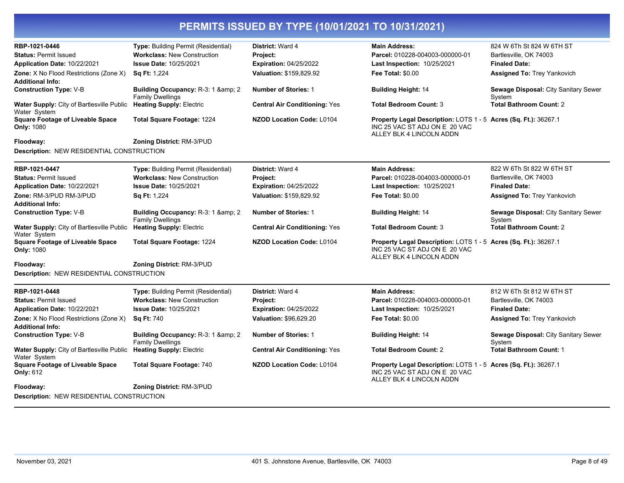| RBP-1021-0446                                                | Type: Building Permit (Residential)                            | <b>District: Ward 4</b>              | <b>Main Address:</b>                                                                                                         | 824 W 6Th St 824 W 6TH ST                      |
|--------------------------------------------------------------|----------------------------------------------------------------|--------------------------------------|------------------------------------------------------------------------------------------------------------------------------|------------------------------------------------|
| <b>Status: Permit Issued</b>                                 | <b>Workclass: New Construction</b>                             | Project:                             | Parcel: 010228-004003-000000-01                                                                                              | Bartlesville, OK 74003                         |
| Application Date: 10/22/2021                                 | <b>Issue Date: 10/25/2021</b>                                  | <b>Expiration: 04/25/2022</b>        | Last Inspection: 10/25/2021                                                                                                  | <b>Finaled Date:</b>                           |
| Zone: X No Flood Restrictions (Zone X)                       | <b>Sq Ft: 1,224</b>                                            | Valuation: \$159,829.92              | <b>Fee Total: \$0.00</b>                                                                                                     | <b>Assigned To: Trey Yankovich</b>             |
| <b>Additional Info:</b>                                      |                                                                |                                      |                                                                                                                              |                                                |
| <b>Construction Type: V-B</b>                                | Building Occupancy: R-3: 1 & amp: 2<br><b>Family Dwellings</b> | <b>Number of Stories: 1</b>          | <b>Building Height: 14</b>                                                                                                   | Sewage Disposal: City Sanitary Sewer<br>System |
| Water Supply: City of Bartlesville Public<br>Water System    | <b>Heating Supply: Electric</b>                                | <b>Central Air Conditioning: Yes</b> | <b>Total Bedroom Count: 3</b>                                                                                                | <b>Total Bathroom Count: 2</b>                 |
| <b>Square Footage of Liveable Space</b><br><b>Only: 1080</b> | Total Square Footage: 1224                                     | <b>NZOD Location Code: L0104</b>     | Property Legal Description: LOTS 1 - 5 Acres (Sq. Ft.): 36267.1<br>INC 25 VAC ST ADJ ON E 20 VAC<br>ALLEY BLK 4 LINCOLN ADDN |                                                |
| Floodway:                                                    | Zoning District: RM-3/PUD                                      |                                      |                                                                                                                              |                                                |
| Description: NEW RESIDENTIAL CONSTRUCTION                    |                                                                |                                      |                                                                                                                              |                                                |
| RBP-1021-0447                                                | Type: Building Permit (Residential)                            | District: Ward 4                     | <b>Main Address:</b>                                                                                                         | 822 W 6Th St 822 W 6TH ST                      |
| <b>Status: Permit Issued</b>                                 | <b>Workclass: New Construction</b>                             | Project:                             | Parcel: 010228-004003-000000-01                                                                                              | Bartlesville, OK 74003                         |
| Application Date: 10/22/2021                                 | <b>Issue Date: 10/25/2021</b>                                  | <b>Expiration: 04/25/2022</b>        | <b>Last Inspection: 10/25/2021</b>                                                                                           | <b>Finaled Date:</b>                           |
| Zone: RM-3/PUD RM-3/PUD                                      | <b>Sq Ft: 1,224</b>                                            | Valuation: \$159,829.92              | <b>Fee Total: \$0.00</b>                                                                                                     | <b>Assigned To: Trey Yankovich</b>             |
| <b>Additional Info:</b>                                      |                                                                |                                      |                                                                                                                              |                                                |
| <b>Construction Type: V-B</b>                                | Building Occupancy: R-3: 1 & amp; 2<br><b>Family Dwellings</b> | <b>Number of Stories: 1</b>          | <b>Building Height: 14</b>                                                                                                   | Sewage Disposal: City Sanitary Sewer<br>System |
| Water Supply: City of Bartlesville Public<br>Water System    | <b>Heating Supply: Electric</b>                                | <b>Central Air Conditioning: Yes</b> | <b>Total Bedroom Count: 3</b>                                                                                                | <b>Total Bathroom Count: 2</b>                 |
| <b>Square Footage of Liveable Space</b><br><b>Only: 1080</b> | Total Square Footage: 1224                                     | <b>NZOD Location Code: L0104</b>     | Property Legal Description: LOTS 1 - 5 Acres (Sq. Ft.): 36267.1<br>INC 25 VAC ST ADJ ON E 20 VAC<br>ALLEY BLK 4 LINCOLN ADDN |                                                |
| Floodway:                                                    | Zoning District: RM-3/PUD                                      |                                      |                                                                                                                              |                                                |
| Description: NEW RESIDENTIAL CONSTRUCTION                    |                                                                |                                      |                                                                                                                              |                                                |
| RBP-1021-0448                                                | <b>Type: Building Permit (Residential)</b>                     | <b>District: Ward 4</b>              | <b>Main Address:</b>                                                                                                         | 812 W 6Th St 812 W 6TH ST                      |
| <b>Status: Permit Issued</b>                                 | <b>Workclass: New Construction</b>                             | Project:                             | Parcel: 010228-004003-000000-01                                                                                              | Bartlesville, OK 74003                         |
| Application Date: 10/22/2021                                 | <b>Issue Date: 10/25/2021</b>                                  | <b>Expiration: 04/25/2022</b>        | Last Inspection: 10/25/2021                                                                                                  | <b>Finaled Date:</b>                           |
| Zone: X No Flood Restrictions (Zone X)                       | <b>Sq Ft: 740</b>                                              | Valuation: \$96,629.20               | <b>Fee Total: \$0.00</b>                                                                                                     | Assigned To: Trey Yankovich                    |
| <b>Additional Info:</b>                                      |                                                                |                                      |                                                                                                                              |                                                |
| <b>Construction Type: V-B</b>                                | Building Occupancy: R-3: 1 & amp; 2<br><b>Family Dwellings</b> | <b>Number of Stories: 1</b>          | <b>Building Height: 14</b>                                                                                                   | Sewage Disposal: City Sanitary Sewer<br>System |
| Water Supply: City of Bartlesville Public<br>Water System    | <b>Heating Supply: Electric</b>                                | <b>Central Air Conditioning: Yes</b> | <b>Total Bedroom Count: 2</b>                                                                                                | <b>Total Bathroom Count: 1</b>                 |
| <b>Square Footage of Liveable Space</b><br><b>Only: 612</b>  | <b>Total Square Footage: 740</b>                               | <b>NZOD Location Code: L0104</b>     | Property Legal Description: LOTS 1 - 5 Acres (Sq. Ft.): 36267.1<br>INC 25 VAC ST ADJ ON E 20 VAC<br>ALLEY BLK 4 LINCOLN ADDN |                                                |
| Floodway:                                                    | Zoning District: RM-3/PUD                                      |                                      |                                                                                                                              |                                                |
| Description: NEW RESIDENTIAL CONSTRUCTION                    |                                                                |                                      |                                                                                                                              |                                                |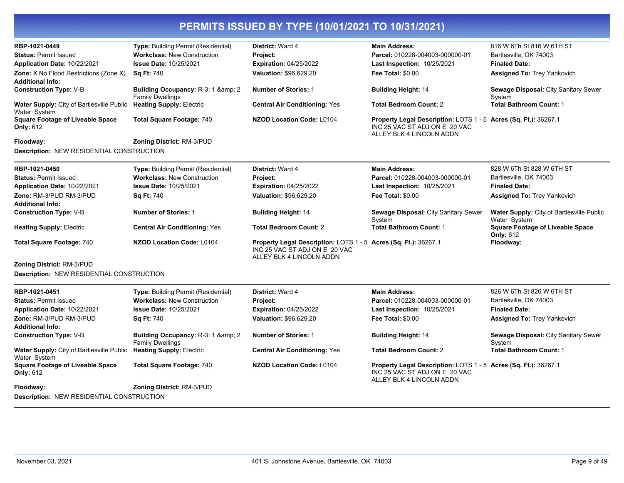| RBP-1021-0449                                               | Type: Building Permit (Residential)                            | District: Ward 4                                                                                                             | <b>Main Address:</b>                                                                                                         | 816 W 6Th St 816 W 6TH ST                                   |
|-------------------------------------------------------------|----------------------------------------------------------------|------------------------------------------------------------------------------------------------------------------------------|------------------------------------------------------------------------------------------------------------------------------|-------------------------------------------------------------|
| <b>Status: Permit Issued</b>                                | <b>Workclass: New Construction</b>                             | Project:                                                                                                                     | Parcel: 010228-004003-000000-01                                                                                              | Bartlesville, OK 74003                                      |
| Application Date: 10/22/2021                                | <b>Issue Date: 10/25/2021</b>                                  | <b>Expiration: 04/25/2022</b>                                                                                                | Last Inspection: 10/25/2021                                                                                                  | <b>Finaled Date:</b>                                        |
| Zone: X No Flood Restrictions (Zone X)                      | <b>Sq Ft: 740</b>                                              | Valuation: \$96,629.20                                                                                                       | <b>Fee Total: \$0.00</b>                                                                                                     | <b>Assigned To: Trey Yankovich</b>                          |
| <b>Additional Info:</b>                                     |                                                                |                                                                                                                              |                                                                                                                              |                                                             |
| <b>Construction Type: V-B</b>                               | Building Occupancy: R-3: 1 & amp; 2<br><b>Family Dwellings</b> | <b>Number of Stories: 1</b>                                                                                                  | <b>Building Height: 14</b>                                                                                                   | Sewage Disposal: City Sanitary Sewer<br>System              |
| Water Supply: City of Bartlesville Public<br>Water System   | <b>Heating Supply: Electric</b>                                | <b>Central Air Conditioning: Yes</b>                                                                                         | <b>Total Bedroom Count: 2</b>                                                                                                | <b>Total Bathroom Count: 1</b>                              |
| <b>Square Footage of Liveable Space</b><br><b>Only: 612</b> | <b>Total Square Footage: 740</b>                               | <b>NZOD Location Code: L0104</b>                                                                                             | Property Legal Description: LOTS 1 - 5 Acres (Sq. Ft.): 36267.1<br>INC 25 VAC ST ADJ ON E 20 VAC<br>ALLEY BLK 4 LINCOLN ADDN |                                                             |
| Floodway:                                                   | Zoning District: RM-3/PUD                                      |                                                                                                                              |                                                                                                                              |                                                             |
| <b>Description: NEW RESIDENTIAL CONSTRUCTION</b>            |                                                                |                                                                                                                              |                                                                                                                              |                                                             |
| RBP-1021-0450                                               | <b>Type: Building Permit (Residential)</b>                     | District: Ward 4                                                                                                             | <b>Main Address:</b>                                                                                                         | 828 W 6Th St 828 W 6TH ST                                   |
| <b>Status: Permit Issued</b>                                | <b>Workclass: New Construction</b>                             | Project:                                                                                                                     | Parcel: 010228-004003-000000-01                                                                                              | Bartlesville, OK 74003                                      |
| Application Date: 10/22/2021                                | <b>Issue Date: 10/25/2021</b>                                  | <b>Expiration: 04/25/2022</b>                                                                                                | <b>Last Inspection: 10/25/2021</b>                                                                                           | <b>Finaled Date:</b>                                        |
| Zone: RM-3/PUD RM-3/PUD                                     | <b>Sq Ft: 740</b>                                              | Valuation: \$96,629.20                                                                                                       | <b>Fee Total: \$0.00</b>                                                                                                     | Assigned To: Trey Yankovich                                 |
| Additional Info:                                            |                                                                |                                                                                                                              |                                                                                                                              |                                                             |
| <b>Construction Type: V-B</b>                               | <b>Number of Stories: 1</b>                                    | <b>Building Height: 14</b>                                                                                                   | Sewage Disposal: City Sanitary Sewer<br>System                                                                               | Water Supply: City of Bartlesville Public<br>Water System   |
| <b>Heating Supply: Electric</b>                             | <b>Central Air Conditioning: Yes</b>                           | <b>Total Bedroom Count: 2</b>                                                                                                | <b>Total Bathroom Count: 1</b>                                                                                               | <b>Square Footage of Liveable Space</b><br><b>Only: 612</b> |
| <b>Total Square Footage: 740</b>                            | <b>NZOD Location Code: L0104</b>                               | Property Legal Description: LOTS 1 - 5 Acres (Sq. Ft.): 36267.1<br>INC 25 VAC ST ADJ ON E 20 VAC<br>ALLEY BLK 4 LINCOLN ADDN |                                                                                                                              | Floodway:                                                   |
| Zoning District: RM-3/PUD                                   |                                                                |                                                                                                                              |                                                                                                                              |                                                             |
| Description: NEW RESIDENTIAL CONSTRUCTION                   |                                                                |                                                                                                                              |                                                                                                                              |                                                             |
| RBP-1021-0451                                               | Type: Building Permit (Residential)                            | District: Ward 4                                                                                                             | <b>Main Address:</b>                                                                                                         | 826 W 6Th St 826 W 6TH ST                                   |
| <b>Status: Permit Issued</b>                                | <b>Workclass: New Construction</b>                             | Project:                                                                                                                     | Parcel: 010228-004003-000000-01                                                                                              | Bartlesville, OK 74003                                      |
| Application Date: 10/22/2021                                | <b>Issue Date: 10/25/2021</b>                                  | <b>Expiration: 04/25/2022</b>                                                                                                | Last Inspection: 10/25/2021                                                                                                  | <b>Finaled Date:</b>                                        |
| Zone: RM-3/PUD RM-3/PUD                                     | <b>Sq Ft: 740</b>                                              | Valuation: \$96,629.20                                                                                                       | <b>Fee Total: \$0.00</b>                                                                                                     | <b>Assigned To: Trey Yankovich</b>                          |
| <b>Additional Info:</b>                                     |                                                                |                                                                                                                              |                                                                                                                              |                                                             |
| <b>Construction Type: V-B</b>                               | Building Occupancy: R-3: 1 & 2<br><b>Family Dwellings</b>      | <b>Number of Stories: 1</b>                                                                                                  | <b>Building Height: 14</b>                                                                                                   | Sewage Disposal: City Sanitary Sewer<br>System              |
| Water Supply: City of Bartlesville Public<br>Water System   | <b>Heating Supply: Electric</b>                                | <b>Central Air Conditioning: Yes</b>                                                                                         | <b>Total Bedroom Count: 2</b>                                                                                                | <b>Total Bathroom Count: 1</b>                              |
| <b>Square Footage of Liveable Space</b><br><b>Only: 612</b> | <b>Total Square Footage: 740</b>                               | <b>NZOD Location Code: L0104</b>                                                                                             | Property Legal Description: LOTS 1 - 5 Acres (Sq. Ft.): 36267.1<br>INC 25 VAC ST ADJ ON E 20 VAC<br>ALLEY BLK 4 LINCOLN ADDN |                                                             |
| Floodway:                                                   | Zoning District: RM-3/PUD                                      |                                                                                                                              |                                                                                                                              |                                                             |
| <b>Description: NEW RESIDENTIAL CONSTRUCTION</b>            |                                                                |                                                                                                                              |                                                                                                                              |                                                             |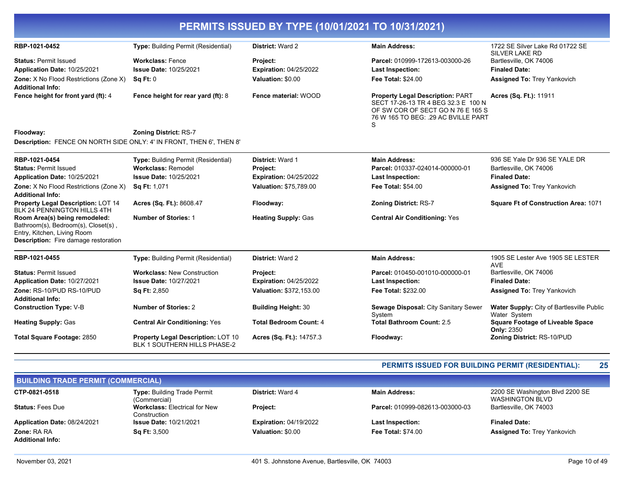| PERMITS ISSUED BY TYPE (10/01/2021 TO 10/31/2021)                                                                                                  |                                                                    |                               |                                                                                                                                                                  |                                                           |  |
|----------------------------------------------------------------------------------------------------------------------------------------------------|--------------------------------------------------------------------|-------------------------------|------------------------------------------------------------------------------------------------------------------------------------------------------------------|-----------------------------------------------------------|--|
| RBP-1021-0452                                                                                                                                      | <b>Type: Building Permit (Residential)</b>                         | <b>District: Ward 2</b>       | <b>Main Address:</b>                                                                                                                                             | 1722 SE Silver Lake Rd 01722 SE<br><b>SILVER LAKE RD</b>  |  |
| <b>Status: Permit Issued</b>                                                                                                                       | <b>Workclass: Fence</b>                                            | <b>Project:</b>               | Parcel: 010999-172613-003000-26                                                                                                                                  | Bartlesville, OK 74006                                    |  |
| Application Date: 10/25/2021                                                                                                                       | <b>Issue Date: 10/25/2021</b>                                      | <b>Expiration: 04/25/2022</b> | <b>Last Inspection:</b>                                                                                                                                          | <b>Finaled Date:</b>                                      |  |
| <b>Zone:</b> X No Flood Restrictions (Zone X)<br><b>Additional Info:</b>                                                                           | Sq Ft: 0                                                           | Valuation: \$0.00             | Fee Total: \$24.00                                                                                                                                               | <b>Assigned To: Trey Yankovich</b>                        |  |
| Fence height for front yard (ft): 4                                                                                                                | Fence height for rear yard (ft): 8                                 | Fence material: WOOD          | <b>Property Legal Description: PART</b><br>SECT 17-26-13 TR 4 BEG 32.3 E 100 N<br>OF SW COR OF SECT GO N 76 E 165 S<br>76 W 165 TO BEG: . 29 AC BVILLE PART<br>S | Acres (Sq. Ft.): 11911                                    |  |
| Floodway:                                                                                                                                          | <b>Zoning District: RS-7</b>                                       |                               |                                                                                                                                                                  |                                                           |  |
| Description: FENCE ON NORTH SIDE ONLY: 4' IN FRONT, THEN 6', THEN 8'                                                                               |                                                                    |                               |                                                                                                                                                                  |                                                           |  |
| RBP-1021-0454                                                                                                                                      | <b>Type: Building Permit (Residential)</b>                         | District: Ward 1              | <b>Main Address:</b>                                                                                                                                             | 936 SE Yale Dr 936 SE YALE DR                             |  |
| <b>Status: Permit Issued</b>                                                                                                                       | <b>Workclass: Remodel</b>                                          | <b>Project:</b>               | Parcel: 010337-024014-000000-01                                                                                                                                  | Bartlesville, OK 74006                                    |  |
| Application Date: 10/25/2021                                                                                                                       | <b>Issue Date: 10/25/2021</b>                                      | <b>Expiration: 04/25/2022</b> | <b>Last Inspection:</b>                                                                                                                                          | <b>Finaled Date:</b>                                      |  |
| <b>Zone:</b> X No Flood Restrictions (Zone X)                                                                                                      | <b>Sq Ft: 1,071</b>                                                | Valuation: \$75,789.00        | <b>Fee Total: \$54.00</b>                                                                                                                                        | <b>Assigned To: Trey Yankovich</b>                        |  |
| <b>Additional Info:</b>                                                                                                                            |                                                                    |                               |                                                                                                                                                                  |                                                           |  |
| Property Legal Description: LOT 14<br>BLK 24 PENNINGTON HILLS 4TH                                                                                  | Acres (Sq. Ft.): 8608.47                                           | Floodway:                     | <b>Zoning District: RS-7</b>                                                                                                                                     | Square Ft of Construction Area: 1071                      |  |
| Room Area(s) being remodeled:<br>Bathroom(s), Bedroom(s), Closet(s),<br>Entry, Kitchen, Living Room<br><b>Description:</b> Fire damage restoration | <b>Number of Stories: 1</b>                                        | <b>Heating Supply: Gas</b>    | <b>Central Air Conditioning: Yes</b>                                                                                                                             |                                                           |  |
| RBP-1021-0455                                                                                                                                      | Type: Building Permit (Residential)                                | District: Ward 2              | <b>Main Address:</b>                                                                                                                                             | 1905 SE Lester Ave 1905 SE LESTER<br><b>AVE</b>           |  |
| <b>Status: Permit Issued</b>                                                                                                                       | <b>Workclass: New Construction</b>                                 | Project:                      | Parcel: 010450-001010-000000-01                                                                                                                                  | Bartlesville, OK 74006                                    |  |
| Application Date: 10/27/2021                                                                                                                       | <b>Issue Date: 10/27/2021</b>                                      | <b>Expiration: 04/25/2022</b> | <b>Last Inspection:</b>                                                                                                                                          | <b>Finaled Date:</b>                                      |  |
| Zone: RS-10/PUD RS-10/PUD                                                                                                                          | <b>Sq Ft: 2,850</b>                                                | Valuation: \$372,153.00       | Fee Total: \$232.00                                                                                                                                              | <b>Assigned To: Trey Yankovich</b>                        |  |
| <b>Additional Info:</b>                                                                                                                            |                                                                    |                               |                                                                                                                                                                  |                                                           |  |
| <b>Construction Type: V-B</b>                                                                                                                      | <b>Number of Stories: 2</b>                                        | <b>Building Height: 30</b>    | Sewage Disposal: City Sanitary Sewer<br>System                                                                                                                   | Water Supply: City of Bartlesville Public<br>Water System |  |
| <b>Heating Supply: Gas</b>                                                                                                                         | <b>Central Air Conditioning: Yes</b>                               | <b>Total Bedroom Count: 4</b> | <b>Total Bathroom Count: 2.5</b>                                                                                                                                 | <b>Square Footage of Liveable Space</b><br>Only: 2350     |  |
| <b>Total Square Footage: 2850</b>                                                                                                                  | Property Legal Description: LOT 10<br>BLK 1 SOUTHERN HILLS PHASE-2 | Acres (Sq. Ft.): 14757.3      | Floodway:                                                                                                                                                        | Zoning District: RS-10/PUD                                |  |

### **PERMITS ISSUED FOR BUILDING PERMIT (RESIDENTIAL): 25**

| <b>BUILDING TRADE PERMIT (COMMERCIAL)</b> |                                                      |                               |                                 |                                                           |  |
|-------------------------------------------|------------------------------------------------------|-------------------------------|---------------------------------|-----------------------------------------------------------|--|
| CTP-0821-0518                             | <b>Type: Building Trade Permit</b><br>(Commercial)   | <b>District: Ward 4</b>       | Main Address:                   | 2200 SE Washington Blvd 2200 SE<br><b>WASHINGTON BLVD</b> |  |
| <b>Status: Fees Due</b>                   | <b>Workclass: Electrical for New</b><br>Construction | <b>Project:</b>               | Parcel: 010999-082613-003000-03 | Bartlesville, OK 74003                                    |  |
| Application Date: 08/24/2021              | <b>Issue Date: 10/21/2021</b>                        | <b>Expiration: 04/19/2022</b> | <b>Last Inspection:</b>         | <b>Finaled Date:</b>                                      |  |
| <b>Zone: RA RA</b>                        | <b>Sq Ft: 3,500</b>                                  | Valuation: \$0.00             | <b>Fee Total: \$74.00</b>       | <b>Assigned To: Trey Yankovich</b>                        |  |
| <b>Additional Info:</b>                   |                                                      |                               |                                 |                                                           |  |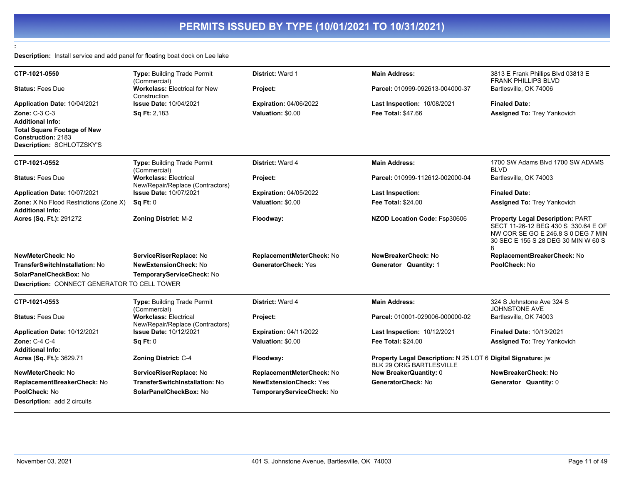**Description:** Install service and add panel for floating boat dock on Lee lake

**:** 

| CTP-1021-0550                                   | Type: Building Trade Permit<br>(Commercial)                      | <b>District: Ward 1</b>       | <b>Main Address:</b>                                                                            | 3813 E Frank Phillips Blvd 03813 E<br><b>FRANK PHILLIPS BLVD</b>                                                                                                 |
|-------------------------------------------------|------------------------------------------------------------------|-------------------------------|-------------------------------------------------------------------------------------------------|------------------------------------------------------------------------------------------------------------------------------------------------------------------|
| <b>Status: Fees Due</b>                         | <b>Workclass: Electrical for New</b><br>Construction             | Project:                      | Parcel: 010999-092613-004000-37                                                                 | Bartlesville, OK 74006                                                                                                                                           |
| Application Date: 10/04/2021                    | <b>Issue Date: 10/04/2021</b>                                    | <b>Expiration: 04/06/2022</b> | Last Inspection: 10/08/2021                                                                     | <b>Finaled Date:</b>                                                                                                                                             |
| Zone: C-3 C-3                                   | Sq Ft: 2,183                                                     | Valuation: \$0.00             | Fee Total: \$47.66                                                                              | <b>Assigned To: Trey Yankovich</b>                                                                                                                               |
| <b>Additional Info:</b>                         |                                                                  |                               |                                                                                                 |                                                                                                                                                                  |
| <b>Total Square Footage of New</b>              |                                                                  |                               |                                                                                                 |                                                                                                                                                                  |
| Construction: 2183<br>Description: SCHLOTZSKY'S |                                                                  |                               |                                                                                                 |                                                                                                                                                                  |
|                                                 |                                                                  |                               |                                                                                                 |                                                                                                                                                                  |
| CTP-1021-0552                                   | Type: Building Trade Permit<br>(Commercial)                      | District: Ward 4              | <b>Main Address:</b>                                                                            | 1700 SW Adams Blvd 1700 SW ADAMS<br><b>BLVD</b>                                                                                                                  |
| <b>Status: Fees Due</b>                         | <b>Workclass: Electrical</b><br>New/Repair/Replace (Contractors) | Project:                      | Parcel: 010999-112612-002000-04                                                                 | Bartlesville, OK 74003                                                                                                                                           |
| Application Date: 10/07/2021                    | <b>Issue Date: 10/07/2021</b>                                    | <b>Expiration: 04/05/2022</b> | Last Inspection:                                                                                | <b>Finaled Date:</b>                                                                                                                                             |
| Zone: X No Flood Restrictions (Zone X)          | Sq Ft: 0                                                         | Valuation: \$0.00             | <b>Fee Total: \$24.00</b>                                                                       | <b>Assigned To: Trey Yankovich</b>                                                                                                                               |
| <b>Additional Info:</b>                         |                                                                  |                               |                                                                                                 |                                                                                                                                                                  |
| Acres (Sq. Ft.): 291272                         | <b>Zoning District: M-2</b>                                      | Floodway:                     | NZOD Location Code: Fsp30606                                                                    | <b>Property Legal Description: PART</b><br>SECT 11-26-12 BEG 430 S 330.64 E OF<br>NW COR SE GO E 246.8 S 0 DEG 7 MIN<br>30 SEC E 155 S 28 DEG 30 MIN W 60 S<br>8 |
| NewMeterCheck: No                               | ServiceRiserReplace: No                                          | ReplacementMeterCheck: No     | NewBreakerCheck: No                                                                             | ReplacementBreakerCheck: No                                                                                                                                      |
| TransferSwitchInstallation: No                  | <b>NewExtensionCheck: No</b>                                     | GeneratorCheck: Yes           | Generator Quantity: 1                                                                           | PoolCheck: No                                                                                                                                                    |
| SolarPanelCheckBox: No                          | TemporaryServiceCheck: No                                        |                               |                                                                                                 |                                                                                                                                                                  |
| Description: CONNECT GENERATOR TO CELL TOWER    |                                                                  |                               |                                                                                                 |                                                                                                                                                                  |
| CTP-1021-0553                                   | Type: Building Trade Permit<br>(Commercial)                      | District: Ward 4              | <b>Main Address:</b>                                                                            | 324 S Johnstone Ave 324 S<br><b>JOHNSTONE AVE</b>                                                                                                                |
| <b>Status: Fees Due</b>                         | <b>Workclass: Electrical</b><br>New/Repair/Replace (Contractors) | Project:                      | Parcel: 010001-029006-000000-02                                                                 | Bartlesville, OK 74003                                                                                                                                           |
| Application Date: 10/12/2021                    | <b>Issue Date: 10/12/2021</b>                                    | <b>Expiration: 04/11/2022</b> | Last Inspection: 10/12/2021                                                                     | Finaled Date: 10/13/2021                                                                                                                                         |
| <b>Zone: C-4 C-4</b>                            | Sq Ft: 0                                                         | Valuation: \$0.00             | <b>Fee Total: \$24.00</b>                                                                       | <b>Assigned To: Trey Yankovich</b>                                                                                                                               |
| <b>Additional Info:</b>                         |                                                                  |                               |                                                                                                 |                                                                                                                                                                  |
| Acres (Sq. Ft.): 3629.71                        | Zoning District: C-4                                             | Floodway:                     | Property Legal Description: N 25 LOT 6 Digital Signature: jw<br><b>BLK 29 ORIG BARTLESVILLE</b> |                                                                                                                                                                  |
| NewMeterCheck: No                               | ServiceRiserReplace: No                                          | ReplacementMeterCheck: No     | <b>New BreakerQuantity: 0</b>                                                                   | NewBreakerCheck: No                                                                                                                                              |
| ReplacementBreakerCheck: No                     | TransferSwitchInstallation: No                                   | <b>NewExtensionCheck: Yes</b> | GeneratorCheck: No                                                                              | Generator Quantity: 0                                                                                                                                            |
| PoolCheck: No                                   | SolarPanelCheckBox: No                                           | TemporaryServiceCheck: No     |                                                                                                 |                                                                                                                                                                  |
| <b>Description: add 2 circuits</b>              |                                                                  |                               |                                                                                                 |                                                                                                                                                                  |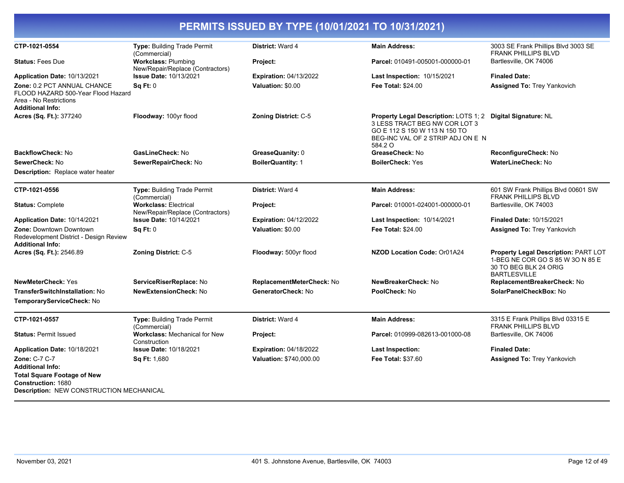| CTP-1021-0554                                                                                                          | Type: Building Trade Permit<br>(Commercial)                      | <b>District: Ward 4</b>       | <b>Main Address:</b>                                                                                                                                                          | 3003 SE Frank Phillips Blvd 3003 SE<br><b>FRANK PHILLIPS BLVD</b>                                                        |
|------------------------------------------------------------------------------------------------------------------------|------------------------------------------------------------------|-------------------------------|-------------------------------------------------------------------------------------------------------------------------------------------------------------------------------|--------------------------------------------------------------------------------------------------------------------------|
| <b>Status: Fees Due</b>                                                                                                | <b>Workclass: Plumbing</b><br>New/Repair/Replace (Contractors)   | Project:                      | Parcel: 010491-005001-000000-01                                                                                                                                               | Bartlesville, OK 74006                                                                                                   |
| Application Date: 10/13/2021                                                                                           | <b>Issue Date: 10/13/2021</b>                                    | <b>Expiration: 04/13/2022</b> | Last Inspection: 10/15/2021                                                                                                                                                   | <b>Finaled Date:</b>                                                                                                     |
| Zone: 0.2 PCT ANNUAL CHANCE<br>FLOOD HAZARD 500-Year Flood Hazard<br>Area - No Restrictions<br><b>Additional Info:</b> | Sq Ft: 0                                                         | Valuation: \$0.00             | <b>Fee Total: \$24.00</b>                                                                                                                                                     | <b>Assigned To: Trey Yankovich</b>                                                                                       |
| Acres (Sq. Ft.): 377240                                                                                                | Floodway: 100yr flood                                            | <b>Zoning District: C-5</b>   | Property Legal Description: LOTS 1; 2 Digital Signature: NL<br>3 LESS TRACT BEG NW COR LOT 3<br>GO E 112 S 150 W 113 N 150 TO<br>BEG-INC VAL OF 2 STRIP ADJ ON E N<br>584.2 O |                                                                                                                          |
| BackflowCheck: No                                                                                                      | GasLineCheck: No                                                 | GreaseQuanity: 0              | GreaseCheck: No                                                                                                                                                               | ReconfigureCheck: No                                                                                                     |
| SewerCheck: No                                                                                                         | SewerRepairCheck: No                                             | <b>BoilerQuantity: 1</b>      | <b>BoilerCheck: Yes</b>                                                                                                                                                       | <b>WaterLineCheck: No</b>                                                                                                |
| Description: Replace water heater                                                                                      |                                                                  |                               |                                                                                                                                                                               |                                                                                                                          |
| CTP-1021-0556                                                                                                          | Type: Building Trade Permit<br>(Commercial)                      | District: Ward 4              | <b>Main Address:</b>                                                                                                                                                          | 601 SW Frank Phillips Blvd 00601 SW<br><b>FRANK PHILLIPS BLVD</b>                                                        |
| <b>Status: Complete</b>                                                                                                | <b>Workclass: Electrical</b><br>New/Repair/Replace (Contractors) | Project:                      | Parcel: 010001-024001-000000-01                                                                                                                                               | Bartlesville, OK 74003                                                                                                   |
| <b>Application Date: 10/14/2021</b>                                                                                    | <b>Issue Date: 10/14/2021</b>                                    | <b>Expiration: 04/12/2022</b> | Last Inspection: 10/14/2021                                                                                                                                                   | <b>Finaled Date: 10/15/2021</b>                                                                                          |
| Zone: Downtown Downtown<br>Redevelopment District - Design Review<br><b>Additional Info:</b>                           | <b>Sq Ft: 0</b>                                                  | Valuation: \$0.00             | <b>Fee Total: \$24.00</b>                                                                                                                                                     | <b>Assigned To: Trey Yankovich</b>                                                                                       |
| Acres (Sq. Ft.): 2546.89                                                                                               | <b>Zoning District: C-5</b>                                      | Floodway: 500yr flood         | NZOD Location Code: Or01A24                                                                                                                                                   | Property Legal Description: PART LOT<br>1-BEG NE COR GO S 85 W 30 N 85 E<br>30 TO BEG BLK 24 ORIG<br><b>BARTLESVILLE</b> |
| NewMeterCheck: Yes                                                                                                     | ServiceRiserReplace: No                                          | ReplacementMeterCheck: No     | NewBreakerCheck: No                                                                                                                                                           | ReplacementBreakerCheck: No                                                                                              |
| TransferSwitchInstallation: No                                                                                         | <b>NewExtensionCheck: No</b>                                     | GeneratorCheck: No            | PoolCheck: No                                                                                                                                                                 | SolarPanelCheckBox: No                                                                                                   |
| TemporaryServiceCheck: No                                                                                              |                                                                  |                               |                                                                                                                                                                               |                                                                                                                          |
| CTP-1021-0557                                                                                                          | Type: Building Trade Permit<br>(Commercial)                      | <b>District: Ward 4</b>       | <b>Main Address:</b>                                                                                                                                                          | 3315 E Frank Phillips Blvd 03315 E<br><b>FRANK PHILLIPS BLVD</b>                                                         |
| <b>Status: Permit Issued</b>                                                                                           | <b>Workclass: Mechanical for New</b><br>Construction             | Project:                      | Parcel: 010999-082613-001000-08                                                                                                                                               | Bartlesville, OK 74006                                                                                                   |
| Application Date: 10/18/2021                                                                                           | <b>Issue Date: 10/18/2021</b>                                    | <b>Expiration: 04/18/2022</b> | <b>Last Inspection:</b>                                                                                                                                                       | <b>Finaled Date:</b>                                                                                                     |
| Zone: C-7 C-7<br><b>Additional Info:</b>                                                                               | Sq Ft: 1,680                                                     | Valuation: \$740,000.00       | Fee Total: \$37.60                                                                                                                                                            | <b>Assigned To: Trey Yankovich</b>                                                                                       |
| <b>Total Square Footage of New</b><br><b>Construction: 1680</b><br>Description: NEW CONSTRUCTION MECHANICAL            |                                                                  |                               |                                                                                                                                                                               |                                                                                                                          |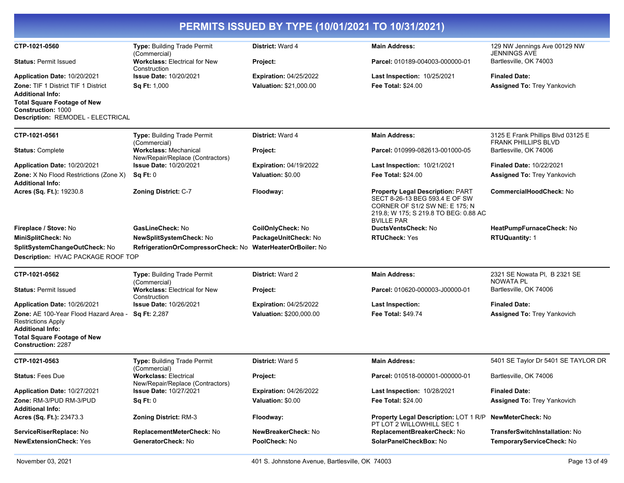|                                                                                                            |                                                                  | PERMITS ISSUED BY TYPE (10/01/2021 TO 10/31/2021) |                                                                                                                                                                           |                                                                  |
|------------------------------------------------------------------------------------------------------------|------------------------------------------------------------------|---------------------------------------------------|---------------------------------------------------------------------------------------------------------------------------------------------------------------------------|------------------------------------------------------------------|
| CTP-1021-0560                                                                                              | Type: Building Trade Permit<br>(Commercial)                      | District: Ward 4                                  | <b>Main Address:</b>                                                                                                                                                      | 129 NW Jennings Ave 00129 NW<br><b>JENNINGS AVE</b>              |
| <b>Status: Permit Issued</b>                                                                               | <b>Workclass: Electrical for New</b><br>Construction             | Project:                                          | Parcel: 010189-004003-000000-01                                                                                                                                           | Bartlesville, OK 74003                                           |
| <b>Application Date: 10/20/2021</b>                                                                        | <b>Issue Date: 10/20/2021</b>                                    | <b>Expiration: 04/25/2022</b>                     | Last Inspection: 10/25/2021                                                                                                                                               | <b>Finaled Date:</b>                                             |
| Zone: TIF 1 District TIF 1 District<br><b>Additional Info:</b><br><b>Total Square Footage of New</b>       | <b>Sq Ft: 1,000</b>                                              | Valuation: \$21,000.00                            | <b>Fee Total: \$24.00</b>                                                                                                                                                 | <b>Assigned To: Trey Yankovich</b>                               |
| <b>Construction: 1000</b><br>Description: REMODEL - ELECTRICAL                                             |                                                                  |                                                   |                                                                                                                                                                           |                                                                  |
| CTP-1021-0561                                                                                              | Type: Building Trade Permit<br>(Commercial)                      | <b>District: Ward 4</b>                           | <b>Main Address:</b>                                                                                                                                                      | 3125 E Frank Phillips Blvd 03125 E<br><b>FRANK PHILLIPS BLVD</b> |
| <b>Status: Complete</b>                                                                                    | <b>Workclass: Mechanical</b><br>New/Repair/Replace (Contractors) | Project:                                          | Parcel: 010999-082613-001000-05                                                                                                                                           | Bartlesville, OK 74006                                           |
| <b>Application Date: 10/20/2021</b>                                                                        | <b>Issue Date: 10/20/2021</b>                                    | <b>Expiration: 04/19/2022</b>                     | Last Inspection: 10/21/2021                                                                                                                                               | <b>Finaled Date: 10/22/2021</b>                                  |
| Zone: X No Flood Restrictions (Zone X)<br><b>Additional Info:</b>                                          | Sq Ft: 0                                                         | Valuation: \$0.00                                 | <b>Fee Total: \$24.00</b>                                                                                                                                                 | Assigned To: Trey Yankovich                                      |
| <b>Acres (Sq. Ft.):</b> 19230.8                                                                            | <b>Zoning District: C-7</b>                                      | Floodway:                                         | <b>Property Legal Description: PART</b><br>SECT 8-26-13 BEG 593.4 E OF SW<br>CORNER OF S1/2 SW NE: E 175; N<br>219.8; W 175; S 219.8 TO BEG: 0.88 AC<br><b>BVILLE PAR</b> | CommercialHoodCheck: No                                          |
| Fireplace / Stove: No                                                                                      | GasLineCheck: No                                                 | CoilOnlyCheck: No                                 | DuctsVentsCheck: No                                                                                                                                                       | HeatPumpFurnaceCheck: No                                         |
| MiniSplitCheck: No                                                                                         | <b>NewSplitSystemCheck: No</b>                                   | PackageUnitCheck: No                              | <b>RTUCheck: Yes</b>                                                                                                                                                      | <b>RTUQuantity: 1</b>                                            |
| SplitSystemChangeOutCheck: No                                                                              | RefrigerationOrCompressorCheck: No WaterHeaterOrBoiler: No       |                                                   |                                                                                                                                                                           |                                                                  |
| Description: HVAC PACKAGE ROOF TOP                                                                         |                                                                  |                                                   |                                                                                                                                                                           |                                                                  |
| CTP-1021-0562                                                                                              | Type: Building Trade Permit<br>(Commercial)                      | <b>District: Ward 2</b>                           | <b>Main Address:</b>                                                                                                                                                      | 2321 SE Nowata PI, B 2321 SE<br>NOWATA PL                        |
| <b>Status: Permit Issued</b>                                                                               | Workclass: Electrical for New<br>Construction                    | Project:                                          | Parcel: 010620-000003-J00000-01                                                                                                                                           | Bartlesville, OK 74006                                           |
| Application Date: 10/26/2021                                                                               | <b>Issue Date: 10/26/2021</b>                                    | <b>Expiration: 04/25/2022</b>                     | <b>Last Inspection:</b>                                                                                                                                                   | <b>Finaled Date:</b>                                             |
| Zone: AE 100-Year Flood Hazard Area - Sq Ft: 2,287<br><b>Restrictions Apply</b><br><b>Additional Info:</b> |                                                                  | Valuation: \$200,000.00                           | Fee Total: \$49.74                                                                                                                                                        | Assigned To: Trey Yankovich                                      |
| <b>Total Square Footage of New</b><br><b>Construction: 2287</b>                                            |                                                                  |                                                   |                                                                                                                                                                           |                                                                  |
| CTP-1021-0563                                                                                              | <b>Type: Building Trade Permit</b><br>(Commercial)               | District: Ward 5                                  | <b>Main Address:</b>                                                                                                                                                      | 5401 SE Taylor Dr 5401 SE TAYLOR DR                              |
| <b>Status: Fees Due</b>                                                                                    | <b>Workclass: Electrical</b><br>New/Repair/Replace (Contractors) | Project:                                          | Parcel: 010518-000001-000000-01                                                                                                                                           | Bartlesville, OK 74006                                           |
| <b>Application Date: 10/27/2021</b>                                                                        | <b>Issue Date: 10/27/2021</b>                                    | <b>Expiration: 04/26/2022</b>                     | <b>Last Inspection: 10/28/2021</b>                                                                                                                                        | <b>Finaled Date:</b>                                             |
| Zone: RM-3/PUD RM-3/PUD<br><b>Additional Info:</b>                                                         | Sq Ft: 0                                                         | Valuation: \$0.00                                 | <b>Fee Total: \$24.00</b>                                                                                                                                                 | Assigned To: Trey Yankovich                                      |
| Acres (Sq. Ft.): 23473.3                                                                                   | <b>Zoning District: RM-3</b>                                     | Floodway:                                         | Property Legal Description: LOT 1 R/P NewMeterCheck: No<br>PT LOT 2 WILLOWHILL SEC 1                                                                                      |                                                                  |
| ServiceRiserReplace: No                                                                                    | ReplacementMeterCheck: No                                        | NewBreakerCheck: No                               | ReplacementBreakerCheck: No                                                                                                                                               | TransferSwitchInstallation: No                                   |
| <b>NewExtensionCheck: Yes</b>                                                                              | GeneratorCheck: No                                               | PoolCheck: No                                     | SolarPanelCheckBox: No                                                                                                                                                    | TemporaryServiceCheck: No                                        |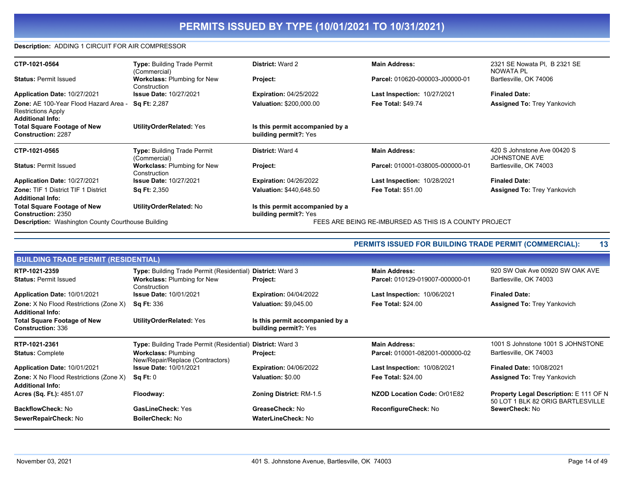### **Description:** ADDING 1 CIRCUIT FOR AIR COMPRESSOR

| 2321 SE Nowata PI, B 2321 SE<br>Type: Building Trade Permit<br><b>Main Address:</b><br>CTP-1021-0564<br><b>District: Ward 2</b><br>NOWATA PL<br>(Commercial)<br>Bartlesville, OK 74006<br>Parcel: 010620-000003-J00000-01<br><b>Status: Permit Issued</b><br><b>Workclass: Plumbing for New</b><br>Project:<br>Construction |  |
|-----------------------------------------------------------------------------------------------------------------------------------------------------------------------------------------------------------------------------------------------------------------------------------------------------------------------------|--|
|                                                                                                                                                                                                                                                                                                                             |  |
|                                                                                                                                                                                                                                                                                                                             |  |
| <b>Issue Date: 10/27/2021</b><br><b>Expiration: 04/25/2022</b><br><b>Last Inspection: 10/27/2021</b><br><b>Finaled Date:</b><br>Application Date: 10/27/2021                                                                                                                                                                |  |
| Zone: AE 100-Year Flood Hazard Area -<br><b>Valuation: \$200,000.00</b><br><b>Sq Ft: 2,287</b><br><b>Fee Total: \$49.74</b><br><b>Assigned To: Trey Yankovich</b><br><b>Restrictions Apply</b><br><b>Additional Info:</b>                                                                                                   |  |
| <b>Total Square Footage of New</b><br><b>UtilityOrderRelated: Yes</b><br>Is this permit accompanied by a<br><b>Construction: 2287</b><br>building permit?: Yes                                                                                                                                                              |  |
| Type: Building Trade Permit<br><b>Main Address:</b><br>420 S Johnstone Ave 00420 S<br><b>District: Ward 4</b><br>CTP-1021-0565                                                                                                                                                                                              |  |
| <b>JOHNSTONE AVE</b>                                                                                                                                                                                                                                                                                                        |  |
| (Commercial)<br>Bartlesville, OK 74003<br><b>Status: Permit Issued</b><br><b>Workclass: Plumbing for New</b><br>Parcel: 010001-038005-000000-01<br>Project:<br>Construction                                                                                                                                                 |  |
| <b>Issue Date: 10/27/2021</b><br><b>Expiration: 04/26/2022</b><br><b>Last Inspection: 10/28/2021</b><br><b>Finaled Date:</b><br>Application Date: 10/27/2021                                                                                                                                                                |  |
| <b>Zone: TIF 1 District TIF 1 District</b><br><b>Valuation: \$440,648.50</b><br><b>Sq Ft: 2,350</b><br><b>Fee Total: \$51.00</b><br><b>Assigned To: Trey Yankovich</b>                                                                                                                                                      |  |
| <b>Additional Info:</b>                                                                                                                                                                                                                                                                                                     |  |
| UtilityOrderRelated: No<br><b>Total Square Footage of New</b><br>Is this permit accompanied by a<br><b>Construction: 2350</b><br>building permit?: Yes                                                                                                                                                                      |  |

|                                                                |                                                          | <b>PERMITS ISSUED FOR BUILDING TRADE PERMIT (COMMERCIAL):</b>                                                            | 13                                                                          |
|----------------------------------------------------------------|----------------------------------------------------------|--------------------------------------------------------------------------------------------------------------------------|-----------------------------------------------------------------------------|
|                                                                |                                                          |                                                                                                                          |                                                                             |
|                                                                |                                                          | <b>Main Address:</b>                                                                                                     | 920 SW Oak Ave 00920 SW OAK AVE                                             |
| <b>Workclass: Plumbing for New</b><br>Construction             | Project:                                                 | Parcel: 010129-019007-000000-01                                                                                          | Bartlesville, OK 74003                                                      |
| <b>Issue Date: 10/01/2021</b>                                  | <b>Expiration: 04/04/2022</b>                            | <b>Last Inspection: 10/06/2021</b>                                                                                       | <b>Finaled Date:</b>                                                        |
| <b>Sq Ft: 336</b>                                              | <b>Valuation: \$9,045.00</b>                             | <b>Fee Total: \$24.00</b>                                                                                                | <b>Assigned To: Trey Yankovich</b>                                          |
| UtilityOrderRelated: Yes                                       | Is this permit accompanied by a<br>building permit?: Yes |                                                                                                                          |                                                                             |
|                                                                |                                                          | <b>Main Address:</b>                                                                                                     | 1001 S Johnstone 1001 S JOHNSTONE                                           |
| <b>Workclass: Plumbing</b><br>New/Repair/Replace (Contractors) | Project:                                                 | Parcel: 010001-082001-000000-02                                                                                          | Bartlesville, OK 74003                                                      |
| <b>Issue Date: 10/01/2021</b>                                  | <b>Expiration: 04/06/2022</b>                            | <b>Last Inspection: 10/08/2021</b>                                                                                       | <b>Finaled Date: 10/08/2021</b>                                             |
| $\operatorname{Sq} \operatorname{Ft:0}$                        | Valuation: \$0.00                                        | <b>Fee Total: \$24.00</b>                                                                                                | <b>Assigned To: Trey Yankovich</b>                                          |
| Floodway:                                                      | <b>Zoning District: RM-1.5</b>                           | NZOD Location Code: Or01E82                                                                                              | Property Legal Description: E 111 OF N<br>50 LOT 1 BLK 82 ORIG BARTLESVILLE |
| <b>GasLineCheck: Yes</b>                                       | GreaseCheck: No                                          | ReconfigureCheck: No                                                                                                     | SewerCheck: No                                                              |
| <b>BoilerCheck: No</b>                                         | <b>WaterLineCheck: No</b>                                |                                                                                                                          |                                                                             |
|                                                                | <b>BUILDING TRADE PERMIT (RESIDENTIAL)</b>               | Type: Building Trade Permit (Residential) District: Ward 3<br>Type: Building Trade Permit (Residential) District: Ward 3 |                                                                             |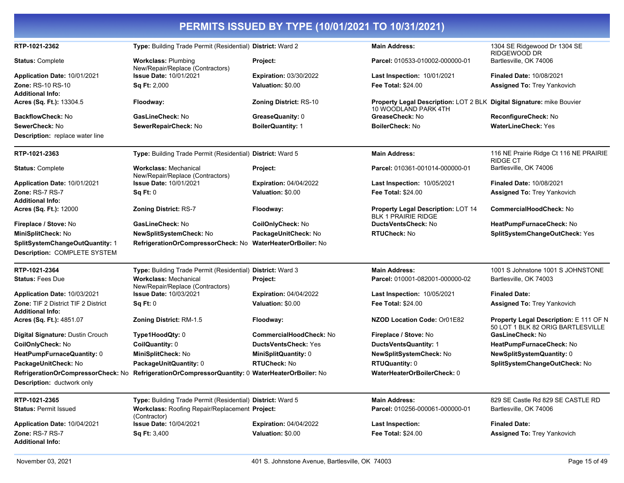| RTP-1021-2362                          | Type: Building Trade Permit (Residential) District: Ward 2        |                                | <b>Main Address:</b>                                                                          | 1304 SE Ridgewood Dr 1304 SE                                                |
|----------------------------------------|-------------------------------------------------------------------|--------------------------------|-----------------------------------------------------------------------------------------------|-----------------------------------------------------------------------------|
| <b>Status: Complete</b>                | <b>Workclass: Plumbing</b>                                        | Project:                       | Parcel: 010533-010002-000000-01                                                               | RIDGEWOOD DR<br>Bartlesville, OK 74006                                      |
| Application Date: 10/01/2021           | New/Repair/Replace (Contractors)<br><b>Issue Date: 10/01/2021</b> | <b>Expiration:</b> 03/30/2022  | Last Inspection: 10/01/2021                                                                   | <b>Finaled Date: 10/08/2021</b>                                             |
| <b>Zone: RS-10 RS-10</b>               | <b>Sq Ft: 2,000</b>                                               | Valuation: \$0.00              | <b>Fee Total: \$24.00</b>                                                                     | <b>Assigned To: Trey Yankovich</b>                                          |
| <b>Additional Info:</b>                |                                                                   |                                |                                                                                               |                                                                             |
| Acres (Sq. Ft.): 13304.5               | Floodway:                                                         | <b>Zoning District: RS-10</b>  | Property Legal Description: LOT 2 BLK Digital Signature: mike Bouvier<br>10 WOODLAND PARK 4TH |                                                                             |
| <b>BackflowCheck: No</b>               | GasLineCheck: No                                                  | GreaseQuanity: 0               | GreaseCheck: No                                                                               | ReconfigureCheck: No                                                        |
| SewerCheck: No                         | SewerRepairCheck: No                                              | <b>BoilerQuantity: 1</b>       | <b>BoilerCheck: No</b>                                                                        | <b>WaterLineCheck: Yes</b>                                                  |
| <b>Description:</b> replace water line |                                                                   |                                |                                                                                               |                                                                             |
| RTP-1021-2363                          | Type: Building Trade Permit (Residential) District: Ward 5        |                                | <b>Main Address:</b>                                                                          | 116 NE Prairie Ridge Ct 116 NE PRAIRIE<br><b>RIDGE CT</b>                   |
| <b>Status: Complete</b>                | <b>Workclass: Mechanical</b><br>New/Repair/Replace (Contractors)  | Project:                       | Parcel: 010361-001014-000000-01                                                               | Bartlesville, OK 74006                                                      |
| Application Date: 10/01/2021           | <b>Issue Date: 10/01/2021</b>                                     | <b>Expiration: 04/04/2022</b>  | <b>Last Inspection: 10/05/2021</b>                                                            | <b>Finaled Date: 10/08/2021</b>                                             |
| Zone: RS-7 RS-7                        | Sq Ft: 0                                                          | Valuation: \$0.00              | <b>Fee Total: \$24.00</b>                                                                     | <b>Assigned To: Trey Yankovich</b>                                          |
| <b>Additional Info:</b>                |                                                                   |                                |                                                                                               |                                                                             |
| Acres (Sq. Ft.): 12000                 | <b>Zoning District: RS-7</b>                                      | Floodway:                      | <b>Property Legal Description: LOT 14</b><br><b>BLK 1 PRAIRIE RIDGE</b>                       | <b>CommercialHoodCheck: No</b>                                              |
| Fireplace / Stove: No                  | GasLineCheck: No                                                  | CoilOnlyCheck: No              | <b>DuctsVentsCheck: No</b>                                                                    | HeatPumpFurnaceCheck: No                                                    |
| MiniSplitCheck: No                     | NewSplitSystemCheck: No                                           | PackageUnitCheck: No           | <b>RTUCheck: No</b>                                                                           | SplitSystemChangeOutCheck: Yes                                              |
| SplitSystemChangeOutQuantity: 1        | RefrigerationOrCompressorCheck: No                                | <b>WaterHeaterOrBoiler: No</b> |                                                                                               |                                                                             |
| Description: COMPLETE SYSTEM           |                                                                   |                                |                                                                                               |                                                                             |
| RTP-1021-2364                          | Type: Building Trade Permit (Residential) District: Ward 3        |                                | <b>Main Address:</b>                                                                          | 1001 S Johnstone 1001 S JOHNSTONE                                           |
| <b>Status: Fees Due</b>                | <b>Workclass: Mechanical</b><br>New/Repair/Replace (Contractors)  | Project:                       | Parcel: 010001-082001-000000-02                                                               | Bartlesville, OK 74003                                                      |
| Application Date: 10/03/2021           | <b>Issue Date: 10/03/2021</b>                                     | <b>Expiration: 04/04/2022</b>  | <b>Last Inspection: 10/05/2021</b>                                                            | <b>Finaled Date:</b>                                                        |
| Zone: TIF 2 District TIF 2 District    | Sq Ft: 0                                                          | Valuation: \$0.00              | <b>Fee Total: \$24.00</b>                                                                     | <b>Assigned To: Trey Yankovich</b>                                          |
| <b>Additional Info:</b>                |                                                                   |                                |                                                                                               |                                                                             |
| Acres (Sq. Ft.): 4851.07               | Zoning District: RM-1.5                                           | Floodway:                      | NZOD Location Code: Or01E82                                                                   | Property Legal Description: E 111 OF N<br>50 LOT 1 BLK 82 ORIG BARTLESVILLE |
| Digital Signature: Dustin Crouch       | Type1HoodQty: 0                                                   | CommercialHoodCheck: No        | Fireplace / Stove: No                                                                         | GasLineCheck: No                                                            |
| <b>CoilOnlyCheck: No</b>               | CoilQuantity: 0                                                   | <b>DuctsVentsCheck: Yes</b>    | <b>DuctsVentsQuantity: 1</b>                                                                  | HeatPumpFurnaceCheck: No                                                    |
| HeatPumpFurnaceQuantity: 0             | MiniSplitCheck: No                                                | <b>MiniSplitQuantity: 0</b>    | <b>NewSplitSystemCheck: No</b>                                                                | NewSplitSystemQuantity: 0                                                   |
| PackageUnitCheck: No                   | PackageUnitQuantity: 0                                            | <b>RTUCheck: No</b>            | <b>RTUQuantity: 0</b>                                                                         | SplitSystemChangeOutCheck: No                                               |
| RefrigerationOrCompressorCheck: No     | RefrigerationOrCompressorQuantity: 0 WaterHeaterOrBoiler: No      |                                | WaterHeaterOrBoilerCheck: 0                                                                   |                                                                             |
| Description: ductwork only             |                                                                   |                                |                                                                                               |                                                                             |
| RTP-1021-2365                          | Type: Building Trade Permit (Residential) District: Ward 5        |                                | <b>Main Address:</b>                                                                          | 829 SE Castle Rd 829 SE CASTLE RD                                           |
| <b>Status: Permit Issued</b>           | Workclass: Roofing Repair/Replacement Project:<br>(Contractor)    |                                | Parcel: 010256-000061-000000-01                                                               | Bartlesville, OK 74006                                                      |
| Application Date: 10/04/2021           | <b>Issue Date: 10/04/2021</b>                                     | <b>Expiration: 04/04/2022</b>  | <b>Last Inspection:</b>                                                                       | <b>Finaled Date:</b>                                                        |
| Zone: RS-7 RS-7                        | Sq Ft: 3,400                                                      | Valuation: \$0.00              | Fee Total: \$24.00                                                                            | Assigned To: Trey Yankovich                                                 |
| <b>Additional Info:</b>                |                                                                   |                                |                                                                                               |                                                                             |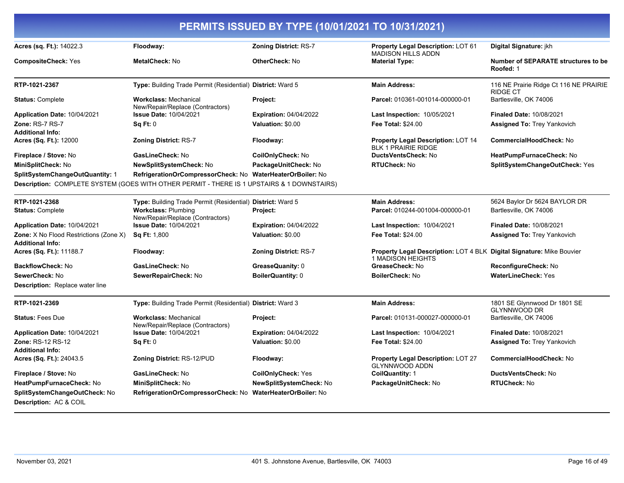| PERMITS ISSUED BY TYPE (10/01/2021 TO 10/31/2021)                        |                                                                                            |                                |                                                                                            |                                                           |
|--------------------------------------------------------------------------|--------------------------------------------------------------------------------------------|--------------------------------|--------------------------------------------------------------------------------------------|-----------------------------------------------------------|
| Acres (sq. Ft.): 14022.3                                                 | Floodway:                                                                                  | <b>Zoning District: RS-7</b>   | <b>Property Legal Description: LOT 61</b><br><b>MADISON HILLS ADDN</b>                     | Digital Signature: jkh                                    |
| <b>CompositeCheck: Yes</b>                                               | MetalCheck: No                                                                             | OtherCheck: No                 | <b>Material Type:</b>                                                                      | Number of SEPARATE structures to be<br>Roofed: 1          |
| RTP-1021-2367                                                            | Type: Building Trade Permit (Residential) District: Ward 5                                 |                                | <b>Main Address:</b>                                                                       | 116 NE Prairie Ridge Ct 116 NE PRAIRIE<br><b>RIDGE CT</b> |
| <b>Status: Complete</b>                                                  | <b>Workclass: Mechanical</b><br>New/Repair/Replace (Contractors)                           | Project:                       | Parcel: 010361-001014-000000-01                                                            | Bartlesville, OK 74006                                    |
| Application Date: 10/04/2021                                             | <b>Issue Date: 10/04/2021</b>                                                              | <b>Expiration: 04/04/2022</b>  | <b>Last Inspection: 10/05/2021</b>                                                         | <b>Finaled Date: 10/08/2021</b>                           |
| Zone: RS-7 RS-7<br><b>Additional Info:</b>                               | Sq Ft: 0                                                                                   | Valuation: \$0.00              | Fee Total: \$24.00                                                                         | <b>Assigned To: Trey Yankovich</b>                        |
| <b>Acres (Sq. Ft.): 12000</b>                                            | <b>Zoning District: RS-7</b>                                                               | Floodway:                      | <b>Property Legal Description: LOT 14</b><br><b>BLK 1 PRAIRIE RIDGE</b>                    | <b>CommercialHoodCheck: No</b>                            |
| Fireplace / Stove: No                                                    | GasLineCheck: No                                                                           | CoilOnlyCheck: No              | DuctsVentsCheck: No                                                                        | HeatPumpFurnaceCheck: No                                  |
| MiniSplitCheck: No                                                       | <b>NewSplitSystemCheck: No</b>                                                             | PackageUnitCheck: No           | RTUCheck: No                                                                               | SplitSystemChangeOutCheck: Yes                            |
| SplitSystemChangeOutQuantity: 1                                          | RefrigerationOrCompressorCheck: No WaterHeaterOrBoiler: No                                 |                                |                                                                                            |                                                           |
|                                                                          | Description: COMPLETE SYSTEM (GOES WITH OTHER PERMIT - THERE IS 1 UPSTAIRS & 1 DOWNSTAIRS) |                                |                                                                                            |                                                           |
| RTP-1021-2368                                                            | Type: Building Trade Permit (Residential) District: Ward 5                                 |                                | <b>Main Address:</b>                                                                       | 5624 Baylor Dr 5624 BAYLOR DR                             |
| <b>Status: Complete</b>                                                  | <b>Workclass: Plumbing</b><br>New/Repair/Replace (Contractors)                             | Project:                       | Parcel: 010244-001004-000000-01                                                            | Bartlesville, OK 74006                                    |
| Application Date: 10/04/2021                                             | <b>Issue Date: 10/04/2021</b>                                                              | <b>Expiration: 04/04/2022</b>  | Last Inspection: 10/04/2021                                                                | <b>Finaled Date: 10/08/2021</b>                           |
| <b>Zone:</b> X No Flood Restrictions (Zone X)<br><b>Additional Info:</b> | <b>Sq Ft: 1,800</b>                                                                        | Valuation: \$0.00              | <b>Fee Total: \$24.00</b>                                                                  | <b>Assigned To: Trey Yankovich</b>                        |
| Acres (Sq. Ft.): 11188.7                                                 | Floodway:                                                                                  | <b>Zoning District: RS-7</b>   | Property Legal Description: LOT 4 BLK Digital Signature: Mike Bouvier<br>1 MADISON HEIGHTS |                                                           |
| <b>BackflowCheck: No</b>                                                 | GasLineCheck: No                                                                           | GreaseQuanity: 0               | GreaseCheck: No                                                                            | ReconfigureCheck: No                                      |
| SewerCheck: No                                                           | SewerRepairCheck: No                                                                       | BoilerQuantity: 0              | <b>BoilerCheck: No</b>                                                                     | <b>WaterLineCheck: Yes</b>                                |
| <b>Description:</b> Replace water line                                   |                                                                                            |                                |                                                                                            |                                                           |
| RTP-1021-2369                                                            | Type: Building Trade Permit (Residential) District: Ward 3                                 |                                | <b>Main Address:</b>                                                                       | 1801 SE Glynnwood Dr 1801 SE<br><b>GLYNNWOOD DR</b>       |
| <b>Status: Fees Due</b>                                                  | <b>Workclass: Mechanical</b><br>New/Repair/Replace (Contractors)                           | Project:                       | Parcel: 010131-000027-000000-01                                                            | Bartlesville, OK 74006                                    |
| Application Date: 10/04/2021                                             | <b>Issue Date: 10/04/2021</b>                                                              | <b>Expiration: 04/04/2022</b>  | <b>Last Inspection: 10/04/2021</b>                                                         | <b>Finaled Date: 10/08/2021</b>                           |
| Zone: RS-12 RS-12<br><b>Additional Info:</b>                             | Sq Ft: 0                                                                                   | Valuation: \$0.00              | Fee Total: \$24.00                                                                         | <b>Assigned To: Trey Yankovich</b>                        |
| <b>Acres (Sq. Ft.): 24043.5</b>                                          | <b>Zoning District: RS-12/PUD</b>                                                          | Floodway:                      | <b>Property Legal Description: LOT 27</b><br>GLYNNWOOD ADDN                                | <b>CommercialHoodCheck: No</b>                            |
| Fireplace / Stove: No                                                    | GasLineCheck: No                                                                           | <b>CoilOnlyCheck: Yes</b>      | CoilQuantity: 1                                                                            | <b>DuctsVentsCheck: No</b>                                |
| HeatPumpFurnaceCheck: No                                                 | MiniSplitCheck: No                                                                         | NewSplitSystemCheck: No        | PackageUnitCheck: No                                                                       | <b>RTUCheck: No</b>                                       |
| SplitSystemChangeOutCheck: No<br>Description: AC & COIL                  | RefrigerationOrCompressorCheck: No                                                         | <b>WaterHeaterOrBoiler: No</b> |                                                                                            |                                                           |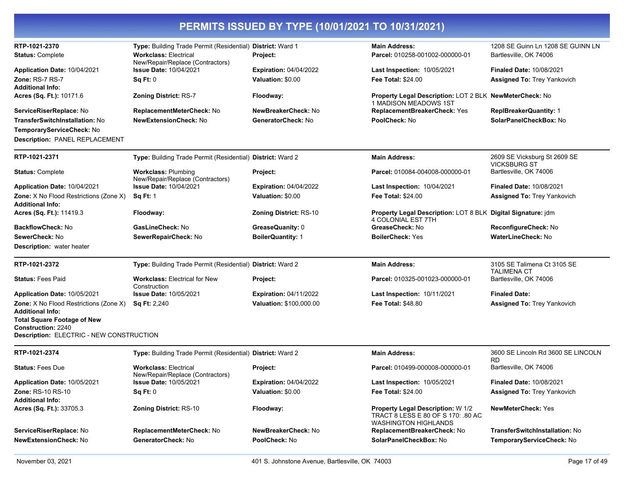| RTP-1021-2370<br><b>Status: Complete</b>                                                                                                                                                | Type: Building Trade Permit (Residential) District: Ward 1<br><b>Workclass: Electrical</b><br>New/Repair/Replace (Contractors) | Project:                                           | <b>Main Address:</b><br>Parcel: 010258-001002-000000-01                                                       | 1208 SE Guinn Ln 1208 SE GUINN LN<br>Bartlesville, OK 74006           |
|-----------------------------------------------------------------------------------------------------------------------------------------------------------------------------------------|--------------------------------------------------------------------------------------------------------------------------------|----------------------------------------------------|---------------------------------------------------------------------------------------------------------------|-----------------------------------------------------------------------|
| Application Date: 10/04/2021<br><b>Zone: RS-7 RS-7</b><br><b>Additional Info:</b>                                                                                                       | <b>Issue Date: 10/04/2021</b><br>Sq Ft: 0                                                                                      | <b>Expiration: 04/04/2022</b><br>Valuation: \$0.00 | <b>Last Inspection: 10/05/2021</b><br>Fee Total: \$24.00                                                      | <b>Finaled Date: 10/08/2021</b><br><b>Assigned To: Trey Yankovich</b> |
| Acres (Sq. Ft.): 10171.6                                                                                                                                                                | <b>Zoning District: RS-7</b>                                                                                                   | Floodway:                                          | Property Legal Description: LOT 2 BLK NewMeterCheck: No<br>1 MADISON MEADOWS 1ST                              |                                                                       |
| ServiceRiserReplace: No<br>TransferSwitchInstallation: No<br>TemporaryServiceCheck: No<br>Description: PANEL REPLACEMENT                                                                | ReplacementMeterCheck: No<br><b>NewExtensionCheck: No</b>                                                                      | NewBreakerCheck: No<br>GeneratorCheck: No          | ReplacementBreakerCheck: Yes<br>PoolCheck: No                                                                 | ReplBreakerQuantity: 1<br>SolarPanelCheckBox: No                      |
| RTP-1021-2371                                                                                                                                                                           | Type: Building Trade Permit (Residential) District: Ward 2                                                                     |                                                    | <b>Main Address:</b>                                                                                          | 2609 SE Vicksburg St 2609 SE<br><b>VICKSBURG ST</b>                   |
| <b>Status: Complete</b>                                                                                                                                                                 | <b>Workclass: Plumbing</b><br>New/Repair/Replace (Contractors)                                                                 | <b>Project:</b>                                    | <b>Parcel:</b> 010084-004008-000000-01                                                                        | Bartlesville, OK 74006                                                |
| Application Date: 10/04/2021                                                                                                                                                            | <b>Issue Date: 10/04/2021</b>                                                                                                  | <b>Expiration: 04/04/2022</b>                      | Last Inspection: 10/04/2021                                                                                   | <b>Finaled Date: 10/08/2021</b>                                       |
| <b>Zone:</b> X No Flood Restrictions (Zone X)<br><b>Additional Info:</b>                                                                                                                | <b>Sq Ft: 1</b>                                                                                                                | Valuation: \$0.00                                  | <b>Fee Total: \$24.00</b>                                                                                     | <b>Assigned To: Trey Yankovich</b>                                    |
| Acres (Sq. Ft.): 11419.3                                                                                                                                                                | Floodway:                                                                                                                      | <b>Zoning District: RS-10</b>                      | Property Legal Description: LOT 8 BLK Digital Signature: jdm<br>4 COLONIAL EST 7TH                            |                                                                       |
| <b>BackflowCheck: No</b>                                                                                                                                                                | GasLineCheck: No                                                                                                               | GreaseQuanity: 0                                   | GreaseCheck: No                                                                                               | ReconfigureCheck: No                                                  |
| SewerCheck: No<br><b>Description:</b> water heater                                                                                                                                      | SewerRepairCheck: No                                                                                                           | <b>BoilerQuantity: 1</b>                           | <b>BoilerCheck: Yes</b>                                                                                       | <b>WaterLineCheck: No</b>                                             |
| RTP-1021-2372                                                                                                                                                                           | Type: Building Trade Permit (Residential) District: Ward 2                                                                     |                                                    | <b>Main Address:</b>                                                                                          | 3105 SE Talimena Ct 3105 SE<br><b>TALIMENA CT</b>                     |
| <b>Status: Fees Paid</b>                                                                                                                                                                | <b>Workclass: Electrical for New</b><br>Construction                                                                           | Project:                                           | <b>Parcel:</b> 010325-001023-000000-01                                                                        | Bartlesville, OK 74006                                                |
| Application Date: 10/05/2021                                                                                                                                                            | <b>Issue Date: 10/05/2021</b>                                                                                                  | <b>Expiration: 04/11/2022</b>                      | <b>Last Inspection: 10/11/2021</b>                                                                            | <b>Finaled Date:</b>                                                  |
| <b>Zone:</b> X No Flood Restrictions (Zone X)<br><b>Additional Info:</b><br><b>Total Square Footage of New</b><br><b>Construction: 2240</b><br>Description: ELECTRIC - NEW CONSTRUCTION | <b>Sq Ft: 2,240</b>                                                                                                            | Valuation: \$100,000.00                            | <b>Fee Total: \$48.80</b>                                                                                     | <b>Assigned To: Trey Yankovich</b>                                    |
| RTP-1021-2374                                                                                                                                                                           | Type: Building Trade Permit (Residential) District: Ward 2                                                                     |                                                    | <b>Main Address:</b>                                                                                          | 3600 SE Lincoln Rd 3600 SE LINCOLN<br><b>RD</b>                       |
| <b>Status: Fees Due</b>                                                                                                                                                                 | <b>Workclass: Electrical</b><br>New/Repair/Replace (Contractors)                                                               | Project:                                           | Parcel: 010499-000008-000000-01                                                                               | Bartlesville, OK 74006                                                |
| Application Date: 10/05/2021<br>Zone: RS-10 RS-10<br><b>Additional Info:</b>                                                                                                            | Issue Date: 10/05/2021<br>Sq Ft: 0                                                                                             | <b>Expiration: 04/04/2022</b><br>Valuation: \$0.00 | <b>Last Inspection: 10/05/2021</b><br>Fee Total: \$24.00                                                      | <b>Finaled Date: 10/08/2021</b><br><b>Assigned To: Trey Yankovich</b> |
| Acres (Sq. Ft.): 33705.3                                                                                                                                                                | <b>Zoning District: RS-10</b>                                                                                                  | Floodway:                                          | <b>Property Legal Description: W 1/2</b><br>TRACT 8 LESS E 80 OF S 170: .80 AC<br><b>WASHINGTON HIGHLANDS</b> | <b>NewMeterCheck: Yes</b>                                             |
| ServiceRiserReplace: No<br><b>NewExtensionCheck: No</b>                                                                                                                                 | ReplacementMeterCheck: No<br>GeneratorCheck: No                                                                                | NewBreakerCheck: No<br>PoolCheck: No               | ReplacementBreakerCheck: No<br>SolarPanelCheckBox: No                                                         | <b>TransferSwitchInstallation: No</b><br>TemporaryServiceCheck: No    |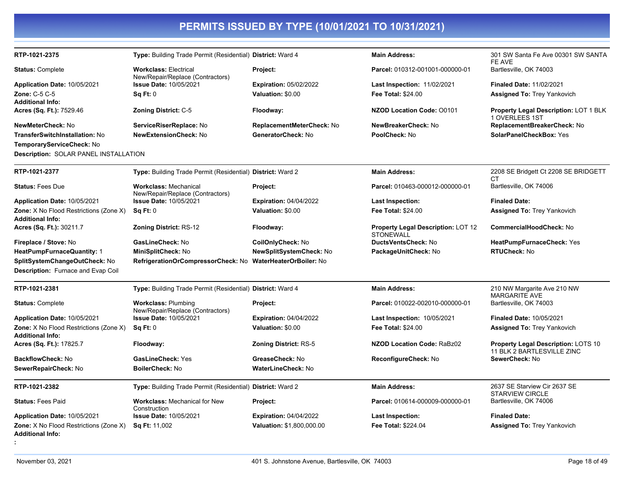| RTP-1021-2375                                                            | Type: Building Trade Permit (Residential) District: Ward 4        |                                | <b>Main Address:</b>                                          | 301 SW Santa Fe Ave 00301 SW SANTA<br>FE AVE                      |
|--------------------------------------------------------------------------|-------------------------------------------------------------------|--------------------------------|---------------------------------------------------------------|-------------------------------------------------------------------|
| <b>Status: Complete</b>                                                  | <b>Workclass: Electrical</b><br>New/Repair/Replace (Contractors)  | Project:                       | Parcel: 010312-001001-000000-01                               | Bartlesville, OK 74003                                            |
| Application Date: 10/05/2021                                             | <b>Issue Date: 10/05/2021</b>                                     | <b>Expiration: 05/02/2022</b>  | <b>Last Inspection: 11/02/2021</b>                            | <b>Finaled Date: 11/02/2021</b>                                   |
| Zone: C-5 C-5                                                            | Sq Ft: 0                                                          | Valuation: \$0.00              | Fee Total: \$24.00                                            | <b>Assigned To: Trey Yankovich</b>                                |
| <b>Additional Info:</b>                                                  |                                                                   |                                |                                                               |                                                                   |
| Acres (Sq. Ft.): 7529.46                                                 | <b>Zoning District: C-5</b>                                       | Floodway:                      | <b>NZOD Location Code: 00101</b>                              | <b>Property Legal Description: LOT 1 BLK</b><br>1 OVERLEES 1ST    |
| NewMeterCheck: No                                                        | ServiceRiserReplace: No                                           | ReplacementMeterCheck: No      | NewBreakerCheck: No                                           | ReplacementBreakerCheck: No                                       |
| <b>TransferSwitchInstallation: No</b>                                    | <b>NewExtensionCheck: No</b>                                      | GeneratorCheck: No             | PoolCheck: No                                                 | SolarPanelCheckBox: Yes                                           |
| TemporaryServiceCheck: No                                                |                                                                   |                                |                                                               |                                                                   |
| Description: SOLAR PANEL INSTALLATION                                    |                                                                   |                                |                                                               |                                                                   |
| RTP-1021-2377                                                            | Type: Building Trade Permit (Residential) District: Ward 2        |                                | <b>Main Address:</b>                                          | 2208 SE Bridgett Ct 2208 SE BRIDGETT<br>CТ                        |
| <b>Status: Fees Due</b>                                                  | <b>Workclass: Mechanical</b><br>New/Repair/Replace (Contractors)  | Project:                       | Parcel: 010463-000012-000000-01                               | Bartlesville, OK 74006                                            |
| Application Date: 10/05/2021                                             | <b>Issue Date: 10/05/2021</b>                                     | <b>Expiration: 04/04/2022</b>  | Last Inspection:                                              | <b>Finaled Date:</b>                                              |
| <b>Zone:</b> X No Flood Restrictions (Zone X)<br><b>Additional Info:</b> | Sq Ft: 0                                                          | Valuation: \$0.00              | <b>Fee Total: \$24.00</b>                                     | <b>Assigned To: Trey Yankovich</b>                                |
| Acres (Sq. Ft.): 30211.7                                                 | <b>Zoning District: RS-12</b>                                     | Floodway:                      | <b>Property Legal Description: LOT 12</b><br><b>STONEWALL</b> | <b>CommercialHoodCheck: No</b>                                    |
| Fireplace / Stove: No                                                    | GasLineCheck: No                                                  | CoilOnlyCheck: No              | <b>DuctsVentsCheck: No</b>                                    | HeatPumpFurnaceCheck: Yes                                         |
| <b>HeatPumpFurnaceQuantity: 1</b>                                        | MiniSplitCheck: No                                                | <b>NewSplitSystemCheck: No</b> | PackageUnitCheck: No                                          | RTUCheck: No                                                      |
| SplitSystemChangeOutCheck: No                                            | RefrigerationOrCompressorCheck: No WaterHeaterOrBoiler: No        |                                |                                                               |                                                                   |
| Description: Furnace and Evap Coil                                       |                                                                   |                                |                                                               |                                                                   |
| RTP-1021-2381                                                            | Type: Building Trade Permit (Residential) District: Ward 4        |                                | <b>Main Address:</b>                                          | 210 NW Margarite Ave 210 NW                                       |
| <b>Status: Complete</b>                                                  | <b>Workclass: Plumbing</b>                                        | Project:                       | Parcel: 010022-002010-000000-01                               | <b>MARGARITE AVE</b><br>Bartlesville, OK 74003                    |
| Application Date: 10/05/2021                                             | New/Repair/Replace (Contractors)<br><b>Issue Date: 10/05/2021</b> | <b>Expiration: 04/04/2022</b>  | <b>Last Inspection: 10/05/2021</b>                            | <b>Finaled Date: 10/05/2021</b>                                   |
| Zone: X No Flood Restrictions (Zone X)                                   | Sq Ft: 0                                                          | Valuation: \$0.00              | Fee Total: \$24.00                                            | <b>Assigned To: Trey Yankovich</b>                                |
| <b>Additional Info:</b>                                                  |                                                                   |                                |                                                               |                                                                   |
| Acres (Sq. Ft.): 17825.7                                                 | Floodway:                                                         | <b>Zoning District: RS-5</b>   | <b>NZOD Location Code: RaBz02</b>                             | Property Legal Description: LOTS 10<br>11 BLK 2 BARTLESVILLE ZINC |
| <b>BackflowCheck: No</b>                                                 | <b>GasLineCheck: Yes</b>                                          | GreaseCheck: No                | ReconfigureCheck: No                                          | SewerCheck: No                                                    |
| SewerRepairCheck: No                                                     | <b>BoilerCheck: No</b>                                            | <b>WaterLineCheck: No</b>      |                                                               |                                                                   |
| RTP-1021-2382                                                            | Type: Building Trade Permit (Residential) District: Ward 2        |                                | <b>Main Address:</b>                                          | 2637 SE Starview Cir 2637 SE<br><b>STARVIEW CIRCLE</b>            |
| <b>Status: Fees Paid</b>                                                 | <b>Workclass: Mechanical for New</b><br>Construction              | Project:                       | Parcel: 010614-000009-000000-01                               | Bartlesville, OK 74006                                            |
| Application Date: 10/05/2021                                             | <b>Issue Date: 10/05/2021</b>                                     | <b>Expiration: 04/04/2022</b>  | Last Inspection:                                              | <b>Finaled Date:</b>                                              |
| <b>Zone:</b> X No Flood Restrictions (Zone X)<br><b>Additional Info:</b> | Sq Ft: 11,002                                                     | Valuation: \$1,800,000.00      | Fee Total: \$224.04                                           | <b>Assigned To: Trey Yankovich</b>                                |
|                                                                          |                                                                   |                                |                                                               |                                                                   |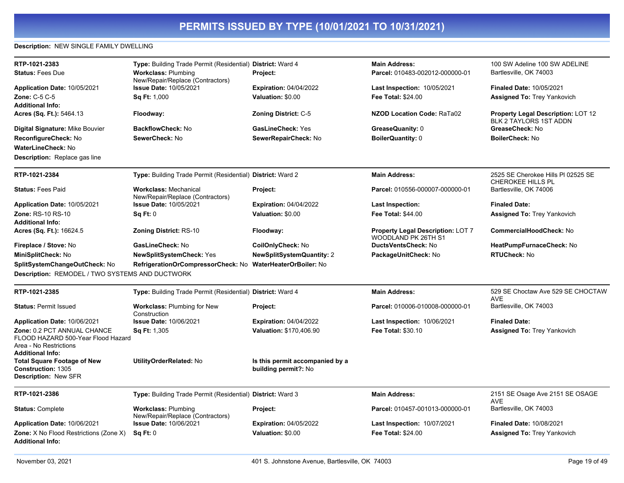### **Description:** NEW SINGLE FAMILY DWELLING

| RTP-1021-2383                                                                                                          | Type: Building Trade Permit (Residential) District: Ward 4       |                                                         | <b>Main Address:</b>                                            | 100 SW Adeline 100 SW ADELINE                                       |
|------------------------------------------------------------------------------------------------------------------------|------------------------------------------------------------------|---------------------------------------------------------|-----------------------------------------------------------------|---------------------------------------------------------------------|
| <b>Status: Fees Due</b>                                                                                                | <b>Workclass: Plumbing</b><br>New/Repair/Replace (Contractors)   | Project:                                                | Parcel: 010483-002012-000000-01                                 | Bartlesville, OK 74003                                              |
| Application Date: 10/05/2021                                                                                           | Issue Date: 10/05/2021                                           | <b>Expiration: 04/04/2022</b>                           | Last Inspection: 10/05/2021                                     | <b>Finaled Date: 10/05/2021</b>                                     |
| Zone: C-5 C-5                                                                                                          | <b>Sq Ft: 1,000</b>                                              | Valuation: \$0.00                                       | <b>Fee Total: \$24.00</b>                                       | <b>Assigned To: Trey Yankovich</b>                                  |
| <b>Additional Info:</b>                                                                                                |                                                                  |                                                         |                                                                 |                                                                     |
| Acres (Sq. Ft.): 5464.13                                                                                               | Floodway:                                                        | <b>Zoning District: C-5</b>                             | <b>NZOD Location Code: RaTa02</b>                               | <b>Property Legal Description: LOT 12</b><br>BLK 2 TAYLORS 1ST ADDN |
| Digital Signature: Mike Bouvier                                                                                        | <b>BackflowCheck: No</b>                                         | <b>GasLineCheck: Yes</b>                                | GreaseQuanity: 0                                                | GreaseCheck: No                                                     |
| ReconfigureCheck: No                                                                                                   | SewerCheck: No                                                   | SewerRepairCheck: No                                    | <b>BoilerQuantity: 0</b>                                        | <b>BoilerCheck: No</b>                                              |
| <b>WaterLineCheck: No</b>                                                                                              |                                                                  |                                                         |                                                                 |                                                                     |
| <b>Description:</b> Replace gas line                                                                                   |                                                                  |                                                         |                                                                 |                                                                     |
| RTP-1021-2384                                                                                                          | Type: Building Trade Permit (Residential) District: Ward 2       |                                                         | <b>Main Address:</b>                                            | 2525 SE Cherokee Hills PI 02525 SE<br>CHEROKEE HILLS PL             |
| <b>Status: Fees Paid</b>                                                                                               | <b>Workclass: Mechanical</b><br>New/Repair/Replace (Contractors) | Project:                                                | Parcel: 010556-000007-000000-01                                 | Bartlesville, OK 74006                                              |
| Application Date: 10/05/2021                                                                                           | <b>Issue Date: 10/05/2021</b>                                    | <b>Expiration: 04/04/2022</b>                           | Last Inspection:                                                | <b>Finaled Date:</b>                                                |
| Zone: RS-10 RS-10                                                                                                      | Sq Ft: 0                                                         | Valuation: \$0.00                                       | <b>Fee Total: \$44.00</b>                                       | <b>Assigned To: Trey Yankovich</b>                                  |
| <b>Additional Info:</b>                                                                                                |                                                                  |                                                         |                                                                 |                                                                     |
| Acres (Sq. Ft.): 16624.5                                                                                               | <b>Zoning District: RS-10</b>                                    | Floodway:                                               | <b>Property Legal Description: LOT 7</b><br>WOODLAND PK 26TH S1 | CommercialHoodCheck: No                                             |
| Fireplace / Stove: No                                                                                                  | GasLineCheck: No                                                 | CoilOnlyCheck: No                                       | <b>DuctsVentsCheck: No</b>                                      | HeatPumpFurnaceCheck: No                                            |
| MiniSplitCheck: No                                                                                                     | <b>NewSplitSystemCheck: Yes</b>                                  | <b>NewSplitSystemQuantity: 2</b>                        | PackageUnitCheck: No                                            | <b>RTUCheck: No</b>                                                 |
| SplitSystemChangeOutCheck: No                                                                                          | RefrigerationOrCompressorCheck: No                               | <b>WaterHeaterOrBoiler: No</b>                          |                                                                 |                                                                     |
| Description: REMODEL / TWO SYSTEMS AND DUCTWORK                                                                        |                                                                  |                                                         |                                                                 |                                                                     |
| RTP-1021-2385                                                                                                          | Type: Building Trade Permit (Residential) District: Ward 4       |                                                         | <b>Main Address:</b>                                            | 529 SE Choctaw Ave 529 SE CHOCTAW<br><b>AVE</b>                     |
| <b>Status: Permit Issued</b>                                                                                           | <b>Workclass: Plumbing for New</b><br>Construction               | Project:                                                | Parcel: 010006-010008-000000-01                                 | Bartlesville, OK 74003                                              |
| Application Date: 10/06/2021                                                                                           | <b>Issue Date: 10/06/2021</b>                                    | <b>Expiration: 04/04/2022</b>                           | Last Inspection: 10/06/2021                                     | <b>Finaled Date:</b>                                                |
| Zone: 0.2 PCT ANNUAL CHANCE<br>FLOOD HAZARD 500-Year Flood Hazard<br>Area - No Restrictions<br><b>Additional Info:</b> | <b>Sq Ft: 1,305</b>                                              | <b>Valuation: \$170,406.90</b>                          | <b>Fee Total: \$30.10</b>                                       | Assigned To: Trey Yankovich                                         |
| <b>Total Square Footage of New</b><br>Construction: 1305<br>Description: New SFR                                       | UtilityOrderRelated: No                                          | Is this permit accompanied by a<br>building permit?: No |                                                                 |                                                                     |
| RTP-1021-2386                                                                                                          | Type: Building Trade Permit (Residential) District: Ward 3       |                                                         | <b>Main Address:</b>                                            | 2151 SE Osage Ave 2151 SE OSAGE                                     |
| <b>Status: Complete</b>                                                                                                | <b>Workclass: Plumbing</b><br>New/Repair/Replace (Contractors)   | Project:                                                | Parcel: 010457-001013-000000-01                                 | <b>AVE</b><br>Bartlesville, OK 74003                                |
| Application Date: 10/06/2021                                                                                           | <b>Issue Date: 10/06/2021</b>                                    | <b>Expiration: 04/05/2022</b>                           | <b>Last Inspection: 10/07/2021</b>                              | <b>Finaled Date: 10/08/2021</b>                                     |
| <b>Zone:</b> X No Flood Restrictions (Zone X)<br><b>Additional Info:</b>                                               | Sq Ft: 0                                                         | Valuation: \$0.00                                       | <b>Fee Total: \$24.00</b>                                       | <b>Assigned To: Trey Yankovich</b>                                  |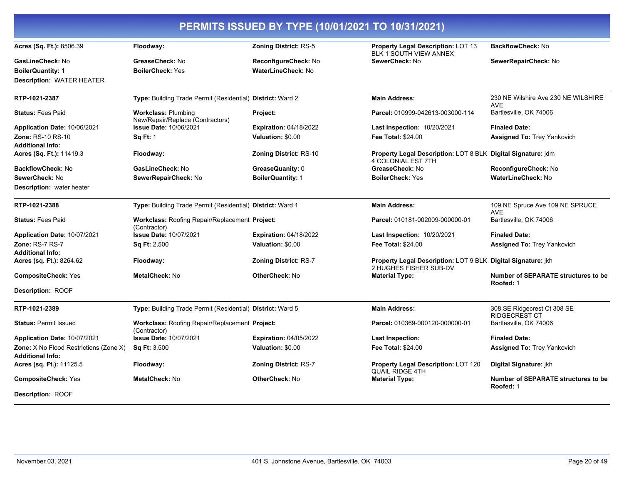|                                                                          |                                                                |                               | PERMITS ISSUED BY TYPE (10/01/2021 TO 10/31/2021)                                             |                                                         |
|--------------------------------------------------------------------------|----------------------------------------------------------------|-------------------------------|-----------------------------------------------------------------------------------------------|---------------------------------------------------------|
| Acres (Sq. Ft.): 8506.39                                                 | Floodway:                                                      | <b>Zoning District: RS-5</b>  | <b>Property Legal Description: LOT 13</b><br><b>BLK 1 SOUTH VIEW ANNEX</b>                    | BackflowCheck: No                                       |
| GasLineCheck: No                                                         | GreaseCheck: No                                                | ReconfigureCheck: No          | SewerCheck: No                                                                                | SewerRepairCheck: No                                    |
| <b>BoilerQuantity: 1</b>                                                 | <b>BoilerCheck: Yes</b>                                        | WaterLineCheck: No            |                                                                                               |                                                         |
| <b>Description: WATER HEATER</b>                                         |                                                                |                               |                                                                                               |                                                         |
| RTP-1021-2387                                                            | Type: Building Trade Permit (Residential) District: Ward 2     |                               | <b>Main Address:</b>                                                                          | 230 NE Wilshire Ave 230 NE WILSHIRE<br><b>AVE</b>       |
| <b>Status: Fees Paid</b>                                                 | <b>Workclass: Plumbing</b><br>New/Repair/Replace (Contractors) | Project:                      | Parcel: 010999-042613-003000-114                                                              | Bartlesville, OK 74006                                  |
| Application Date: 10/06/2021                                             | <b>Issue Date: 10/06/2021</b>                                  | <b>Expiration: 04/18/2022</b> | <b>Last Inspection: 10/20/2021</b>                                                            | <b>Finaled Date:</b>                                    |
| Zone: RS-10 RS-10<br><b>Additional Info:</b>                             | <b>Sq Ft: 1</b>                                                | Valuation: \$0.00             | <b>Fee Total: \$24.00</b>                                                                     | <b>Assigned To: Trey Yankovich</b>                      |
| Acres (Sq. Ft.): 11419.3                                                 | Floodway:                                                      | <b>Zoning District: RS-10</b> | Property Legal Description: LOT 8 BLK Digital Signature: jdm<br>4 COLONIAL EST 7TH            |                                                         |
| <b>BackflowCheck: No</b>                                                 | GasLineCheck: No                                               | GreaseQuanity: 0              | GreaseCheck: No                                                                               | ReconfigureCheck: No                                    |
| SewerCheck: No                                                           | SewerRepairCheck: No                                           | <b>BoilerQuantity: 1</b>      | <b>BoilerCheck: Yes</b>                                                                       | <b>WaterLineCheck: No</b>                               |
| <b>Description:</b> water heater                                         |                                                                |                               |                                                                                               |                                                         |
| RTP-1021-2388                                                            | Type: Building Trade Permit (Residential) District: Ward 1     |                               | <b>Main Address:</b>                                                                          | 109 NE Spruce Ave 109 NE SPRUCE<br><b>AVE</b>           |
| <b>Status: Fees Paid</b>                                                 | Workclass: Roofing Repair/Replacement Project:<br>(Contractor) |                               | Parcel: 010181-002009-000000-01                                                               | Bartlesville, OK 74006                                  |
| Application Date: 10/07/2021                                             | <b>Issue Date: 10/07/2021</b>                                  | <b>Expiration: 04/18/2022</b> | <b>Last Inspection: 10/20/2021</b>                                                            | <b>Finaled Date:</b>                                    |
| Zone: RS-7 RS-7                                                          | <b>Sq Ft: 2,500</b>                                            | Valuation: \$0.00             | <b>Fee Total: \$24.00</b>                                                                     | <b>Assigned To: Trey Yankovich</b>                      |
| <b>Additional Info:</b>                                                  |                                                                |                               |                                                                                               |                                                         |
| Acres (sq. Ft.): 8264.62                                                 | Floodway:                                                      | <b>Zoning District: RS-7</b>  | <b>Property Legal Description: LOT 9 BLK Digital Signature: jkh</b><br>2 HUGHES FISHER SUB-DV |                                                         |
| <b>CompositeCheck: Yes</b>                                               | MetalCheck: No                                                 | OtherCheck: No                | <b>Material Type:</b>                                                                         | <b>Number of SEPARATE structures to be</b><br>Roofed: 1 |
| <b>Description: ROOF</b>                                                 |                                                                |                               |                                                                                               |                                                         |
| RTP-1021-2389                                                            | Type: Building Trade Permit (Residential) District: Ward 5     |                               | <b>Main Address:</b>                                                                          | 308 SE Ridgecrest Ct 308 SE<br><b>RIDGECREST CT</b>     |
| <b>Status: Permit Issued</b>                                             | Workclass: Roofing Repair/Replacement Project:<br>(Contractor) |                               | Parcel: 010369-000120-000000-01                                                               | Bartlesville, OK 74006                                  |
| Application Date: 10/07/2021                                             | <b>Issue Date: 10/07/2021</b>                                  | <b>Expiration: 04/05/2022</b> | <b>Last Inspection:</b>                                                                       | <b>Finaled Date:</b>                                    |
| <b>Zone:</b> X No Flood Restrictions (Zone X)<br><b>Additional Info:</b> | <b>Sq Ft: 3,500</b>                                            | Valuation: \$0.00             | <b>Fee Total: \$24.00</b>                                                                     | <b>Assigned To: Trey Yankovich</b>                      |
| Acres (sq. Ft.): 11125.5                                                 | Floodway:                                                      | <b>Zoning District: RS-7</b>  | <b>Property Legal Description: LOT 120</b><br><b>QUAIL RIDGE 4TH</b>                          | Digital Signature: jkh                                  |
| <b>CompositeCheck: Yes</b>                                               | <b>MetalCheck: No</b>                                          | <b>OtherCheck: No</b>         | <b>Material Type:</b>                                                                         | <b>Number of SEPARATE structures to be</b><br>Roofed: 1 |
| <b>Description: ROOF</b>                                                 |                                                                |                               |                                                                                               |                                                         |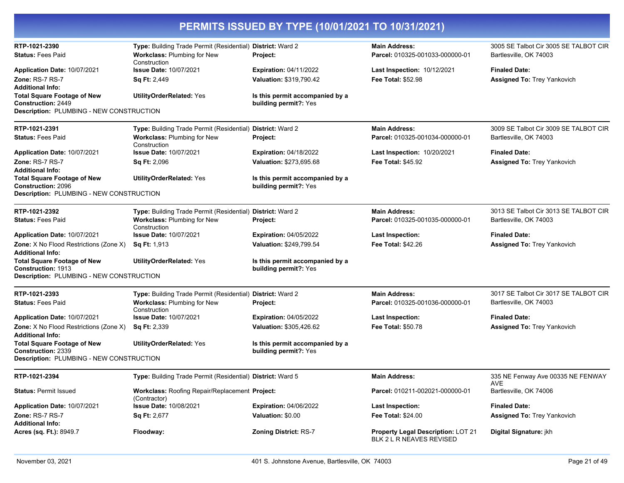| PERMITS ISSUED BY TYPE (10/01/2021 TO 10/31/2021)                                                                  |                                                                                           |                                                          |                                                                       |                                                                 |
|--------------------------------------------------------------------------------------------------------------------|-------------------------------------------------------------------------------------------|----------------------------------------------------------|-----------------------------------------------------------------------|-----------------------------------------------------------------|
| RTP-1021-2390<br><b>Status: Fees Paid</b>                                                                          | Type: Building Trade Permit (Residential) District: Ward 2<br>Workclass: Plumbing for New | Project:                                                 | <b>Main Address:</b><br>Parcel: 010325-001033-000000-01               | 3005 SE Talbot Cir 3005 SE TALBOT CIR<br>Bartlesville, OK 74003 |
| Application Date: 10/07/2021                                                                                       | Construction<br><b>Issue Date: 10/07/2021</b>                                             | <b>Expiration: 04/11/2022</b>                            | <b>Last Inspection: 10/12/2021</b>                                    | <b>Finaled Date:</b>                                            |
| Zone: RS-7 RS-7                                                                                                    | <b>Sq Ft: 2,449</b>                                                                       | Valuation: \$319,790.42                                  | <b>Fee Total: \$52.98</b>                                             | <b>Assigned To: Trey Yankovich</b>                              |
| <b>Additional Info:</b>                                                                                            |                                                                                           |                                                          |                                                                       |                                                                 |
| <b>Total Square Footage of New</b><br><b>Construction: 2449</b><br><b>Description: PLUMBING - NEW CONSTRUCTION</b> | <b>UtilityOrderRelated: Yes</b>                                                           | Is this permit accompanied by a<br>building permit?: Yes |                                                                       |                                                                 |
| RTP-1021-2391                                                                                                      | Type: Building Trade Permit (Residential) District: Ward 2                                |                                                          | <b>Main Address:</b>                                                  | 3009 SE Talbot Cir 3009 SE TALBOT CIR                           |
| <b>Status: Fees Paid</b>                                                                                           | Workclass: Plumbing for New<br>Construction                                               | Project:                                                 | Parcel: 010325-001034-000000-01                                       | Bartlesville, OK 74003                                          |
| Application Date: 10/07/2021                                                                                       | <b>Issue Date: 10/07/2021</b>                                                             | <b>Expiration: 04/18/2022</b>                            | <b>Last Inspection: 10/20/2021</b>                                    | <b>Finaled Date:</b>                                            |
| Zone: RS-7 RS-7                                                                                                    | <b>Sq Ft: 2,096</b>                                                                       | Valuation: \$273,695.68                                  | <b>Fee Total: \$45.92</b>                                             | <b>Assigned To: Trey Yankovich</b>                              |
| <b>Additional Info:</b><br><b>Total Square Footage of New</b><br><b>Construction: 2096</b>                         | <b>UtilityOrderRelated: Yes</b>                                                           | Is this permit accompanied by a<br>building permit?: Yes |                                                                       |                                                                 |
| Description: PLUMBING - NEW CONSTRUCTION                                                                           |                                                                                           |                                                          |                                                                       |                                                                 |
| RTP-1021-2392                                                                                                      | Type: Building Trade Permit (Residential) District: Ward 2                                |                                                          | <b>Main Address:</b>                                                  | 3013 SE Talbot Cir 3013 SE TALBOT CIR                           |
| <b>Status: Fees Paid</b>                                                                                           | Workclass: Plumbing for New<br>Construction                                               | Project:                                                 | Parcel: 010325-001035-000000-01                                       | Bartlesville, OK 74003                                          |
| Application Date: 10/07/2021                                                                                       | <b>Issue Date: 10/07/2021</b>                                                             | <b>Expiration: 04/05/2022</b>                            | <b>Last Inspection:</b>                                               | <b>Finaled Date:</b>                                            |
| Zone: X No Flood Restrictions (Zone X)<br><b>Additional Info:</b>                                                  | Sq Ft: 1,913                                                                              | Valuation: \$249,799.54                                  | <b>Fee Total: \$42.26</b>                                             | <b>Assigned To: Trey Yankovich</b>                              |
| <b>Total Square Footage of New</b>                                                                                 | <b>UtilityOrderRelated: Yes</b>                                                           | Is this permit accompanied by a                          |                                                                       |                                                                 |
| Construction: 1913<br>Description: PLUMBING - NEW CONSTRUCTION                                                     |                                                                                           | building permit?: Yes                                    |                                                                       |                                                                 |
| RTP-1021-2393                                                                                                      | Type: Building Trade Permit (Residential) District: Ward 2                                |                                                          | <b>Main Address:</b>                                                  | 3017 SE Talbot Cir 3017 SE TALBOT CIR                           |
| <b>Status: Fees Paid</b>                                                                                           | Workclass: Plumbing for New                                                               | Project:                                                 | Parcel: 010325-001036-000000-01                                       | Bartlesville, OK 74003                                          |
| Application Date: 10/07/2021                                                                                       | Construction<br><b>Issue Date: 10/07/2021</b>                                             | <b>Expiration: 04/05/2022</b>                            | <b>Last Inspection:</b>                                               | <b>Finaled Date:</b>                                            |
| Zone: X No Flood Restrictions (Zone X)<br><b>Additional Info:</b>                                                  | <b>Sq Ft: 2,339</b>                                                                       | Valuation: \$305,426.62                                  | <b>Fee Total: \$50.78</b>                                             | <b>Assigned To: Trey Yankovich</b>                              |
| <b>Total Square Footage of New</b><br>Construction: 2339                                                           | <b>UtilityOrderRelated: Yes</b>                                                           | Is this permit accompanied by a<br>building permit?: Yes |                                                                       |                                                                 |
| Description: PLUMBING - NEW CONSTRUCTION                                                                           |                                                                                           |                                                          |                                                                       |                                                                 |
| RTP-1021-2394                                                                                                      | Type: Building Trade Permit (Residential) District: Ward 5                                |                                                          | <b>Main Address:</b>                                                  | 335 NE Fenway Ave 00335 NE FENWAY                               |
|                                                                                                                    |                                                                                           |                                                          |                                                                       | AVE                                                             |
| <b>Status: Permit Issued</b>                                                                                       | Workclass: Roofing Repair/Replacement Project:<br>(Contractor)                            |                                                          | Parcel: 010211-002021-000000-01                                       | Bartlesville, OK 74006                                          |
| Application Date: 10/07/2021                                                                                       | Issue Date: 10/08/2021                                                                    | <b>Expiration: 04/06/2022</b>                            | <b>Last Inspection:</b>                                               | <b>Finaled Date:</b>                                            |
| Zone: RS-7 RS-7<br><b>Additional Info:</b>                                                                         | <b>Sq Ft: 2,677</b>                                                                       | Valuation: \$0.00                                        | Fee Total: \$24.00                                                    | <b>Assigned To: Trey Yankovich</b>                              |
| Acres (sq. Ft.): 8949.7                                                                                            | Floodway:                                                                                 | <b>Zoning District: RS-7</b>                             | <b>Property Legal Description: LOT 21</b><br>BLK 2 L R NEAVES REVISED | Digital Signature: jkh                                          |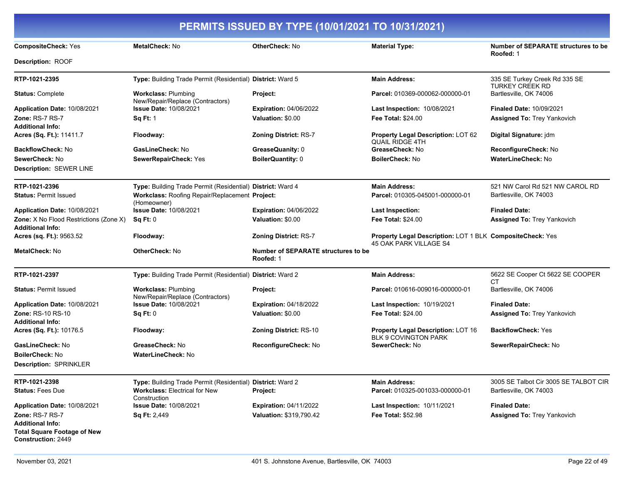| <b>CompositeCheck: Yes</b>                                        | <b>MetalCheck: No</b>                                          | <b>OtherCheck: No</b>                                   | <b>Material Type:</b>                                                                      | Number of SEPARATE structures to be              |
|-------------------------------------------------------------------|----------------------------------------------------------------|---------------------------------------------------------|--------------------------------------------------------------------------------------------|--------------------------------------------------|
| Description: ROOF                                                 |                                                                |                                                         |                                                                                            | Roofed: 1                                        |
| RTP-1021-2395                                                     | Type: Building Trade Permit (Residential) District: Ward 5     |                                                         | <b>Main Address:</b>                                                                       | 335 SE Turkey Creek Rd 335 SE                    |
| <b>Status: Complete</b>                                           | <b>Workclass: Plumbing</b><br>New/Repair/Replace (Contractors) | Project:                                                | Parcel: 010369-000062-000000-01                                                            | <b>TURKEY CREEK RD</b><br>Bartlesville, OK 74006 |
| <b>Application Date: 10/08/2021</b>                               | <b>Issue Date: 10/08/2021</b>                                  | <b>Expiration: 04/06/2022</b>                           | <b>Last Inspection: 10/08/2021</b>                                                         | <b>Finaled Date: 10/09/2021</b>                  |
| Zone: RS-7 RS-7                                                   | <b>Sq Ft: 1</b>                                                | Valuation: \$0.00                                       | Fee Total: \$24.00                                                                         | <b>Assigned To: Trey Yankovich</b>               |
| <b>Additional Info:</b>                                           |                                                                |                                                         |                                                                                            |                                                  |
| <b>Acres (Sq. Ft.):</b> 11411.7                                   | Floodway:                                                      | <b>Zoning District: RS-7</b>                            | <b>Property Legal Description: LOT 62</b><br><b>QUAIL RIDGE 4TH</b>                        | Digital Signature: jdm                           |
| BackflowCheck: No                                                 | GasLineCheck: No                                               | GreaseQuanity: 0                                        | GreaseCheck: No                                                                            | ReconfigureCheck: No                             |
| <b>SewerCheck: No</b>                                             | SewerRepairCheck: Yes                                          | <b>BoilerQuantity: 0</b>                                | <b>BoilerCheck: No</b>                                                                     | <b>WaterLineCheck: No</b>                        |
| Description: SEWER LINE                                           |                                                                |                                                         |                                                                                            |                                                  |
| RTP-1021-2396                                                     | Type: Building Trade Permit (Residential) District: Ward 4     |                                                         | <b>Main Address:</b>                                                                       | 521 NW Carol Rd 521 NW CAROL RD                  |
| <b>Status: Permit Issued</b>                                      | Workclass: Roofing Repair/Replacement Project:<br>(Homeowner)  |                                                         | Parcel: 010305-045001-000000-01                                                            | Bartlesville, OK 74003                           |
| <b>Application Date: 10/08/2021</b>                               | <b>Issue Date: 10/08/2021</b>                                  | <b>Expiration: 04/06/2022</b>                           | Last Inspection:                                                                           | <b>Finaled Date:</b>                             |
| <b>Zone:</b> X No Flood Restrictions (Zone X)<br>Additional Info: | Sq Ft: 0                                                       | Valuation: \$0.00                                       | <b>Fee Total: \$24.00</b>                                                                  | Assigned To: Trey Yankovich                      |
| Acres (sq. Ft.): 9563.52                                          | Floodway:                                                      | <b>Zoning District: RS-7</b>                            | <b>Property Legal Description: LOT 1 BLK CompositeCheck: Yes</b><br>45 OAK PARK VILLAGE S4 |                                                  |
| MetalCheck: No                                                    | <b>OtherCheck: No</b>                                          | <b>Number of SEPARATE structures to be</b><br>Roofed: 1 |                                                                                            |                                                  |
| RTP-1021-2397                                                     | Type: Building Trade Permit (Residential) District: Ward 2     |                                                         | <b>Main Address:</b>                                                                       | 5622 SE Cooper Ct 5622 SE COOPER<br><b>CT</b>    |
| <b>Status: Permit Issued</b>                                      | <b>Workclass: Plumbing</b><br>New/Repair/Replace (Contractors) | Project:                                                | Parcel: 010616-009016-000000-01                                                            | Bartlesville, OK 74006                           |
| Application Date: 10/08/2021                                      | <b>Issue Date: 10/08/2021</b>                                  | <b>Expiration: 04/18/2022</b>                           | <b>Last Inspection: 10/19/2021</b>                                                         | <b>Finaled Date:</b>                             |
| Zone: RS-10 RS-10                                                 | Sq Ft: 0                                                       | Valuation: \$0.00                                       | <b>Fee Total: \$24.00</b>                                                                  | <b>Assigned To: Trey Yankovich</b>               |
| <b>Additional Info:</b>                                           |                                                                |                                                         |                                                                                            |                                                  |
| <b>Acres (Sq. Ft.):</b> 10176.5                                   | Floodway:                                                      | <b>Zoning District: RS-10</b>                           | <b>Property Legal Description: LOT 16</b><br><b>BLK 9 COVINGTON PARK</b>                   | <b>BackflowCheck: Yes</b>                        |
| GasLineCheck: No                                                  | GreaseCheck: No                                                | ReconfigureCheck: No                                    | SewerCheck: No                                                                             | SewerRepairCheck: No                             |
| BoilerCheck: No                                                   | <b>WaterLineCheck: No</b>                                      |                                                         |                                                                                            |                                                  |
| Description: SPRINKLER                                            |                                                                |                                                         |                                                                                            |                                                  |
| RTP-1021-2398                                                     | Type: Building Trade Permit (Residential) District: Ward 2     |                                                         | <b>Main Address:</b>                                                                       | 3005 SE Talbot Cir 3005 SE TALBOT CIR            |
| <b>Status: Fees Due</b>                                           | <b>Workclass: Electrical for New</b><br>Construction           | Project:                                                | Parcel: 010325-001033-000000-01                                                            | Bartlesville, OK 74003                           |
| Application Date: 10/08/2021                                      | <b>Issue Date: 10/08/2021</b>                                  | <b>Expiration: 04/11/2022</b>                           | <b>Last Inspection: 10/11/2021</b>                                                         | <b>Finaled Date:</b>                             |
| Zone: RS-7 RS-7                                                   | <b>Sq Ft: 2,449</b>                                            | Valuation: \$319,790.42                                 | <b>Fee Total: \$52.98</b>                                                                  | <b>Assigned To: Trey Yankovich</b>               |
| <b>Additional Info:</b>                                           |                                                                |                                                         |                                                                                            |                                                  |
| <b>Total Square Footage of New</b><br><b>Construction: 2449</b>   |                                                                |                                                         |                                                                                            |                                                  |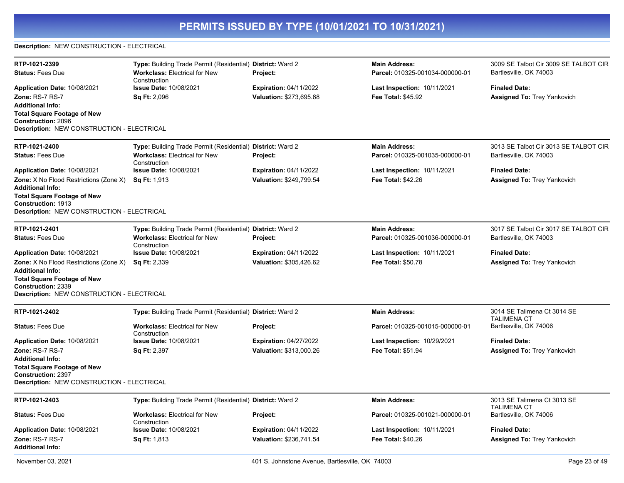### **Description:** NEW CONSTRUCTION - ELECTRICAL

| RTP-1021-2399                                                                                                                                                                             | Type: Building Trade Permit (Residential) District: Ward 2 |                               | <b>Main Address:</b>               | 3009 SE Talbot Cir 3009 SE TALBOT CIR        |
|-------------------------------------------------------------------------------------------------------------------------------------------------------------------------------------------|------------------------------------------------------------|-------------------------------|------------------------------------|----------------------------------------------|
| <b>Status: Fees Due</b>                                                                                                                                                                   | <b>Workclass: Electrical for New</b><br>Construction       | <b>Project:</b>               | Parcel: 010325-001034-000000-01    | Bartlesville, OK 74003                       |
| Application Date: 10/08/2021                                                                                                                                                              | <b>Issue Date: 10/08/2021</b>                              | <b>Expiration: 04/11/2022</b> | <b>Last Inspection: 10/11/2021</b> | <b>Finaled Date:</b>                         |
| Zone: RS-7 RS-7<br><b>Additional Info:</b><br><b>Total Square Footage of New</b><br><b>Construction: 2096</b><br><b>Description: NEW CONSTRUCTION - ELECTRICAL</b>                        | <b>Sq Ft: 2,096</b>                                        | Valuation: \$273,695.68       | <b>Fee Total: \$45.92</b>          | <b>Assigned To: Trey Yankovich</b>           |
|                                                                                                                                                                                           |                                                            |                               |                                    |                                              |
| RTP-1021-2400                                                                                                                                                                             | Type: Building Trade Permit (Residential) District: Ward 2 |                               | <b>Main Address:</b>               | 3013 SE Talbot Cir 3013 SE TALBOT CIR        |
| <b>Status: Fees Due</b>                                                                                                                                                                   | <b>Workclass: Electrical for New</b><br>Construction       | Project:                      | Parcel: 010325-001035-000000-01    | Bartlesville, OK 74003                       |
| Application Date: 10/08/2021                                                                                                                                                              | <b>Issue Date: 10/08/2021</b>                              | <b>Expiration: 04/11/2022</b> | <b>Last Inspection: 10/11/2021</b> | <b>Finaled Date:</b>                         |
| <b>Zone:</b> X No Flood Restrictions (Zone X)<br><b>Additional Info:</b><br><b>Total Square Footage of New</b><br>Construction: 1913<br>Description: NEW CONSTRUCTION - ELECTRICAL        | <b>Sq Ft: 1,913</b>                                        | Valuation: \$249,799.54       | Fee Total: \$42.26                 | <b>Assigned To: Trey Yankovich</b>           |
| RTP-1021-2401                                                                                                                                                                             | Type: Building Trade Permit (Residential) District: Ward 2 |                               | <b>Main Address:</b>               | 3017 SE Talbot Cir 3017 SE TALBOT CIR        |
| <b>Status: Fees Due</b>                                                                                                                                                                   | <b>Workclass: Electrical for New</b><br>Construction       | Project:                      | Parcel: 010325-001036-000000-01    | Bartlesville, OK 74003                       |
| Application Date: 10/08/2021                                                                                                                                                              | <b>Issue Date: 10/08/2021</b>                              | <b>Expiration: 04/11/2022</b> | <b>Last Inspection: 10/11/2021</b> | <b>Finaled Date:</b>                         |
| <b>Zone:</b> X No Flood Restrictions (Zone X)<br><b>Additional Info:</b><br><b>Total Square Footage of New</b><br>Construction: 2339<br><b>Description: NEW CONSTRUCTION - ELECTRICAL</b> | <b>Sq Ft: 2,339</b>                                        | Valuation: \$305,426.62       | <b>Fee Total: \$50.78</b>          | <b>Assigned To: Trey Yankovich</b>           |
| RTP-1021-2402                                                                                                                                                                             | Type: Building Trade Permit (Residential) District: Ward 2 |                               | <b>Main Address:</b>               | 3014 SE Talimena Ct 3014 SE                  |
| <b>Status: Fees Due</b>                                                                                                                                                                   | Workclass: Electrical for New<br>Construction              | Project:                      | Parcel: 010325-001015-000000-01    | <b>TALIMENA CT</b><br>Bartlesville, OK 74006 |
| Application Date: 10/08/2021                                                                                                                                                              | <b>Issue Date: 10/08/2021</b>                              | <b>Expiration: 04/27/2022</b> | <b>Last Inspection: 10/29/2021</b> | <b>Finaled Date:</b>                         |
| Zone: RS-7 RS-7<br><b>Additional Info:</b><br><b>Total Square Footage of New</b><br><b>Construction: 2397</b><br><b>Description: NEW CONSTRUCTION - ELECTRICAL</b>                        | <b>Sq Ft: 2,397</b>                                        | Valuation: \$313,000.26       | <b>Fee Total: \$51.94</b>          | Assigned To: Trey Yankovich                  |
| RTP-1021-2403                                                                                                                                                                             | Type: Building Trade Permit (Residential) District: Ward 2 |                               | <b>Main Address:</b>               | 3013 SE Talimena Ct 3013 SE                  |
| <b>Status: Fees Due</b>                                                                                                                                                                   | <b>Workclass: Electrical for New</b><br>Construction       | Project:                      | Parcel: 010325-001021-000000-01    | <b>TALIMENA CT</b><br>Bartlesville, OK 74006 |
| Application Date: 10/08/2021                                                                                                                                                              | Issue Date: 10/08/2021                                     | <b>Expiration: 04/11/2022</b> | <b>Last Inspection: 10/11/2021</b> | <b>Finaled Date:</b>                         |
| Zone: RS-7 RS-7<br><b>Additional Info:</b>                                                                                                                                                | <b>Sq Ft: 1,813</b>                                        | Valuation: \$236,741.54       | <b>Fee Total: \$40.26</b>          | <b>Assigned To: Trey Yankovich</b>           |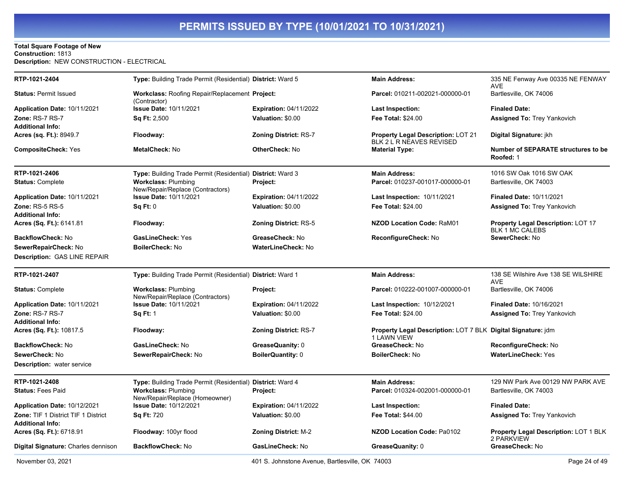### **Total Square Footage of New Construction:** 1813 **Description:** NEW CONSTRUCTION - ELECTRICAL

| RTP-1021-2404                                                  | Type: Building Trade Permit (Residential) District: Ward 5     |                               | <b>Main Address:</b>                                                               | 335 NE Fenway Ave 00335 NE FENWAY<br>AVE                            |
|----------------------------------------------------------------|----------------------------------------------------------------|-------------------------------|------------------------------------------------------------------------------------|---------------------------------------------------------------------|
| <b>Status: Permit Issued</b>                                   | Workclass: Roofing Repair/Replacement Project:<br>(Contractor) |                               | Parcel: 010211-002021-000000-01                                                    | Bartlesville, OK 74006                                              |
| Application Date: 10/11/2021                                   | <b>Issue Date: 10/11/2021</b>                                  | <b>Expiration: 04/11/2022</b> | Last Inspection:                                                                   | <b>Finaled Date:</b>                                                |
| Zone: RS-7 RS-7                                                | <b>Sq Ft: 2,500</b>                                            | Valuation: \$0.00             | <b>Fee Total: \$24.00</b>                                                          | <b>Assigned To: Trey Yankovich</b>                                  |
| <b>Additional Info:</b>                                        |                                                                |                               |                                                                                    |                                                                     |
| Acres (sq. Ft.): 8949.7                                        | Floodway:                                                      | <b>Zoning District: RS-7</b>  | <b>Property Legal Description: LOT 21</b><br>BLK 2 L R NEAVES REVISED              | Digital Signature: jkh                                              |
| <b>CompositeCheck: Yes</b>                                     | MetalCheck: No                                                 | OtherCheck: No                | <b>Material Type:</b>                                                              | <b>Number of SEPARATE structures to be</b><br>Roofed: 1             |
| RTP-1021-2406                                                  | Type: Building Trade Permit (Residential) District: Ward 3     |                               | <b>Main Address:</b>                                                               | 1016 SW Oak 1016 SW OAK                                             |
| <b>Status: Complete</b>                                        | <b>Workclass: Plumbing</b><br>New/Repair/Replace (Contractors) | Project:                      | Parcel: 010237-001017-000000-01                                                    | Bartlesville, OK 74003                                              |
| Application Date: 10/11/2021                                   | <b>Issue Date: 10/11/2021</b>                                  | <b>Expiration: 04/11/2022</b> | Last Inspection: 10/11/2021                                                        | <b>Finaled Date: 10/11/2021</b>                                     |
| <b>Zone: RS-5 RS-5</b>                                         | Sq Ft: 0                                                       | Valuation: \$0.00             | <b>Fee Total: \$24.00</b>                                                          | <b>Assigned To: Trey Yankovich</b>                                  |
| <b>Additional Info:</b>                                        |                                                                |                               |                                                                                    |                                                                     |
| Acres (Sq. Ft.): 6141.81                                       | Floodway:                                                      | <b>Zoning District: RS-5</b>  | <b>NZOD Location Code: RaM01</b>                                                   | <b>Property Legal Description: LOT 17</b><br><b>BLK 1 MC CALEBS</b> |
| BackflowCheck: No                                              | <b>GasLineCheck: Yes</b>                                       | GreaseCheck: No               | ReconfigureCheck: No                                                               | SewerCheck: No                                                      |
| SewerRepairCheck: No                                           | <b>BoilerCheck: No</b>                                         | WaterLineCheck: No            |                                                                                    |                                                                     |
| <b>Description: GAS LINE REPAIR</b>                            |                                                                |                               |                                                                                    |                                                                     |
| RTP-1021-2407                                                  | Type: Building Trade Permit (Residential) District: Ward 1     |                               | <b>Main Address:</b>                                                               | 138 SE Wilshire Ave 138 SE WILSHIRE<br><b>AVE</b>                   |
| <b>Status: Complete</b>                                        | <b>Workclass: Plumbing</b><br>New/Repair/Replace (Contractors) | Project:                      | Parcel: 010222-001007-000000-01                                                    | Bartlesville, OK 74006                                              |
| Application Date: 10/11/2021                                   | <b>Issue Date: 10/11/2021</b>                                  | <b>Expiration: 04/11/2022</b> | Last Inspection: 10/12/2021                                                        | <b>Finaled Date: 10/16/2021</b>                                     |
| Zone: RS-7 RS-7                                                | <b>Sq Ft: 1</b>                                                | Valuation: \$0.00             | Fee Total: \$24.00                                                                 | <b>Assigned To: Trey Yankovich</b>                                  |
| <b>Additional Info:</b>                                        |                                                                |                               |                                                                                    |                                                                     |
| Acres (Sq. Ft.): 10817.5                                       | Floodway:                                                      | <b>Zoning District: RS-7</b>  | <b>Property Legal Description: LOT 7 BLK Digital Signature: jdm</b><br>1 LAWN VIEW |                                                                     |
| <b>BackflowCheck: No</b>                                       | GasLineCheck: No                                               | GreaseQuanity: 0              | GreaseCheck: No                                                                    | ReconfigureCheck: No                                                |
| SewerCheck: No                                                 | SewerRepairCheck: No                                           | <b>BoilerQuantity: 0</b>      | <b>BoilerCheck: No</b>                                                             | <b>WaterLineCheck: Yes</b>                                          |
| <b>Description:</b> water service                              |                                                                |                               |                                                                                    |                                                                     |
| RTP-1021-2408                                                  | Type: Building Trade Permit (Residential) District: Ward 4     |                               | <b>Main Address:</b>                                                               | 129 NW Park Ave 00129 NW PARK AVE                                   |
| <b>Status: Fees Paid</b>                                       | <b>Workclass: Plumbing</b><br>New/Repair/Replace (Homeowner)   | Project:                      | Parcel: 010324-002001-000000-01                                                    | Bartlesville, OK 74003                                              |
| Application Date: 10/12/2021                                   | <b>Issue Date: 10/12/2021</b>                                  | <b>Expiration: 04/11/2022</b> | <b>Last Inspection:</b>                                                            | <b>Finaled Date:</b>                                                |
| Zone: TIF 1 District TIF 1 District<br><b>Additional Info:</b> | Sq Ft: 720                                                     | Valuation: \$0.00             | Fee Total: \$44.00                                                                 | Assigned To: Trey Yankovich                                         |
| Acres (Sq. Ft.): 6718.91                                       | Floodway: 100yr flood                                          | Zoning District: M-2          | <b>NZOD Location Code: Pa0102</b>                                                  | <b>Property Legal Description: LOT 1 BLK</b><br>2 PARKVIEW          |
| <b>Digital Signature:</b> Charles dennison                     |                                                                |                               |                                                                                    |                                                                     |
|                                                                | <b>BackflowCheck: No</b>                                       | GasLineCheck: No              | GreaseQuanity: 0                                                                   | GreaseCheck: No                                                     |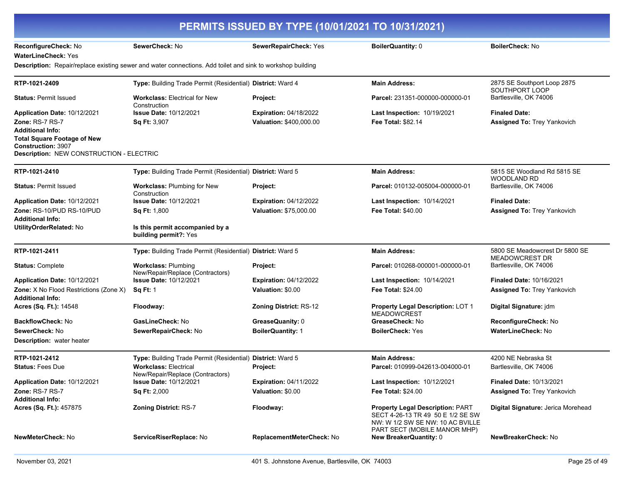| PERMITS ISSUED BY TYPE (10/01/2021 TO 10/31/2021)                                   |                                                                                                            |                               |                                                                                                                  |                                                         |
|-------------------------------------------------------------------------------------|------------------------------------------------------------------------------------------------------------|-------------------------------|------------------------------------------------------------------------------------------------------------------|---------------------------------------------------------|
| ReconfigureCheck: No                                                                | SewerCheck: No                                                                                             | SewerRepairCheck: Yes         | <b>BoilerQuantity: 0</b>                                                                                         | <b>BoilerCheck: No</b>                                  |
| WaterLineCheck: Yes                                                                 |                                                                                                            |                               |                                                                                                                  |                                                         |
|                                                                                     | Description: Repair/replace existing sewer and water connections. Add toilet and sink to workshop building |                               |                                                                                                                  |                                                         |
| RTP-1021-2409                                                                       | Type: Building Trade Permit (Residential) District: Ward 4                                                 |                               | <b>Main Address:</b>                                                                                             | 2875 SE Southport Loop 2875<br>SOUTHPORT LOOP           |
| <b>Status: Permit Issued</b>                                                        | <b>Workclass: Electrical for New</b><br>Construction                                                       | Project:                      | <b>Parcel: 231351-000000-000000-01</b>                                                                           | Bartlesville, OK 74006                                  |
| Application Date: 10/12/2021                                                        | <b>Issue Date: 10/12/2021</b>                                                                              | <b>Expiration: 04/18/2022</b> | Last Inspection: 10/19/2021                                                                                      | <b>Finaled Date:</b>                                    |
| <b>Zone: RS-7 RS-7</b>                                                              | Sq Ft: 3,907                                                                                               | Valuation: \$400,000.00       | <b>Fee Total: \$82.14</b>                                                                                        | Assigned To: Trey Yankovich                             |
| Additional Info:<br><b>Total Square Footage of New</b><br><b>Construction: 3907</b> |                                                                                                            |                               |                                                                                                                  |                                                         |
| <b>Description: NEW CONSTRUCTION - ELECTRIC</b>                                     |                                                                                                            |                               |                                                                                                                  |                                                         |
| RTP-1021-2410                                                                       | Type: Building Trade Permit (Residential) District: Ward 5                                                 |                               | <b>Main Address:</b>                                                                                             | 5815 SE Woodland Rd 5815 SE<br><b>WOODLAND RD</b>       |
| <b>Status: Permit Issued</b>                                                        | Workclass: Plumbing for New<br>Construction                                                                | <b>Project:</b>               | Parcel: 010132-005004-000000-01                                                                                  | Bartlesville, OK 74006                                  |
| <b>Application Date: 10/12/2021</b>                                                 | <b>Issue Date: 10/12/2021</b>                                                                              | <b>Expiration: 04/12/2022</b> | <b>Last Inspection: 10/14/2021</b>                                                                               | <b>Finaled Date:</b>                                    |
| Zone: RS-10/PUD RS-10/PUD                                                           | <b>Sq Ft: 1,800</b>                                                                                        | <b>Valuation: \$75,000.00</b> | <b>Fee Total: \$40.00</b>                                                                                        | <b>Assigned To: Trey Yankovich</b>                      |
| <b>Additional Info:</b><br>UtilityOrderRelated: No                                  | Is this permit accompanied by a<br>building permit?: Yes                                                   |                               |                                                                                                                  |                                                         |
| RTP-1021-2411                                                                       | Type: Building Trade Permit (Residential) District: Ward 5                                                 |                               | <b>Main Address:</b>                                                                                             | 5800 SE Meadowcrest Dr 5800 SE<br><b>MEADOWCREST DR</b> |
| <b>Status: Complete</b>                                                             | <b>Workclass: Plumbing</b><br>New/Repair/Replace (Contractors)                                             | Project:                      | Parcel: 010268-000001-000000-01                                                                                  | Bartlesville, OK 74006                                  |
| <b>Application Date: 10/12/2021</b>                                                 | <b>Issue Date: 10/12/2021</b>                                                                              | <b>Expiration: 04/12/2022</b> | Last Inspection: 10/14/2021                                                                                      | <b>Finaled Date: 10/16/2021</b>                         |
| <b>Zone:</b> X No Flood Restrictions (Zone X)<br><b>Additional Info:</b>            | <b>Sq Ft: 1</b>                                                                                            | Valuation: \$0.00             | <b>Fee Total: \$24.00</b>                                                                                        | <b>Assigned To: Trey Yankovich</b>                      |
| <b>Acres (Sq. Ft.): 14548</b>                                                       | Floodway:                                                                                                  | <b>Zoning District: RS-12</b> | Property Legal Description: LOT 1<br><b>MEADOWCREST</b>                                                          | Digital Signature: jdm                                  |
| BackflowCheck: No                                                                   | GasLineCheck: No                                                                                           | GreaseQuanity: 0              | GreaseCheck: No                                                                                                  | ReconfigureCheck: No                                    |
| SewerCheck: No<br><b>Description:</b> water heater                                  | SewerRepairCheck: No                                                                                       | <b>BoilerQuantity: 1</b>      | <b>BoilerCheck: Yes</b>                                                                                          | WaterLineCheck: No                                      |
| RTP-1021-2412                                                                       | Type: Building Trade Permit (Residential) District: Ward 5                                                 |                               | <b>Main Address:</b>                                                                                             | 4200 NE Nebraska St                                     |
| <b>Status: Fees Due</b>                                                             | <b>Workclass: Electrical</b><br>New/Repair/Replace (Contractors)                                           | <b>Project:</b>               | Parcel: 010999-042613-004000-01                                                                                  | Bartlesville, OK 74006                                  |
| Application Date: 10/12/2021                                                        | <b>Issue Date: 10/12/2021</b>                                                                              | <b>Expiration: 04/11/2022</b> | <b>Last Inspection: 10/12/2021</b>                                                                               | <b>Finaled Date: 10/13/2021</b>                         |
| <b>Zone: RS-7 RS-7</b><br><b>Additional Info:</b>                                   | <b>Sq Ft: 2,000</b>                                                                                        | Valuation: \$0.00             | <b>Fee Total: \$24.00</b>                                                                                        | <b>Assigned To: Trey Yankovich</b>                      |
| Acres (Sq. Ft.): 457875                                                             | <b>Zoning District: RS-7</b>                                                                               | Floodway:                     | <b>Property Legal Description: PART</b><br>SECT 4-26-13 TR 49 50 E 1/2 SE SW<br>NW: W 1/2 SW SE NW: 10 AC BVILLE | Digital Signature: Jerica Morehead                      |
| NewMeterCheck: No                                                                   | ServiceRiserReplace: No                                                                                    | ReplacementMeterCheck: No     | PART SECT (MOBILE MANOR MHP)<br><b>New BreakerQuantity: 0</b>                                                    | NewBreakerCheck: No                                     |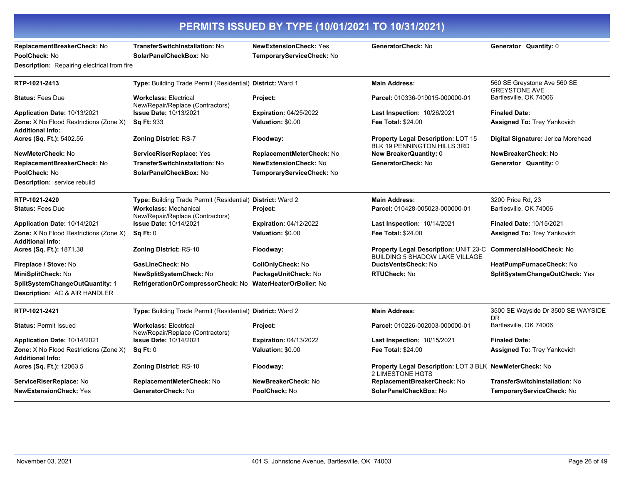| PERMITS ISSUED BY TYPE (10/01/2021 TO 10/31/2021)                           |                                                                  |                                                            |                                                                                    |                                                     |
|-----------------------------------------------------------------------------|------------------------------------------------------------------|------------------------------------------------------------|------------------------------------------------------------------------------------|-----------------------------------------------------|
| ReplacementBreakerCheck: No<br>PoolCheck: No                                | TransferSwitchInstallation: No<br>SolarPanelCheckBox: No         | <b>NewExtensionCheck: Yes</b><br>TemporaryServiceCheck: No | GeneratorCheck: No                                                                 | Generator Quantity: 0                               |
| Description: Repairing electrical from fire                                 |                                                                  |                                                            |                                                                                    |                                                     |
| RTP-1021-2413                                                               | Type: Building Trade Permit (Residential) District: Ward 1       |                                                            | <b>Main Address:</b>                                                               | 560 SE Greystone Ave 560 SE<br><b>GREYSTONE AVE</b> |
| <b>Status: Fees Due</b>                                                     | <b>Workclass: Electrical</b><br>New/Repair/Replace (Contractors) | Project:                                                   | Parcel: 010336-019015-000000-01                                                    | Bartlesville, OK 74006                              |
| Application Date: 10/13/2021                                                | <b>Issue Date: 10/13/2021</b>                                    | <b>Expiration: 04/25/2022</b>                              | <b>Last Inspection: 10/26/2021</b>                                                 | <b>Finaled Date:</b>                                |
| <b>Zone:</b> X No Flood Restrictions (Zone X)<br><b>Additional Info:</b>    | <b>Sq Ft: 933</b>                                                | Valuation: \$0.00                                          | <b>Fee Total: \$24.00</b>                                                          | <b>Assigned To: Trey Yankovich</b>                  |
| Acres (Sq. Ft.): 5402.55                                                    | <b>Zoning District: RS-7</b>                                     | Floodway:                                                  | Property Legal Description: LOT 15<br>BLK 19 PENNINGTON HILLS 3RD                  | Digital Signature: Jerica Morehead                  |
| NewMeterCheck: No                                                           | ServiceRiserReplace: Yes                                         | ReplacementMeterCheck: No                                  | <b>New BreakerQuantity: 0</b>                                                      | NewBreakerCheck: No                                 |
| ReplacementBreakerCheck: No                                                 | <b>TransferSwitchInstallation: No</b>                            | <b>NewExtensionCheck: No</b>                               | GeneratorCheck: No                                                                 | Generator Quantity: 0                               |
| PoolCheck: No                                                               | SolarPanelCheckBox: No                                           | TemporaryServiceCheck: No                                  |                                                                                    |                                                     |
| <b>Description:</b> service rebuild                                         |                                                                  |                                                            |                                                                                    |                                                     |
| RTP-1021-2420                                                               | Type: Building Trade Permit (Residential) District: Ward 2       |                                                            | <b>Main Address:</b>                                                               | 3200 Price Rd, 23                                   |
| <b>Status: Fees Due</b>                                                     | <b>Workclass: Mechanical</b><br>New/Repair/Replace (Contractors) | Project:                                                   | Parcel: 010428-005023-000000-01                                                    | Bartlesville, OK 74006                              |
| Application Date: 10/14/2021                                                | <b>Issue Date: 10/14/2021</b>                                    | <b>Expiration: 04/12/2022</b>                              | <b>Last Inspection: 10/14/2021</b>                                                 | <b>Finaled Date: 10/15/2021</b>                     |
| Zone: X No Flood Restrictions (Zone X)<br><b>Additional Info:</b>           | <b>Sq Ft: 0</b>                                                  | Valuation: \$0.00                                          | <b>Fee Total: \$24.00</b>                                                          | <b>Assigned To: Trey Yankovich</b>                  |
| Acres (Sq. Ft.): 1871.38                                                    | Zoning District: RS-10                                           | Floodway:                                                  | Property Legal Description: UNIT 23-C<br><b>BUILDING 5 SHADOW LAKE VILLAGE</b>     | CommercialHoodCheck: No                             |
| Fireplace / Stove: No                                                       | GasLineCheck: No                                                 | CoilOnlyCheck: No                                          | <b>DuctsVentsCheck: No</b>                                                         | HeatPumpFurnaceCheck: No                            |
| MiniSplitCheck: No                                                          | NewSplitSystemCheck: No                                          | PackageUnitCheck: No                                       | RTUCheck: No                                                                       | SplitSystemChangeOutCheck: Yes                      |
| SplitSystemChangeOutQuantity: 1<br><b>Description: AC &amp; AIR HANDLER</b> | RefrigerationOrCompressorCheck: No WaterHeaterOrBoiler: No       |                                                            |                                                                                    |                                                     |
| RTP-1021-2421                                                               | Type: Building Trade Permit (Residential) District: Ward 2       |                                                            | <b>Main Address:</b>                                                               | 3500 SE Wayside Dr 3500 SE WAYSIDE<br>DR            |
| <b>Status: Permit Issued</b>                                                | <b>Workclass: Electrical</b><br>New/Repair/Replace (Contractors) | Project:                                                   | Parcel: 010226-002003-000000-01                                                    | Bartlesville, OK 74006                              |
| Application Date: 10/14/2021                                                | <b>Issue Date: 10/14/2021</b>                                    | <b>Expiration: 04/13/2022</b>                              | Last Inspection: 10/15/2021                                                        | <b>Finaled Date:</b>                                |
| Zone: X No Flood Restrictions (Zone X)<br><b>Additional Info:</b>           | Sq Ft: 0                                                         | Valuation: \$0.00                                          | <b>Fee Total: \$24.00</b>                                                          | <b>Assigned To: Trey Yankovich</b>                  |
| Acres (Sq. Ft.): 12063.5                                                    | <b>Zoning District: RS-10</b>                                    | Floodway:                                                  | <b>Property Legal Description: LOT 3 BLK NewMeterCheck: No</b><br>2 LIMESTONE HGTS |                                                     |
| ServiceRiserReplace: No                                                     | ReplacementMeterCheck: No                                        | NewBreakerCheck: No                                        | ReplacementBreakerCheck: No                                                        | <b>TransferSwitchInstallation: No</b>               |
| <b>NewExtensionCheck: Yes</b>                                               | GeneratorCheck: No                                               | PoolCheck: No                                              | SolarPanelCheckBox: No                                                             | TemporaryServiceCheck: No                           |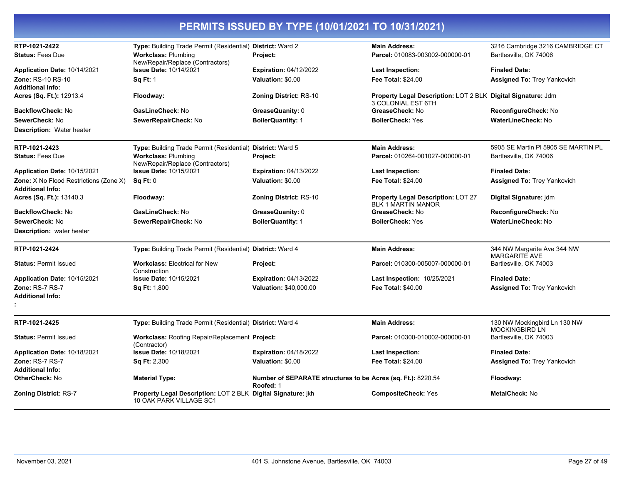| RTP-1021-2422                                                            | Type: Building Trade Permit (Residential) District: Ward 2                              |                                                                           | <b>Main Address:</b>                                                               | 3216 Cambridge 3216 CAMBRIDGE CT                      |
|--------------------------------------------------------------------------|-----------------------------------------------------------------------------------------|---------------------------------------------------------------------------|------------------------------------------------------------------------------------|-------------------------------------------------------|
| <b>Status: Fees Due</b>                                                  | <b>Workclass: Plumbing</b><br>New/Repair/Replace (Contractors)                          | Project:                                                                  | Parcel: 010083-003002-000000-01                                                    | Bartlesville, OK 74006                                |
| Application Date: 10/14/2021                                             | <b>Issue Date: 10/14/2021</b>                                                           | <b>Expiration: 04/12/2022</b>                                             | Last Inspection:                                                                   | <b>Finaled Date:</b>                                  |
| Zone: RS-10 RS-10                                                        | <b>Sq Ft: 1</b>                                                                         | Valuation: \$0.00                                                         | <b>Fee Total: \$24.00</b>                                                          | <b>Assigned To: Trey Yankovich</b>                    |
| <b>Additional Info:</b>                                                  |                                                                                         |                                                                           |                                                                                    |                                                       |
| Acres (Sq. Ft.): 12913.4                                                 | Floodway:                                                                               | Zoning District: RS-10                                                    | Property Legal Description: LOT 2 BLK Digital Signature: Jdm<br>3 COLONIAL EST 6TH |                                                       |
| <b>BackflowCheck: No</b>                                                 | GasLineCheck: No                                                                        | <b>GreaseQuanity:</b> 0                                                   | GreaseCheck: No                                                                    | ReconfigureCheck: No                                  |
| SewerCheck: No                                                           | SewerRepairCheck: No                                                                    | <b>BoilerQuantity: 1</b>                                                  | <b>BoilerCheck: Yes</b>                                                            | <b>WaterLineCheck: No</b>                             |
| <b>Description: Water heater</b>                                         |                                                                                         |                                                                           |                                                                                    |                                                       |
| RTP-1021-2423                                                            | Type: Building Trade Permit (Residential) District: Ward 5                              |                                                                           | <b>Main Address:</b>                                                               | 5905 SE Martin PI 5905 SE MARTIN PL                   |
| <b>Status: Fees Due</b>                                                  | <b>Workclass: Plumbing</b><br>New/Repair/Replace (Contractors)                          | Project:                                                                  | Parcel: 010264-001027-000000-01                                                    | Bartlesville, OK 74006                                |
| Application Date: 10/15/2021                                             | <b>Issue Date: 10/15/2021</b>                                                           | <b>Expiration: 04/13/2022</b>                                             | Last Inspection:                                                                   | <b>Finaled Date:</b>                                  |
| <b>Zone:</b> X No Flood Restrictions (Zone X)<br><b>Additional Info:</b> | Sq Ft: 0                                                                                | Valuation: \$0.00                                                         | <b>Fee Total: \$24.00</b>                                                          | <b>Assigned To: Trey Yankovich</b>                    |
| <b>Acres (Sq. Ft.): 13140.3</b>                                          | Floodway:                                                                               | <b>Zoning District: RS-10</b>                                             | <b>Property Legal Description: LOT 27</b><br><b>BLK 1 MARTIN MANOR</b>             | Digital Signature: jdm                                |
| <b>BackflowCheck: No</b>                                                 | GasLineCheck: No                                                                        | GreaseQuanity: 0                                                          | GreaseCheck: No                                                                    | ReconfigureCheck: No                                  |
| SewerCheck: No                                                           | SewerRepairCheck: No                                                                    | <b>BoilerQuantity: 1</b>                                                  | <b>BoilerCheck: Yes</b>                                                            | <b>WaterLineCheck: No</b>                             |
| <b>Description:</b> water heater                                         |                                                                                         |                                                                           |                                                                                    |                                                       |
| RTP-1021-2424                                                            | Type: Building Trade Permit (Residential) District: Ward 4                              |                                                                           | <b>Main Address:</b>                                                               | 344 NW Margarite Ave 344 NW<br><b>MARGARITE AVE</b>   |
| <b>Status: Permit Issued</b>                                             | <b>Workclass: Electrical for New</b><br>Construction                                    | Project:                                                                  | Parcel: 010300-005007-000000-01                                                    | Bartlesville, OK 74003                                |
| Application Date: 10/15/2021                                             | <b>Issue Date: 10/15/2021</b>                                                           | <b>Expiration: 04/13/2022</b>                                             | <b>Last Inspection: 10/25/2021</b>                                                 | <b>Finaled Date:</b>                                  |
| Zone: RS-7 RS-7                                                          | <b>Sq Ft: 1,800</b>                                                                     | Valuation: \$40,000.00                                                    | <b>Fee Total: \$40.00</b>                                                          | <b>Assigned To: Trey Yankovich</b>                    |
| <b>Additional Info:</b>                                                  |                                                                                         |                                                                           |                                                                                    |                                                       |
|                                                                          |                                                                                         |                                                                           |                                                                                    |                                                       |
| RTP-1021-2425                                                            | Type: Building Trade Permit (Residential) District: Ward 4                              |                                                                           | <b>Main Address:</b>                                                               | 130 NW Mockingbird Ln 130 NW<br><b>MOCKINGBIRD LN</b> |
| <b>Status: Permit Issued</b>                                             | Workclass: Roofing Repair/Replacement Project:<br>(Contractor)                          |                                                                           | Parcel: 010300-010002-000000-01                                                    | Bartlesville, OK 74003                                |
| Application Date: 10/18/2021                                             | <b>Issue Date: 10/18/2021</b>                                                           | <b>Expiration: 04/18/2022</b>                                             | Last Inspection:                                                                   | <b>Finaled Date:</b>                                  |
| <b>Zone: RS-7 RS-7</b>                                                   | <b>Sq Ft: 2,300</b>                                                                     | Valuation: \$0.00                                                         | <b>Fee Total: \$24.00</b>                                                          | <b>Assigned To: Trey Yankovich</b>                    |
| <b>Additional Info:</b>                                                  |                                                                                         |                                                                           |                                                                                    |                                                       |
| OtherCheck: No                                                           | <b>Material Type:</b>                                                                   | Number of SEPARATE structures to be Acres (sq. Ft.): 8220.54<br>Roofed: 1 |                                                                                    | Floodway:                                             |
| <b>Zoning District: RS-7</b>                                             | Property Legal Description: LOT 2 BLK Digital Signature: jkh<br>10 OAK PARK VILLAGE SC1 |                                                                           | <b>CompositeCheck: Yes</b>                                                         | <b>MetalCheck: No</b>                                 |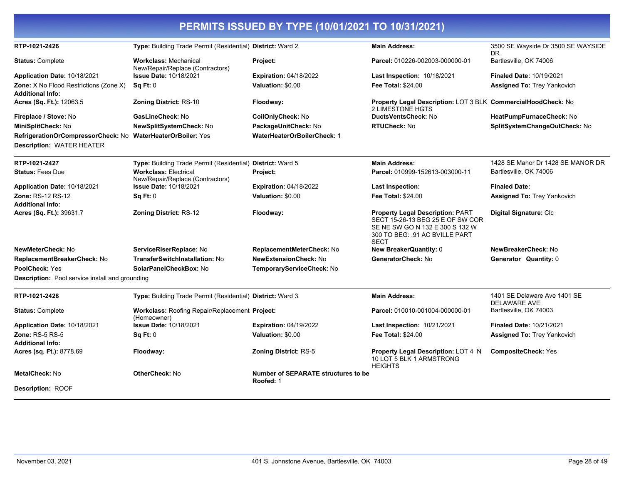|                                                                                                 |                                                                  | PERMITS ISSUED BY TYPE (10/01/2021 TO 10/31/2021) |                                                                                                                                                                 |                                                     |
|-------------------------------------------------------------------------------------------------|------------------------------------------------------------------|---------------------------------------------------|-----------------------------------------------------------------------------------------------------------------------------------------------------------------|-----------------------------------------------------|
| RTP-1021-2426                                                                                   | Type: Building Trade Permit (Residential) District: Ward 2       |                                                   | <b>Main Address:</b>                                                                                                                                            | 3500 SE Wayside Dr 3500 SE WAYSIDE<br>DR.           |
| <b>Status: Complete</b>                                                                         | <b>Workclass: Mechanical</b><br>New/Repair/Replace (Contractors) | Project:                                          | Parcel: 010226-002003-000000-01                                                                                                                                 | Bartlesville, OK 74006                              |
| Application Date: 10/18/2021                                                                    | <b>Issue Date: 10/18/2021</b>                                    | <b>Expiration: 04/18/2022</b>                     | <b>Last Inspection: 10/18/2021</b>                                                                                                                              | <b>Finaled Date: 10/19/2021</b>                     |
| <b>Zone:</b> X No Flood Restrictions (Zone X)<br><b>Additional Info:</b>                        | <b>Sq Ft: 0</b>                                                  | Valuation: \$0.00                                 | <b>Fee Total: \$24.00</b>                                                                                                                                       | <b>Assigned To: Trey Yankovich</b>                  |
| Acres (Sq. Ft.): 12063.5                                                                        | <b>Zoning District: RS-10</b>                                    | Floodway:                                         | Property Legal Description: LOT 3 BLK CommercialHoodCheck: No<br><b>2 LIMESTONE HGTS</b>                                                                        |                                                     |
| Fireplace / Stove: No                                                                           | GasLineCheck: No                                                 | CoilOnlyCheck: No                                 | DuctsVentsCheck: No                                                                                                                                             | HeatPumpFurnaceCheck: No                            |
| MiniSplitCheck: No                                                                              | <b>NewSplitSystemCheck: No</b>                                   | PackageUnitCheck: No                              | <b>RTUCheck: No</b>                                                                                                                                             | SplitSystemChangeOutCheck: No                       |
| RefrigerationOrCompressorCheck: No WaterHeaterOrBoiler: Yes<br><b>Description: WATER HEATER</b> |                                                                  | <b>WaterHeaterOrBoilerCheck: 1</b>                |                                                                                                                                                                 |                                                     |
| RTP-1021-2427                                                                                   | Type: Building Trade Permit (Residential) District: Ward 5       |                                                   | <b>Main Address:</b>                                                                                                                                            | 1428 SE Manor Dr 1428 SE MANOR DR                   |
| <b>Status: Fees Due</b>                                                                         | <b>Workclass: Electrical</b><br>New/Repair/Replace (Contractors) | Project:                                          | Parcel: 010999-152613-003000-11                                                                                                                                 | Bartlesville, OK 74006                              |
| Application Date: 10/18/2021                                                                    | Issue Date: 10/18/2021                                           | <b>Expiration: 04/18/2022</b>                     | Last Inspection:                                                                                                                                                | <b>Finaled Date:</b>                                |
| <b>Zone: RS-12 RS-12</b><br><b>Additional Info:</b>                                             | Sq Ft: 0                                                         | Valuation: \$0.00                                 | Fee Total: \$24.00                                                                                                                                              | Assigned To: Trey Yankovich                         |
| Acres (Sq. Ft.): 39631.7                                                                        | Zoning District: RS-12                                           | Floodway:                                         | <b>Property Legal Description: PART</b><br>SECT 15-26-13 BEG 25 E OF SW COR<br>SE NE SW GO N 132 E 300 S 132 W<br>300 TO BEG: .91 AC BVILLE PART<br><b>SECT</b> | Digital Signature: Clc                              |
| NewMeterCheck: No                                                                               | ServiceRiserReplace: No                                          | ReplacementMeterCheck: No                         | <b>New BreakerQuantity: 0</b>                                                                                                                                   | NewBreakerCheck: No                                 |
| ReplacementBreakerCheck: No                                                                     | TransferSwitchInstallation: No                                   | <b>NewExtensionCheck: No</b>                      | GeneratorCheck: No                                                                                                                                              | Generator Quantity: 0                               |
| PoolCheck: Yes                                                                                  | SolarPanelCheckBox: No                                           | TemporaryServiceCheck: No                         |                                                                                                                                                                 |                                                     |
| <b>Description:</b> Pool service install and grounding                                          |                                                                  |                                                   |                                                                                                                                                                 |                                                     |
| RTP-1021-2428                                                                                   | Type: Building Trade Permit (Residential) District: Ward 3       |                                                   | <b>Main Address:</b>                                                                                                                                            | 1401 SE Delaware Ave 1401 SE<br><b>DELAWARE AVE</b> |
| <b>Status: Complete</b>                                                                         | Workclass: Roofing Repair/Replacement Project:<br>(Homeowner)    |                                                   | Parcel: 010010-001004-000000-01                                                                                                                                 | Bartlesville, OK 74003                              |
| Application Date: 10/18/2021                                                                    | <b>Issue Date: 10/18/2021</b>                                    | <b>Expiration: 04/19/2022</b>                     | <b>Last Inspection: 10/21/2021</b>                                                                                                                              | <b>Finaled Date: 10/21/2021</b>                     |
| <b>Zone: RS-5 RS-5</b><br><b>Additional Info:</b>                                               | Sq Ft: 0                                                         | Valuation: \$0.00                                 | Fee Total: \$24.00                                                                                                                                              | Assigned To: Trey Yankovich                         |
| Acres (sq. Ft.): 8778.69                                                                        | Floodway:                                                        | <b>Zoning District: RS-5</b>                      | Property Legal Description: LOT 4 N<br>10 LOT 5 BLK 1 ARMSTRONG<br><b>HEIGHTS</b>                                                                               | <b>CompositeCheck: Yes</b>                          |
| <b>MetalCheck: No</b>                                                                           | <b>OtherCheck: No</b>                                            | Number of SEPARATE structures to be<br>Roofed: 1  |                                                                                                                                                                 |                                                     |
| <b>Description: ROOF</b>                                                                        |                                                                  |                                                   |                                                                                                                                                                 |                                                     |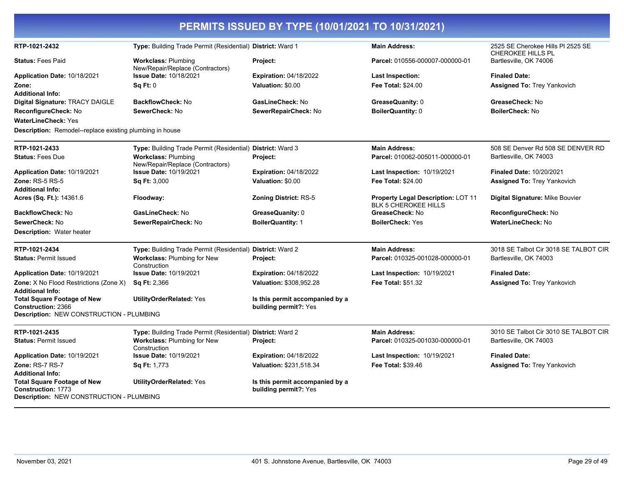| PERMITS ISSUED BY TYPE (10/01/2021 TO 10/31/2021)                                                           |                                                                |                                                          |                                                                          |                                                               |
|-------------------------------------------------------------------------------------------------------------|----------------------------------------------------------------|----------------------------------------------------------|--------------------------------------------------------------------------|---------------------------------------------------------------|
| RTP-1021-2432                                                                                               | Type: Building Trade Permit (Residential) District: Ward 1     |                                                          | <b>Main Address:</b>                                                     | 2525 SE Cherokee Hills PI 2525 SE<br><b>CHEROKEE HILLS PL</b> |
| <b>Status: Fees Paid</b>                                                                                    | <b>Workclass: Plumbing</b><br>New/Repair/Replace (Contractors) | Project:                                                 | Parcel: 010556-000007-000000-01                                          | Bartlesville, OK 74006                                        |
| Application Date: 10/18/2021                                                                                | <b>Issue Date: 10/18/2021</b>                                  | <b>Expiration: 04/18/2022</b>                            | <b>Last Inspection:</b>                                                  | <b>Finaled Date:</b>                                          |
| Zone:                                                                                                       | Sa Ft: 0                                                       | Valuation: \$0.00                                        | <b>Fee Total: \$24.00</b>                                                | <b>Assigned To: Trey Yankovich</b>                            |
| <b>Additional Info:</b>                                                                                     |                                                                |                                                          |                                                                          |                                                               |
| Digital Signature: TRACY DAIGLE                                                                             | <b>BackflowCheck: No</b>                                       | GasLineCheck: No                                         | GreaseQuanity: 0                                                         | GreaseCheck: No                                               |
| ReconfigureCheck: No                                                                                        | SewerCheck: No                                                 | SewerRepairCheck: No                                     | <b>BoilerQuantity: 0</b>                                                 | <b>BoilerCheck: No</b>                                        |
| <b>WaterLineCheck: Yes</b>                                                                                  |                                                                |                                                          |                                                                          |                                                               |
| <b>Description:</b> Remodel--replace existing plumbing in house                                             |                                                                |                                                          |                                                                          |                                                               |
| RTP-1021-2433                                                                                               | Type: Building Trade Permit (Residential) District: Ward 3     |                                                          | <b>Main Address:</b>                                                     | 508 SE Denver Rd 508 SE DENVER RD                             |
| <b>Status: Fees Due</b>                                                                                     | <b>Workclass: Plumbing</b><br>New/Repair/Replace (Contractors) | Project:                                                 | Parcel: 010062-005011-000000-01                                          | Bartlesville, OK 74003                                        |
| Application Date: 10/19/2021                                                                                | <b>Issue Date: 10/19/2021</b>                                  | <b>Expiration: 04/18/2022</b>                            | Last Inspection: 10/19/2021                                              | <b>Finaled Date: 10/20/2021</b>                               |
| <b>Zone: RS-5 RS-5</b>                                                                                      | <b>Sq Ft: 3,000</b>                                            | Valuation: \$0.00                                        | <b>Fee Total: \$24.00</b>                                                | Assigned To: Trey Yankovich                                   |
| <b>Additional Info:</b>                                                                                     |                                                                |                                                          |                                                                          |                                                               |
| Acres (Sq. Ft.): 14361.6                                                                                    | Floodway:                                                      | <b>Zoning District: RS-5</b>                             | <b>Property Legal Description: LOT 11</b><br><b>BLK 5 CHEROKEE HILLS</b> | Digital Signature: Mike Bouvier                               |
| BackflowCheck: No                                                                                           | GasLineCheck: No                                               | GreaseQuanity: 0                                         | GreaseCheck: No                                                          | ReconfigureCheck: No                                          |
| SewerCheck: No                                                                                              | SewerRepairCheck: No                                           | <b>BoilerQuantity: 1</b>                                 | <b>BoilerCheck: Yes</b>                                                  | <b>WaterLineCheck: No</b>                                     |
| <b>Description: Water heater</b>                                                                            |                                                                |                                                          |                                                                          |                                                               |
| RTP-1021-2434                                                                                               | Type: Building Trade Permit (Residential) District: Ward 2     |                                                          | <b>Main Address:</b>                                                     | 3018 SE Talbot Cir 3018 SE TALBOT CIR                         |
| <b>Status: Permit Issued</b>                                                                                | Workclass: Plumbing for New<br>Construction                    | Project:                                                 | Parcel: 010325-001028-000000-01                                          | Bartlesville, OK 74003                                        |
| Application Date: 10/19/2021                                                                                | <b>Issue Date: 10/19/2021</b>                                  | <b>Expiration: 04/18/2022</b>                            | <b>Last Inspection: 10/19/2021</b>                                       | <b>Finaled Date:</b>                                          |
| Zone: X No Flood Restrictions (Zone X)                                                                      | <b>Sq Ft: 2,366</b>                                            | Valuation: \$308,952.28                                  | <b>Fee Total: \$51.32</b>                                                | <b>Assigned To: Trey Yankovich</b>                            |
| <b>Additional Info:</b>                                                                                     |                                                                |                                                          |                                                                          |                                                               |
| <b>Total Square Footage of New</b><br>Construction: 2366                                                    | <b>UtilityOrderRelated: Yes</b>                                | Is this permit accompanied by a<br>building permit?: Yes |                                                                          |                                                               |
| Description: NEW CONSTRUCTION - PLUMBING                                                                    |                                                                |                                                          |                                                                          |                                                               |
| RTP-1021-2435                                                                                               | Type: Building Trade Permit (Residential) District: Ward 2     |                                                          | <b>Main Address:</b>                                                     | 3010 SE Talbot Cir 3010 SE TALBOT CIR                         |
| <b>Status: Permit Issued</b>                                                                                | Workclass: Plumbing for New<br>Construction                    | Project:                                                 | Parcel: 010325-001030-000000-01                                          | Bartlesville, OK 74003                                        |
| Application Date: 10/19/2021                                                                                | <b>Issue Date: 10/19/2021</b>                                  | <b>Expiration: 04/18/2022</b>                            | <b>Last Inspection: 10/19/2021</b>                                       | <b>Finaled Date:</b>                                          |
| Zone: RS-7 RS-7                                                                                             | <b>Sq Ft: 1,773</b>                                            | Valuation: \$231,518.34                                  | <b>Fee Total: \$39.46</b>                                                | <b>Assigned To: Trey Yankovich</b>                            |
| <b>Additional Info:</b>                                                                                     |                                                                |                                                          |                                                                          |                                                               |
| <b>Total Square Footage of New</b><br><b>Construction: 1773</b><br>Description: NEW CONSTRUCTION - PLUMBING | <b>UtilityOrderRelated: Yes</b>                                | Is this permit accompanied by a<br>building permit?: Yes |                                                                          |                                                               |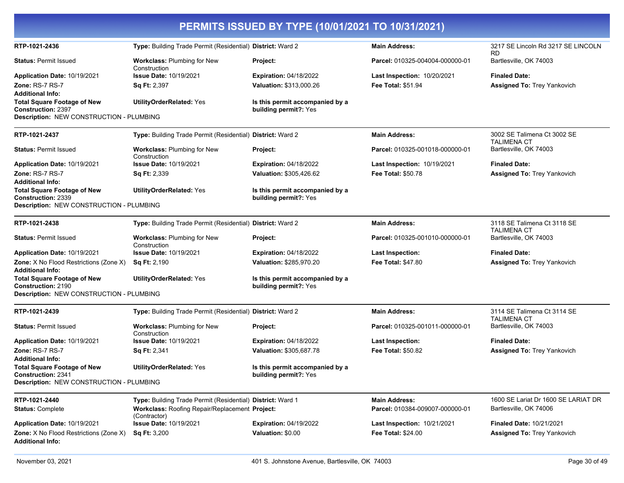| PERMITS ISSUED BY TYPE (10/01/2021 TO 10/31/2021)                            |                                                            |                                                          |                                    |                                                   |
|------------------------------------------------------------------------------|------------------------------------------------------------|----------------------------------------------------------|------------------------------------|---------------------------------------------------|
| RTP-1021-2436                                                                | Type: Building Trade Permit (Residential) District: Ward 2 |                                                          | <b>Main Address:</b>               | 3217 SE Lincoln Rd 3217 SE LINCOLN<br><b>RD</b>   |
| <b>Status: Permit Issued</b>                                                 | <b>Workclass: Plumbing for New</b><br>Construction         | <b>Project:</b>                                          | Parcel: 010325-004004-000000-01    | Bartlesville, OK 74003                            |
| Application Date: 10/19/2021                                                 | <b>Issue Date: 10/19/2021</b>                              | <b>Expiration: 04/18/2022</b>                            | Last Inspection: 10/20/2021        | <b>Finaled Date:</b>                              |
| Zone: RS-7 RS-7                                                              | Sq Ft: 2,397                                               | Valuation: \$313,000.26                                  | Fee Total: \$51.94                 | Assigned To: Trey Yankovich                       |
| <b>Additional Info:</b>                                                      |                                                            |                                                          |                                    |                                                   |
| <b>Total Square Footage of New</b>                                           | <b>UtilityOrderRelated: Yes</b>                            | Is this permit accompanied by a                          |                                    |                                                   |
| <b>Construction: 2397</b><br><b>Description: NEW CONSTRUCTION - PLUMBING</b> |                                                            | building permit?: Yes                                    |                                    |                                                   |
|                                                                              |                                                            |                                                          |                                    |                                                   |
| RTP-1021-2437                                                                | Type: Building Trade Permit (Residential) District: Ward 2 |                                                          | <b>Main Address:</b>               | 3002 SE Talimena Ct 3002 SE<br><b>TALIMENA CT</b> |
| <b>Status: Permit Issued</b>                                                 | Workclass: Plumbing for New<br>Construction                | Project:                                                 | Parcel: 010325-001018-000000-01    | Bartlesville, OK 74003                            |
| Application Date: 10/19/2021                                                 | <b>Issue Date: 10/19/2021</b>                              | <b>Expiration: 04/18/2022</b>                            | Last Inspection: 10/19/2021        | <b>Finaled Date:</b>                              |
| Zone: RS-7 RS-7                                                              | <b>Sq Ft: 2,339</b>                                        | Valuation: \$305,426.62                                  | <b>Fee Total: \$50.78</b>          | <b>Assigned To: Trey Yankovich</b>                |
| <b>Additional Info:</b><br><b>Total Square Footage of New</b>                | <b>UtilityOrderRelated: Yes</b>                            | Is this permit accompanied by a                          |                                    |                                                   |
| <b>Construction: 2339</b><br>Description: NEW CONSTRUCTION - PLUMBING        |                                                            | building permit?: Yes                                    |                                    |                                                   |
|                                                                              |                                                            |                                                          |                                    |                                                   |
| RTP-1021-2438                                                                | Type: Building Trade Permit (Residential) District: Ward 2 |                                                          | <b>Main Address:</b>               | 3118 SE Talimena Ct 3118 SE<br><b>TALIMENA CT</b> |
| <b>Status: Permit Issued</b>                                                 | Workclass: Plumbing for New<br>Construction                | <b>Project:</b>                                          | Parcel: 010325-001010-000000-01    | Bartlesville, OK 74003                            |
| Application Date: 10/19/2021                                                 | <b>Issue Date: 10/19/2021</b>                              | <b>Expiration: 04/18/2022</b>                            | Last Inspection:                   | <b>Finaled Date:</b>                              |
| Zone: X No Flood Restrictions (Zone X)<br><b>Additional Info:</b>            | <b>Sq Ft: 2,190</b>                                        | Valuation: \$285,970.20                                  | <b>Fee Total: \$47.80</b>          | <b>Assigned To: Trey Yankovich</b>                |
| <b>Total Square Footage of New</b><br><b>Construction: 2190</b>              | <b>UtilityOrderRelated: Yes</b>                            | Is this permit accompanied by a<br>building permit?: Yes |                                    |                                                   |
| Description: NEW CONSTRUCTION - PLUMBING                                     |                                                            |                                                          |                                    |                                                   |
| RTP-1021-2439                                                                | Type: Building Trade Permit (Residential) District: Ward 2 |                                                          | <b>Main Address:</b>               | 3114 SE Talimena Ct 3114 SE<br><b>TALIMENA CT</b> |
| <b>Status: Permit Issued</b>                                                 | Workclass: Plumbing for New<br>Construction                | <b>Project:</b>                                          | Parcel: 010325-001011-000000-01    | Bartlesville, OK 74003                            |
| Application Date: 10/19/2021                                                 | <b>Issue Date: 10/19/2021</b>                              | <b>Expiration: 04/18/2022</b>                            | Last Inspection:                   | <b>Finaled Date:</b>                              |
| Zone: RS-7 RS-7                                                              | <b>Sq Ft: 2,341</b>                                        | Valuation: \$305,687.78                                  | <b>Fee Total: \$50.82</b>          | Assigned To: Trey Yankovich                       |
| <b>Additional Info:</b>                                                      |                                                            |                                                          |                                    |                                                   |
| <b>Total Square Footage of New</b><br><b>Construction: 2341</b>              | <b>UtilityOrderRelated: Yes</b>                            | Is this permit accompanied by a<br>building permit?: Yes |                                    |                                                   |
| Description: NEW CONSTRUCTION - PLUMBING                                     |                                                            |                                                          |                                    |                                                   |
| RTP-1021-2440                                                                | Type: Building Trade Permit (Residential) District: Ward 1 |                                                          | <b>Main Address:</b>               | 1600 SE Lariat Dr 1600 SE LARIAT DR               |
| <b>Status: Complete</b>                                                      | Workclass: Roofing Repair/Replacement Project:             |                                                          | Parcel: 010384-009007-000000-01    | Bartlesville, OK 74006                            |
| Application Date: 10/19/2021                                                 | (Contractor)<br><b>Issue Date: 10/19/2021</b>              | <b>Expiration: 04/19/2022</b>                            | <b>Last Inspection: 10/21/2021</b> | <b>Finaled Date: 10/21/2021</b>                   |
| Zone: X No Flood Restrictions (Zone X)<br><b>Additional Info:</b>            | <b>Sq Ft: 3,200</b>                                        | Valuation: \$0.00                                        | Fee Total: \$24.00                 | <b>Assigned To: Trey Yankovich</b>                |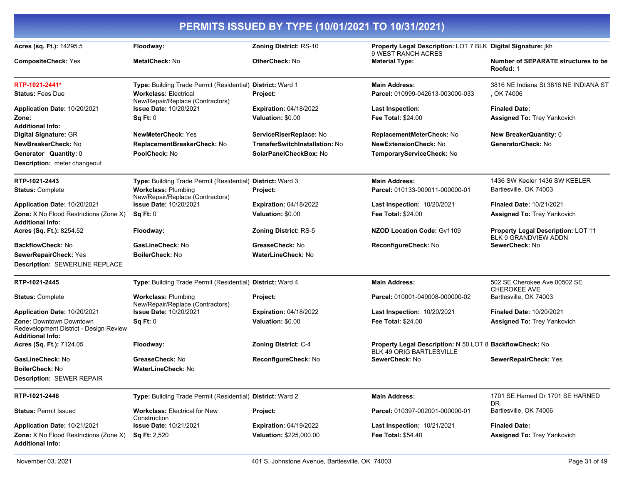| PERMITS ISSUED BY TYPE (10/01/2021 TO 10/31/2021)                                            |                                                                  |                                |                                                                                             |                                                                   |
|----------------------------------------------------------------------------------------------|------------------------------------------------------------------|--------------------------------|---------------------------------------------------------------------------------------------|-------------------------------------------------------------------|
| Acres (sq. Ft.): 14295.5                                                                     | Floodway:                                                        | Zoning District: RS-10         | Property Legal Description: LOT 7 BLK Digital Signature: jkh<br>9 WEST RANCH ACRES          |                                                                   |
| <b>CompositeCheck: Yes</b>                                                                   | <b>MetalCheck: No</b>                                            | <b>OtherCheck: No</b>          | <b>Material Type:</b>                                                                       | Number of SEPARATE structures to be<br>Roofed: 1                  |
| RTP-1021-2441*                                                                               | Type: Building Trade Permit (Residential) District: Ward 1       |                                | <b>Main Address:</b>                                                                        | 3816 NE Indiana St 3816 NE INDIANA ST                             |
| <b>Status: Fees Due</b>                                                                      | <b>Workclass: Electrical</b><br>New/Repair/Replace (Contractors) | Project:                       | Parcel: 010999-042613-003000-033                                                            | , OK 74006                                                        |
| Application Date: 10/20/2021                                                                 | <b>Issue Date: 10/20/2021</b>                                    | <b>Expiration: 04/18/2022</b>  | Last Inspection:                                                                            | <b>Finaled Date:</b>                                              |
| Zone:                                                                                        | Sq Ft: 0                                                         | Valuation: \$0.00              | <b>Fee Total: \$24.00</b>                                                                   | Assigned To: Trey Yankovich                                       |
| <b>Additional Info:</b>                                                                      |                                                                  |                                |                                                                                             |                                                                   |
| Digital Signature: GR                                                                        | <b>NewMeterCheck: Yes</b>                                        | ServiceRiserReplace: No        | ReplacementMeterCheck: No                                                                   | <b>New BreakerQuantity: 0</b>                                     |
| NewBreakerCheck: No                                                                          | ReplacementBreakerCheck: No                                      | TransferSwitchInstallation: No | <b>NewExtensionCheck: No</b>                                                                | GeneratorCheck: No                                                |
| <b>Generator Quantity: 0</b><br>Description: meter changeout                                 | PoolCheck: No                                                    | SolarPanelCheckBox: No         | TemporaryServiceCheck: No                                                                   |                                                                   |
| RTP-1021-2443                                                                                | Type: Building Trade Permit (Residential) District: Ward 3       |                                | <b>Main Address:</b>                                                                        | 1436 SW Keeler 1436 SW KEELER                                     |
| <b>Status: Complete</b>                                                                      | <b>Workclass: Plumbing</b><br>New/Repair/Replace (Contractors)   | Project:                       | Parcel: 010133-009011-000000-01                                                             | Bartlesville, OK 74003                                            |
| Application Date: 10/20/2021                                                                 | <b>Issue Date: 10/20/2021</b>                                    | <b>Expiration: 04/18/2022</b>  | Last Inspection: 10/20/2021                                                                 | <b>Finaled Date: 10/21/2021</b>                                   |
| <b>Zone:</b> X No Flood Restrictions (Zone X)<br><b>Additional Info:</b>                     | Sq Ft: 0                                                         | Valuation: \$0.00              | <b>Fee Total: \$24.00</b>                                                                   | <b>Assigned To: Trey Yankovich</b>                                |
| Acres (Sq. Ft.): 8254.52                                                                     | Floodway:                                                        | <b>Zoning District: RS-5</b>   | <b>NZOD Location Code: Gv1109</b>                                                           | Property Legal Description: LOT 11<br><b>BLK 9 GRANDVIEW ADDN</b> |
| <b>BackflowCheck: No</b>                                                                     | GasLineCheck: No                                                 | GreaseCheck: No                | ReconfigureCheck: No                                                                        | SewerCheck: No                                                    |
| SewerRepairCheck: Yes                                                                        | BoilerCheck: No                                                  | <b>WaterLineCheck: No</b>      |                                                                                             |                                                                   |
| <b>Description: SEWERLINE REPLACE</b>                                                        |                                                                  |                                |                                                                                             |                                                                   |
| RTP-1021-2445                                                                                | Type: Building Trade Permit (Residential) District: Ward 4       |                                | <b>Main Address:</b>                                                                        | 502 SE Cherokee Ave 00502 SE<br><b>CHEROKEE AVE</b>               |
| <b>Status: Complete</b>                                                                      | <b>Workclass: Plumbing</b><br>New/Repair/Replace (Contractors)   | Project:                       | Parcel: 010001-049008-000000-02                                                             | Bartlesville, OK 74003                                            |
| Application Date: 10/20/2021                                                                 | <b>Issue Date: 10/20/2021</b>                                    | <b>Expiration: 04/18/2022</b>  | Last Inspection: 10/20/2021                                                                 | <b>Finaled Date: 10/20/2021</b>                                   |
| Zone: Downtown Downtown<br>Redevelopment District - Design Review<br><b>Additional Info:</b> | Sq Ft: 0                                                         | Valuation: \$0.00              | <b>Fee Total: \$24.00</b>                                                                   | <b>Assigned To: Trey Yankovich</b>                                |
| Acres (Sq. Ft.): 7124.05                                                                     | Floodway:                                                        | Zoning District: C-4           | Property Legal Description: N 50 LOT 8 BackflowCheck: No<br><b>BLK 49 ORIG BARTLESVILLE</b> |                                                                   |
| GasLineCheck: No                                                                             | GreaseCheck: No                                                  | ReconfigureCheck: No           | SewerCheck: No                                                                              | SewerRepairCheck: Yes                                             |
| <b>BoilerCheck: No</b>                                                                       | WaterLineCheck: No                                               |                                |                                                                                             |                                                                   |
| <b>Description: SEWER REPAIR</b>                                                             |                                                                  |                                |                                                                                             |                                                                   |
| RTP-1021-2446                                                                                | Type: Building Trade Permit (Residential) District: Ward 2       |                                | <b>Main Address:</b>                                                                        | 1701 SE Harned Dr 1701 SE HARNED<br>DR.                           |
| <b>Status: Permit Issued</b>                                                                 | <b>Workclass: Electrical for New</b><br>Construction             | Project:                       | Parcel: 010397-002001-000000-01                                                             | Bartlesville, OK 74006                                            |
| Application Date: 10/21/2021                                                                 | <b>Issue Date: 10/21/2021</b>                                    | <b>Expiration: 04/19/2022</b>  | Last Inspection: 10/21/2021                                                                 | <b>Finaled Date:</b>                                              |
| Zone: X No Flood Restrictions (Zone X)<br><b>Additional Info:</b>                            | <b>Sq Ft: 2,520</b>                                              | Valuation: \$225,000.00        | Fee Total: \$54.40                                                                          | <b>Assigned To: Trey Yankovich</b>                                |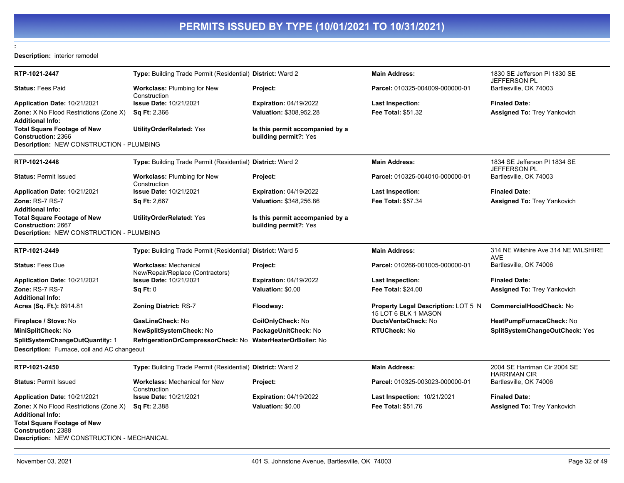### **Description:** interior remodel

**:** 

| RTP-1021-2447                                                                                                 | Type: Building Trade Permit (Residential) District: Ward 2       |                                                          | <b>Main Address:</b>                                        | 1830 SE Jefferson PI 1830 SE<br><b>JEFFERSON PL</b> |
|---------------------------------------------------------------------------------------------------------------|------------------------------------------------------------------|----------------------------------------------------------|-------------------------------------------------------------|-----------------------------------------------------|
| <b>Status: Fees Paid</b>                                                                                      | <b>Workclass: Plumbing for New</b><br>Construction               | Project:                                                 | Parcel: 010325-004009-000000-01                             | Bartlesville, OK 74003                              |
| Application Date: 10/21/2021                                                                                  | <b>Issue Date: 10/21/2021</b>                                    | <b>Expiration: 04/19/2022</b>                            | Last Inspection:                                            | <b>Finaled Date:</b>                                |
| <b>Zone:</b> X No Flood Restrictions (Zone X)<br><b>Additional Info:</b>                                      | <b>Sq Ft: 2,366</b>                                              | Valuation: \$308,952.28                                  | <b>Fee Total: \$51.32</b>                                   | <b>Assigned To: Trey Yankovich</b>                  |
| <b>Total Square Footage of New</b><br>Construction: 2366                                                      | <b>UtilityOrderRelated: Yes</b>                                  | Is this permit accompanied by a<br>building permit?: Yes |                                                             |                                                     |
| Description: NEW CONSTRUCTION - PLUMBING                                                                      |                                                                  |                                                          |                                                             |                                                     |
| RTP-1021-2448                                                                                                 | Type: Building Trade Permit (Residential) District: Ward 2       |                                                          | <b>Main Address:</b>                                        | 1834 SE Jefferson PI 1834 SE<br>JEFFERSON PL        |
| <b>Status: Permit Issued</b>                                                                                  | <b>Workclass: Plumbing for New</b><br>Construction               | Project:                                                 | Parcel: 010325-004010-000000-01                             | Bartlesville, OK 74003                              |
| <b>Application Date: 10/21/2021</b>                                                                           | <b>Issue Date: 10/21/2021</b>                                    | <b>Expiration: 04/19/2022</b>                            | Last Inspection:                                            | <b>Finaled Date:</b>                                |
| Zone: RS-7 RS-7                                                                                               | <b>Sq Ft: 2,667</b>                                              | Valuation: \$348,256.86                                  | Fee Total: \$57.34                                          | <b>Assigned To: Trey Yankovich</b>                  |
| Additional Info:                                                                                              |                                                                  |                                                          |                                                             |                                                     |
| <b>Total Square Footage of New</b>                                                                            | <b>UtilityOrderRelated: Yes</b>                                  | Is this permit accompanied by a                          |                                                             |                                                     |
| <b>Construction: 2667</b><br>Description: NEW CONSTRUCTION - PLUMBING                                         |                                                                  | building permit?: Yes                                    |                                                             |                                                     |
|                                                                                                               |                                                                  |                                                          |                                                             |                                                     |
| RTP-1021-2449                                                                                                 | Type: Building Trade Permit (Residential) District: Ward 5       |                                                          | <b>Main Address:</b>                                        | 314 NE Wilshire Ave 314 NE WILSHIRE<br><b>AVE</b>   |
| <b>Status: Fees Due</b>                                                                                       | <b>Workclass: Mechanical</b><br>New/Repair/Replace (Contractors) | Project:                                                 | Parcel: 010266-001005-000000-01                             | Bartlesville, OK 74006                              |
| Application Date: 10/21/2021                                                                                  | <b>Issue Date: 10/21/2021</b>                                    | Expiration: 04/19/2022                                   | Last Inspection:                                            | <b>Finaled Date:</b>                                |
| Zone: RS-7 RS-7                                                                                               | Sq Ft: 0                                                         | Valuation: \$0.00                                        | Fee Total: \$24.00                                          | Assigned To: Trey Yankovich                         |
| <b>Additional Info:</b>                                                                                       |                                                                  |                                                          |                                                             |                                                     |
| <b>Acres (Sq. Ft.):</b> 8914.81                                                                               | <b>Zoning District: RS-7</b>                                     | Floodway:                                                | Property Legal Description: LOT 5 N<br>15 LOT 6 BLK 1 MASON | <b>CommercialHoodCheck: No</b>                      |
| Fireplace / Stove: No                                                                                         | GasLineCheck: No                                                 | CoilOnlyCheck: No                                        | <b>DuctsVentsCheck: No</b>                                  | HeatPumpFurnaceCheck: No                            |
| MiniSplitCheck: No                                                                                            | <b>NewSplitSystemCheck: No</b>                                   | PackageUnitCheck: No                                     | <b>RTUCheck: No</b>                                         | SplitSystemChangeOutCheck: Yes                      |
| SplitSystemChangeOutQuantity: 1                                                                               | RefrigerationOrCompressorCheck: No                               | WaterHeaterOrBoiler: No                                  |                                                             |                                                     |
| Description: Furnace, coil and AC changeout                                                                   |                                                                  |                                                          |                                                             |                                                     |
| RTP-1021-2450                                                                                                 | Type: Building Trade Permit (Residential) District: Ward 2       |                                                          | <b>Main Address:</b>                                        | 2004 SE Harriman Cir 2004 SE<br><b>HARRIMAN CIR</b> |
| <b>Status: Permit Issued</b>                                                                                  | <b>Workclass: Mechanical for New</b><br>Construction             | Project:                                                 | Parcel: 010325-003023-000000-01                             | Bartlesville, OK 74006                              |
| Application Date: 10/21/2021                                                                                  | <b>Issue Date: 10/21/2021</b>                                    | <b>Expiration: 04/19/2022</b>                            | <b>Last Inspection: 10/21/2021</b>                          | <b>Finaled Date:</b>                                |
| <b>Zone:</b> X No Flood Restrictions (Zone X)                                                                 | <b>Sq Ft: 2,388</b>                                              | Valuation: \$0.00                                        | <b>Fee Total: \$51.76</b>                                   | <b>Assigned To: Trey Yankovich</b>                  |
| <b>Additional Info:</b>                                                                                       |                                                                  |                                                          |                                                             |                                                     |
| <b>Total Square Footage of New</b><br><b>Construction: 2388</b><br>Description: NEW CONSTRUCTION - MECHANICAL |                                                                  |                                                          |                                                             |                                                     |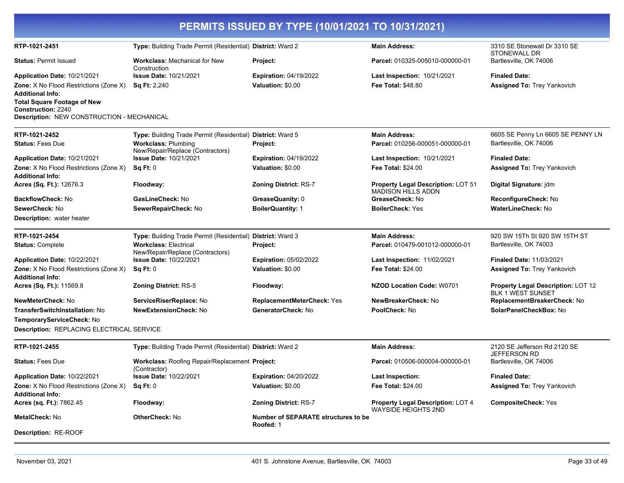|                                                                                                                                                                                                  |                                                                  | PERMITS ISSUED BY TYPE (10/01/2021 TO 10/31/2021)       |                                                                        |                                                                |
|--------------------------------------------------------------------------------------------------------------------------------------------------------------------------------------------------|------------------------------------------------------------------|---------------------------------------------------------|------------------------------------------------------------------------|----------------------------------------------------------------|
| RTP-1021-2451                                                                                                                                                                                    | Type: Building Trade Permit (Residential) District: Ward 2       |                                                         | <b>Main Address:</b>                                                   | 3310 SE Stonewall Dr 3310 SE<br><b>STONEWALL DR</b>            |
| <b>Status: Permit Issued</b>                                                                                                                                                                     | <b>Workclass: Mechanical for New</b><br>Construction             | Project:                                                | Parcel: 010325-005010-000000-01                                        | Bartlesville, OK 74006                                         |
| Application Date: 10/21/2021                                                                                                                                                                     | <b>Issue Date: 10/21/2021</b>                                    | <b>Expiration: 04/19/2022</b>                           | Last Inspection: 10/21/2021                                            | <b>Finaled Date:</b>                                           |
| <b>Zone:</b> X No Flood Restrictions (Zone X)<br><b>Additional Info:</b><br><b>Total Square Footage of New</b><br><b>Construction: 2240</b><br><b>Description: NEW CONSTRUCTION - MECHANICAL</b> | <b>Sq Ft: 2,240</b>                                              | Valuation: \$0.00                                       | <b>Fee Total: \$48.80</b>                                              | Assigned To: Trey Yankovich                                    |
| RTP-1021-2452                                                                                                                                                                                    | Type: Building Trade Permit (Residential) District: Ward 5       |                                                         | <b>Main Address:</b>                                                   | 6605 SE Penny Ln 6605 SE PENNY LN                              |
| <b>Status: Fees Due</b>                                                                                                                                                                          | <b>Workclass: Plumbing</b><br>New/Repair/Replace (Contractors)   | Project:                                                | Parcel: 010256-000051-000000-01                                        | Bartlesville, OK 74006                                         |
| Application Date: 10/21/2021                                                                                                                                                                     | <b>Issue Date: 10/21/2021</b>                                    | <b>Expiration: 04/19/2022</b>                           | Last Inspection: 10/21/2021                                            | <b>Finaled Date:</b>                                           |
| <b>Zone:</b> X No Flood Restrictions (Zone X)<br><b>Additional Info:</b>                                                                                                                         | Sq Ft: 0                                                         | Valuation: \$0.00                                       | <b>Fee Total: \$24.00</b>                                              | <b>Assigned To: Trey Yankovich</b>                             |
| Acres (Sq. Ft.): 12676.3                                                                                                                                                                         | Floodway:                                                        | Zoning District: RS-7                                   | Property Legal Description: LOT 51<br><b>MADISON HILLS ADDN</b>        | Digital Signature: jdm                                         |
| <b>BackflowCheck: No</b>                                                                                                                                                                         | GasLineCheck: No                                                 | GreaseQuanity: 0                                        | GreaseCheck: No                                                        | ReconfigureCheck: No                                           |
| SewerCheck: No                                                                                                                                                                                   | SewerRepairCheck: No                                             | <b>BoilerQuantity: 1</b>                                | <b>BoilerCheck: Yes</b>                                                | <b>WaterLineCheck: No</b>                                      |
| <b>Description:</b> water heater                                                                                                                                                                 |                                                                  |                                                         |                                                                        |                                                                |
| RTP-1021-2454                                                                                                                                                                                    | Type: Building Trade Permit (Residential) District: Ward 3       |                                                         | <b>Main Address:</b>                                                   | 920 SW 15Th St 920 SW 15TH ST                                  |
| <b>Status: Complete</b>                                                                                                                                                                          | <b>Workclass: Electrical</b><br>New/Repair/Replace (Contractors) | Project:                                                | Parcel: 010479-001012-000000-01                                        | Bartlesville, OK 74003                                         |
| Application Date: 10/22/2021                                                                                                                                                                     | <b>Issue Date: 10/22/2021</b>                                    | <b>Expiration: 05/02/2022</b>                           | Last Inspection: 11/02/2021                                            | <b>Finaled Date: 11/03/2021</b>                                |
| <b>Zone:</b> X No Flood Restrictions (Zone X)<br><b>Additional Info:</b>                                                                                                                         | Sq Ft: 0                                                         | Valuation: \$0.00                                       | <b>Fee Total: \$24.00</b>                                              | <b>Assigned To: Trey Yankovich</b>                             |
| Acres (Sq. Ft.): 11569.8                                                                                                                                                                         | <b>Zoning District: RS-5</b>                                     | Floodway:                                               | <b>NZOD Location Code: W0701</b>                                       | Property Legal Description: LOT 12<br><b>BLK 1 WEST SUNSET</b> |
| NewMeterCheck: No                                                                                                                                                                                | ServiceRiserReplace: No                                          | <b>ReplacementMeterCheck: Yes</b>                       | NewBreakerCheck: No                                                    | ReplacementBreakerCheck: No                                    |
| <b>TransferSwitchInstallation: No</b>                                                                                                                                                            | <b>NewExtensionCheck: No</b>                                     | GeneratorCheck: No                                      | PoolCheck: No                                                          | SolarPanelCheckBox: No                                         |
| TemporaryServiceCheck: No<br>Description: REPLACING ELECTRICAL SERVICE                                                                                                                           |                                                                  |                                                         |                                                                        |                                                                |
| RTP-1021-2455                                                                                                                                                                                    | Type: Building Trade Permit (Residential) District: Ward 2       |                                                         | <b>Main Address:</b>                                                   | 2120 SE Jefferson Rd 2120 SE<br>JEFFERSON RD                   |
| <b>Status: Fees Due</b>                                                                                                                                                                          | Workclass: Roofing Repair/Replacement Project:<br>(Contractor)   |                                                         | Parcel: 010506-000004-000000-01                                        | Bartlesville, OK 74006                                         |
| Application Date: 10/22/2021                                                                                                                                                                     | <b>Issue Date: 10/22/2021</b>                                    | <b>Expiration: 04/20/2022</b>                           | <b>Last Inspection:</b>                                                | <b>Finaled Date:</b>                                           |
| <b>Zone:</b> X No Flood Restrictions (Zone X)<br><b>Additional Info:</b>                                                                                                                         | Sq Ft: 0                                                         | Valuation: \$0.00                                       | Fee Total: \$24.00                                                     | <b>Assigned To: Trey Yankovich</b>                             |
| Acres (sq. Ft.): 7862.45                                                                                                                                                                         | Floodway:                                                        | Zoning District: RS-7                                   | <b>Property Legal Description: LOT 4</b><br><b>WAYSIDE HEIGHTS 2ND</b> | <b>CompositeCheck: Yes</b>                                     |
| <b>MetalCheck: No</b>                                                                                                                                                                            | <b>OtherCheck: No</b>                                            | <b>Number of SEPARATE structures to be</b><br>Roofed: 1 |                                                                        |                                                                |
| Description: RE-ROOF                                                                                                                                                                             |                                                                  |                                                         |                                                                        |                                                                |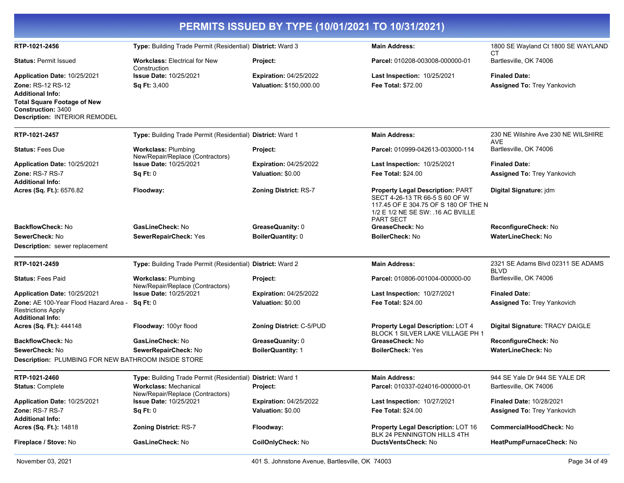| PERMITS ISSUED BY TYPE (10/01/2021 TO 10/31/2021)                                                                         |                                                                  |                                                          |                                                                                                                                                                            |                                                            |
|---------------------------------------------------------------------------------------------------------------------------|------------------------------------------------------------------|----------------------------------------------------------|----------------------------------------------------------------------------------------------------------------------------------------------------------------------------|------------------------------------------------------------|
| RTP-1021-2456                                                                                                             | Type: Building Trade Permit (Residential) District: Ward 3       |                                                          | <b>Main Address:</b>                                                                                                                                                       | 1800 SE Wayland Ct 1800 SE WAYLAND<br>СT                   |
| <b>Status: Permit Issued</b>                                                                                              | <b>Workclass: Electrical for New</b><br>Construction             | Project:                                                 | Parcel: 010208-003008-000000-01                                                                                                                                            | Bartlesville, OK 74006                                     |
| Application Date: 10/25/2021<br><b>Zone: RS-12 RS-12</b><br><b>Additional Info:</b><br><b>Total Square Footage of New</b> | <b>Issue Date: 10/25/2021</b><br>Sq Ft: 3,400                    | <b>Expiration: 04/25/2022</b><br>Valuation: \$150,000.00 | Last Inspection: 10/25/2021<br><b>Fee Total: \$72.00</b>                                                                                                                   | <b>Finaled Date:</b><br><b>Assigned To: Trey Yankovich</b> |
| <b>Construction: 3400</b><br><b>Description: INTERIOR REMODEL</b>                                                         |                                                                  |                                                          |                                                                                                                                                                            |                                                            |
| RTP-1021-2457                                                                                                             | Type: Building Trade Permit (Residential) District: Ward 1       |                                                          | <b>Main Address:</b>                                                                                                                                                       | 230 NE Wilshire Ave 230 NE WILSHIRE<br>AVE                 |
| <b>Status: Fees Due</b>                                                                                                   | <b>Workclass: Plumbing</b><br>New/Repair/Replace (Contractors)   | Project:                                                 | Parcel: 010999-042613-003000-114                                                                                                                                           | Bartlesville, OK 74006                                     |
| Application Date: 10/25/2021                                                                                              | <b>Issue Date: 10/25/2021</b>                                    | <b>Expiration: 04/25/2022</b>                            | <b>Last Inspection: 10/25/2021</b>                                                                                                                                         | <b>Finaled Date:</b>                                       |
| Zone: RS-7 RS-7<br><b>Additional Info:</b>                                                                                | Sq Ft: 0                                                         | Valuation: \$0.00                                        | <b>Fee Total: \$24.00</b>                                                                                                                                                  | Assigned To: Trey Yankovich                                |
| Acres (Sq. Ft.): 6576.82                                                                                                  | Floodway:                                                        | <b>Zoning District: RS-7</b>                             | <b>Property Legal Description: PART</b><br>SECT 4-26-13 TR 66-5 S 60 OF W<br>117.45 OF E 304.75 OF S 180 OF THE N<br>1/2 E 1/2 NE SE SW: .16 AC BVILLE<br><b>PART SECT</b> | Digital Signature: jdm                                     |
| <b>BackflowCheck: No</b>                                                                                                  | GasLineCheck: No                                                 | GreaseQuanity: 0                                         | GreaseCheck: No                                                                                                                                                            | ReconfigureCheck: No                                       |
| SewerCheck: No                                                                                                            | SewerRepairCheck: Yes                                            | BoilerQuantity: 0                                        | <b>BoilerCheck: No</b>                                                                                                                                                     | <b>WaterLineCheck: No</b>                                  |
| <b>Description:</b> sewer replacement                                                                                     |                                                                  |                                                          |                                                                                                                                                                            |                                                            |
| RTP-1021-2459                                                                                                             | Type: Building Trade Permit (Residential) District: Ward 2       |                                                          | <b>Main Address:</b>                                                                                                                                                       | 2321 SE Adams Blvd 02311 SE ADAMS<br><b>BLVD</b>           |
| <b>Status: Fees Paid</b>                                                                                                  | <b>Workclass: Plumbing</b><br>New/Repair/Replace (Contractors)   | Project:                                                 | Parcel: 010806-001004-000000-00                                                                                                                                            | Bartlesville, OK 74006                                     |
| Application Date: 10/25/2021                                                                                              | <b>Issue Date: 10/25/2021</b>                                    | <b>Expiration: 04/25/2022</b>                            | Last Inspection: 10/27/2021                                                                                                                                                | <b>Finaled Date:</b>                                       |
| Zone: AE 100-Year Flood Hazard Area -<br><b>Restrictions Apply</b><br><b>Additional Info:</b>                             | Sq Ft: 0                                                         | Valuation: \$0.00                                        | <b>Fee Total: \$24.00</b>                                                                                                                                                  | <b>Assigned To: Trey Yankovich</b>                         |
| Acres (Sq. Ft.): 444148                                                                                                   | Floodway: 100yr flood                                            | <b>Zoning District: C-5/PUD</b>                          | Property Legal Description: LOT 4<br>BLOCK 1 SILVER LAKE VILLAGE PH 1                                                                                                      | Digital Signature: TRACY DAIGLE                            |
| <b>BackflowCheck: No</b>                                                                                                  | GasLineCheck: No                                                 | GreaseQuanity: 0                                         | GreaseCheck: No                                                                                                                                                            | <b>ReconfigureCheck: No</b>                                |
| SewerCheck: No                                                                                                            | SewerRepairCheck: No                                             | <b>BoilerQuantity: 1</b>                                 | <b>BoilerCheck: Yes</b>                                                                                                                                                    | <b>WaterLineCheck: No</b>                                  |
| Description: PLUMBING FOR NEW BATHROOM INSIDE STORE                                                                       |                                                                  |                                                          |                                                                                                                                                                            |                                                            |
| RTP-1021-2460                                                                                                             | Type: Building Trade Permit (Residential) District: Ward 1       |                                                          | <b>Main Address:</b>                                                                                                                                                       | 944 SE Yale Dr 944 SE YALE DR                              |
| <b>Status: Complete</b>                                                                                                   | <b>Workclass: Mechanical</b><br>New/Repair/Replace (Contractors) | Project:                                                 | Parcel: 010337-024016-000000-01                                                                                                                                            | Bartlesville, OK 74006                                     |
| Application Date: 10/25/2021                                                                                              | <b>Issue Date: 10/25/2021</b>                                    | <b>Expiration: 04/25/2022</b>                            | Last Inspection: 10/27/2021                                                                                                                                                | <b>Finaled Date: 10/28/2021</b>                            |
| Zone: RS-7 RS-7<br><b>Additional Info:</b>                                                                                | Sq Ft: 0                                                         | Valuation: \$0.00                                        | Fee Total: \$24.00                                                                                                                                                         | <b>Assigned To: Trey Yankovich</b>                         |
| Acres (Sq. Ft.): 14818                                                                                                    | <b>Zoning District: RS-7</b>                                     | Floodway:                                                | Property Legal Description: LOT 16<br>BLK 24 PENNINGTON HILLS 4TH                                                                                                          | CommercialHoodCheck: No                                    |
| Fireplace / Stove: No                                                                                                     | GasLineCheck: No                                                 | CoilOnlyCheck: No                                        | DuctsVentsCheck: No                                                                                                                                                        | HeatPumpFurnaceCheck: No                                   |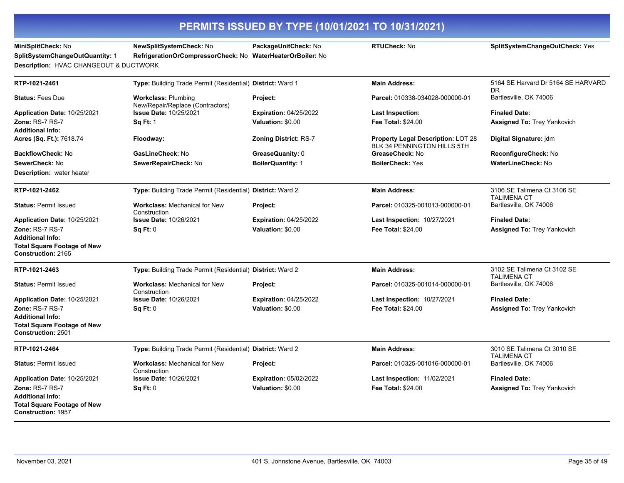| PERMITS ISSUED BY TYPE (10/01/2021 TO 10/31/2021)                                                      |                                                                                       |                               |                                                                          |                                                   |
|--------------------------------------------------------------------------------------------------------|---------------------------------------------------------------------------------------|-------------------------------|--------------------------------------------------------------------------|---------------------------------------------------|
| MiniSplitCheck: No<br>SplitSystemChangeOutQuantity: 1<br>Description: HVAC CHANGEOUT & DUCTWORK        | NewSplitSystemCheck: No<br>RefrigerationOrCompressorCheck: No WaterHeaterOrBoiler: No | PackageUnitCheck: No          | RTUCheck: No                                                             | SplitSystemChangeOutCheck: Yes                    |
| RTP-1021-2461                                                                                          | Type: Building Trade Permit (Residential) District: Ward 1                            |                               | <b>Main Address:</b>                                                     | 5164 SE Harvard Dr 5164 SE HARVARD                |
| <b>Status: Fees Due</b>                                                                                | <b>Workclass: Plumbing</b><br>New/Repair/Replace (Contractors)                        | Project:                      | Parcel: 010338-034028-000000-01                                          | DR.<br>Bartlesville, OK 74006                     |
| Application Date: 10/25/2021                                                                           | <b>Issue Date: 10/25/2021</b>                                                         | <b>Expiration: 04/25/2022</b> | <b>Last Inspection:</b>                                                  | <b>Finaled Date:</b>                              |
| Zone: RS-7 RS-7<br><b>Additional Info:</b>                                                             | <b>Sq Ft: 1</b>                                                                       | Valuation: \$0.00             | Fee Total: \$24.00                                                       | <b>Assigned To: Trey Yankovich</b>                |
| <b>Acres (Sq. Ft.):</b> 7618.74                                                                        | Floodway:                                                                             | <b>Zoning District: RS-7</b>  | <b>Property Legal Description: LOT 28</b><br>BLK 34 PENNINGTON HILLS 5TH | Digital Signature: jdm                            |
| BackflowCheck: No                                                                                      | GasLineCheck: No                                                                      | GreaseQuanity: 0              | GreaseCheck: No                                                          | ReconfigureCheck: No                              |
| SewerCheck: No                                                                                         | SewerRepairCheck: No                                                                  | <b>BoilerQuantity: 1</b>      | <b>BoilerCheck: Yes</b>                                                  | WaterLineCheck: No                                |
| <b>Description:</b> water heater                                                                       |                                                                                       |                               |                                                                          |                                                   |
| RTP-1021-2462                                                                                          | Type: Building Trade Permit (Residential) District: Ward 2                            |                               | <b>Main Address:</b>                                                     | 3106 SE Talimena Ct 3106 SE<br><b>TALIMENA CT</b> |
| <b>Status: Permit Issued</b>                                                                           | <b>Workclass: Mechanical for New</b><br>Construction                                  | Project:                      | Parcel: 010325-001013-000000-01                                          | Bartlesville, OK 74006                            |
| Application Date: 10/25/2021                                                                           | <b>Issue Date: 10/26/2021</b>                                                         | <b>Expiration: 04/25/2022</b> | <b>Last Inspection: 10/27/2021</b>                                       | <b>Finaled Date:</b>                              |
| Zone: RS-7 RS-7                                                                                        | Sq Ft: 0                                                                              | Valuation: \$0.00             | Fee Total: \$24.00                                                       | <b>Assigned To: Trey Yankovich</b>                |
| <b>Additional Info:</b><br><b>Total Square Footage of New</b><br>Construction: 2165                    |                                                                                       |                               |                                                                          |                                                   |
| RTP-1021-2463                                                                                          | Type: Building Trade Permit (Residential) District: Ward 2                            |                               | <b>Main Address:</b>                                                     | 3102 SE Talimena Ct 3102 SE<br><b>TALIMENA CT</b> |
| <b>Status: Permit Issued</b>                                                                           | <b>Workclass: Mechanical for New</b><br>Construction                                  | Project:                      | Parcel: 010325-001014-000000-01                                          | Bartlesville, OK 74006                            |
| <b>Application Date: 10/25/2021</b>                                                                    | <b>Issue Date: 10/26/2021</b>                                                         | <b>Expiration: 04/25/2022</b> | <b>Last Inspection: 10/27/2021</b>                                       | <b>Finaled Date:</b>                              |
| Zone: RS-7 RS-7<br><b>Additional Info:</b><br><b>Total Square Footage of New</b><br>Construction: 2501 | Sq Ft: 0                                                                              | Valuation: \$0.00             | <b>Fee Total: \$24.00</b>                                                | <b>Assigned To: Trey Yankovich</b>                |
| RTP-1021-2464                                                                                          | Type: Building Trade Permit (Residential) District: Ward 2                            |                               | <b>Main Address:</b>                                                     | 3010 SE Talimena Ct 3010 SE                       |
| <b>Status: Permit Issued</b>                                                                           | <b>Workclass: Mechanical for New</b><br>Construction                                  | Project:                      | Parcel: 010325-001016-000000-01                                          | <b>TALIMENA CT</b><br>Bartlesville, OK 74006      |
| <b>Application Date: 10/25/2021</b>                                                                    | <b>Issue Date: 10/26/2021</b>                                                         | <b>Expiration: 05/02/2022</b> | Last Inspection: 11/02/2021                                              | <b>Finaled Date:</b>                              |
| Zone: RS-7 RS-7<br><b>Additional Info:</b><br><b>Total Square Footage of New</b><br>Construction: 1957 | Sq Ft: 0                                                                              | Valuation: \$0.00             | <b>Fee Total: \$24.00</b>                                                | <b>Assigned To: Trey Yankovich</b>                |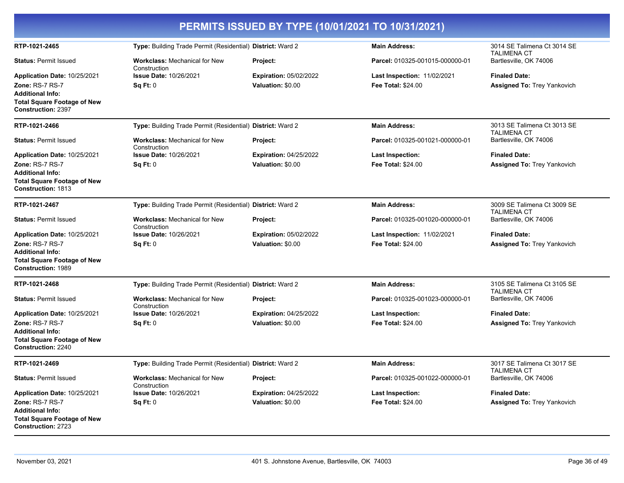| PERMITS ISSUED BY TYPE (10/01/2021 TO 10/31/2021)                                                                                             |                                                            |                                                    |                                                          |                                                            |  |
|-----------------------------------------------------------------------------------------------------------------------------------------------|------------------------------------------------------------|----------------------------------------------------|----------------------------------------------------------|------------------------------------------------------------|--|
| RTP-1021-2465                                                                                                                                 | Type: Building Trade Permit (Residential) District: Ward 2 |                                                    | <b>Main Address:</b>                                     | 3014 SE Talimena Ct 3014 SE<br><b>TALIMENA CT</b>          |  |
| <b>Status: Permit Issued</b>                                                                                                                  | <b>Workclass: Mechanical for New</b><br>Construction       | Project:                                           | Parcel: 010325-001015-000000-01                          | Bartlesville, OK 74006                                     |  |
| Application Date: 10/25/2021<br>Zone: RS-7 RS-7<br><b>Additional Info:</b><br><b>Total Square Footage of New</b><br><b>Construction: 2397</b> | Issue Date: 10/26/2021<br>Sq Ft: 0                         | <b>Expiration: 05/02/2022</b><br>Valuation: \$0.00 | Last Inspection: 11/02/2021<br><b>Fee Total: \$24.00</b> | <b>Finaled Date:</b><br><b>Assigned To: Trey Yankovich</b> |  |
| RTP-1021-2466                                                                                                                                 | Type: Building Trade Permit (Residential) District: Ward 2 |                                                    | <b>Main Address:</b>                                     | 3013 SE Talimena Ct 3013 SE<br><b>TALIMENA CT</b>          |  |
| <b>Status: Permit Issued</b>                                                                                                                  | <b>Workclass: Mechanical for New</b><br>Construction       | Project:                                           | Parcel: 010325-001021-000000-01                          | Bartlesville, OK 74006                                     |  |
| Application Date: 10/25/2021<br>Zone: RS-7 RS-7<br><b>Additional Info:</b><br><b>Total Square Footage of New</b><br><b>Construction: 1813</b> | <b>Issue Date: 10/26/2021</b><br>Sq Ft: 0                  | <b>Expiration: 04/25/2022</b><br>Valuation: \$0.00 | <b>Last Inspection:</b><br><b>Fee Total: \$24.00</b>     | <b>Finaled Date:</b><br><b>Assigned To: Trey Yankovich</b> |  |
| RTP-1021-2467                                                                                                                                 | Type: Building Trade Permit (Residential) District: Ward 2 |                                                    | <b>Main Address:</b>                                     | 3009 SE Talimena Ct 3009 SE<br>TALIMENA CT                 |  |
| <b>Status: Permit Issued</b>                                                                                                                  | <b>Workclass: Mechanical for New</b><br>Construction       | Project:                                           | Parcel: 010325-001020-000000-01                          | Bartlesville, OK 74006                                     |  |
| Application Date: 10/25/2021<br>Zone: RS-7 RS-7<br><b>Additional Info:</b><br><b>Total Square Footage of New</b><br><b>Construction: 1989</b> | <b>Issue Date: 10/26/2021</b><br>Sq Ft: 0                  | <b>Expiration: 05/02/2022</b><br>Valuation: \$0.00 | Last Inspection: 11/02/2021<br><b>Fee Total: \$24.00</b> | <b>Finaled Date:</b><br>Assigned To: Trey Yankovich        |  |
| RTP-1021-2468                                                                                                                                 | Type: Building Trade Permit (Residential) District: Ward 2 |                                                    | <b>Main Address:</b>                                     | 3105 SE Talimena Ct 3105 SE<br><b>TALIMENA CT</b>          |  |
| <b>Status: Permit Issued</b>                                                                                                                  | <b>Workclass: Mechanical for New</b><br>Construction       | Project:                                           | Parcel: 010325-001023-000000-01                          | Bartlesville, OK 74006                                     |  |
| Application Date: 10/25/2021<br>Zone: RS-7 RS-7<br><b>Additional Info:</b><br><b>Total Square Footage of New</b><br><b>Construction: 2240</b> | <b>Issue Date: 10/26/2021</b><br>Sq Ft: 0                  | <b>Expiration: 04/25/2022</b><br>Valuation: \$0.00 | <b>Last Inspection:</b><br><b>Fee Total: \$24.00</b>     | <b>Finaled Date:</b><br><b>Assigned To: Trey Yankovich</b> |  |
| RTP-1021-2469                                                                                                                                 | Type: Building Trade Permit (Residential) District: Ward 2 |                                                    | <b>Main Address:</b>                                     | 3017 SE Talimena Ct 3017 SE<br><b>TALIMENA CT</b>          |  |
| <b>Status: Permit Issued</b>                                                                                                                  | <b>Workclass: Mechanical for New</b><br>Construction       | Project:                                           | Parcel: 010325-001022-000000-01                          | Bartlesville, OK 74006                                     |  |
| Application Date: 10/25/2021<br><b>Zone: RS-7 RS-7</b>                                                                                        | <b>Issue Date: 10/26/2021</b><br>Sq Ft: 0                  | <b>Expiration: 04/25/2022</b><br>Valuation: \$0.00 | <b>Last Inspection:</b><br><b>Fee Total: \$24.00</b>     | <b>Finaled Date:</b><br>Assigned To: Trey Yankovich        |  |
| <b>Additional Info:</b><br><b>Total Square Footage of New</b><br><b>Construction: 2723</b>                                                    |                                                            |                                                    |                                                          |                                                            |  |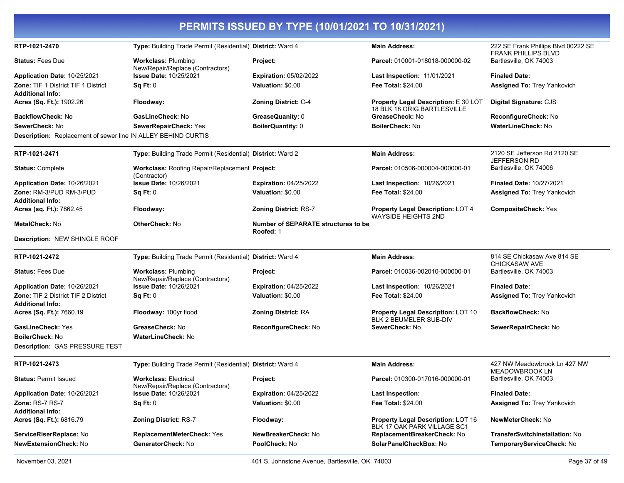#### **PERMITS ISSUED BY TYPE (10/01/2021 TO 10/31/2021) RTP-1021-2470 Type:** Building Trade Permit (Residential) **District:** Ward 4 **Main Address:** 222 SE Frank Phillips Blvd 00222 SE FRANK PHILLIPS BLVD **Status:** Fees Due **Workclass:** Plumbing New/Repair/Replace (Contractors) **Project: Parcel:** 010001-018018-000000-02 Bartlesville, OK 74003 **Application Date:** 10/25/2021 **Zone:** TIF 1 District TIF 1 District **Issue Date:** 10/25/2021 **Sq Ft:** 0 **Expiration:** 05/02/2022 **Valuation:** \$0.00 **Last Inspection:** 11/01/2021 **Fee Total:** \$24.00 **Finaled Date: Assigned To:** Trey Yankovich **Additional Info: Acres (Sq. Ft.):** 1902.26 **Floodway: Zoning District:** C-4 **Property Legal Description:** E 30 LOT 18 BLK 18 ORIG BARTLESVILLE **Digital Signature:** CJS **BackflowCheck:** No **GasLineCheck:** No **GreaseQuanity:** 0 **GreaseCheck:** No **ReconfigureCheck:** No **SewerCheck:** No **SewerRepairCheck:** Yes **BoilerQuantity:** 0 **BoilerCheck:** No **WaterLineCheck:** No **Description:** Replacement of sewer line IN ALLEY BEHIND CURTIS **RTP-1021-2471 Type:** Building Trade Permit (Residential) **District:** Ward 2 **Main Address:** 2120 SE Jefferson Rd 2120 SE JEFFERSON RD **Status:** Complete **Workclass:** Roofing Repair/Replacement (Contractor) Parcel: 010506-000004-000000-01 Bartlesville, OK 74006 **Application Date:** 10/26/2021 **Zone:** RM-3/PUD RM-3/PUD **Issue Date:** 10/26/2021 **Sq Ft:** 0 **Expiration:** 04/25/2022 **Valuation:** \$0.00 **Last Inspection:** 10/26/2021 **Fee Total:** \$24.00 **Finaled Date:** 10/27/2021 **Assigned To:** Trey Yankovich **Additional Info: Acres (sq. Ft.):** 7862.45 **Floodway: Zoning District:** RS-7 **Property Legal Description:** LOT 4 WAYSIDE HEIGHTS 2ND **CompositeCheck:** Yes **MetalCheck:** No **OtherCheck:** No **Number of SEPARATE structures to be Roofed:** 1 **Description:** NEW SHINGLE ROOF **RTP-1021-2472 Type:** Building Trade Permit (Residential) **District:** Ward 4 **Main Address:** 814 SE Chickasaw Ave 814 SE CHICKASAW AVE **Status:** Fees Due **Workclass:** Plumbing New/Repair/Replace (Contractors) **Project: Parcel:** 010036-002010-000000-01 Bartlesville, OK 74003 **Application Date:** 10/26/2021 **Zone:** TIF 2 District TIF 2 District **Issue Date:** 10/26/2021 **Sq Ft:** 0 **Expiration:** 04/25/2022 **Valuation:** \$0.00 **Last Inspection:** 10/26/2021 **Fee Total:** \$24.00 **Finaled Date: Assigned To:** Trey Yankovich **Additional Info: Acres (Sq. Ft.):** 7660.19 **Floodway:** 100yr flood **Zoning District:** RA **Property Legal Description:** LOT 10 BLK 2 BEUMELER SUB-DIV **BackflowCheck:** No **GasLineCheck:** Yes **GreaseCheck:** No **ReconfigureCheck:** No **SewerCheck:** No **SewerRepairCheck:** No **BoilerCheck:** No **WaterLineCheck:** No **Description:** GAS PRESSURE TEST **RTP-1021-2473 Type:** Building Trade Permit (Residential) **District:** Ward 4 **Main Address:** 427 NW Meadowbrook Ln 427 NW MEADOWBROOK LN **Status:** Permit Issued **Workclass:** Electrical New/Repair/Replace (Contractors) **Project: Parcel:** 010300-017016-000000-01 Bartlesville, OK 74003 **Application Date:** 10/26/2021 **Zone:** RS-7 RS-7 **Issue Date:** 10/26/2021 **Sq Ft:** 0 **Expiration:** 04/25/2022 **Valuation:** \$0.00 **Last Inspection: Fee Total:** \$24.00 **Finaled Date: Assigned To:** Trey Yankovich **Additional Info: Acres (Sq. Ft.):** 6816.79 **Zoning District:** RS-7 **Floodway: Property Legal Description:** LOT 16 BLK 17 OAK PARK VILLAGE SC1 **NewMeterCheck:** No **ServiceRiserReplace:** No **ReplacementMeterCheck:** Yes **NewBreakerCheck:** No **ReplacementBreakerCheck:** No **TransferSwitchInstallation:** No **NewExtensionCheck:** No **GeneratorCheck:** No **PoolCheck:** No **SolarPanelCheckBox:** No **TemporaryServiceCheck:** No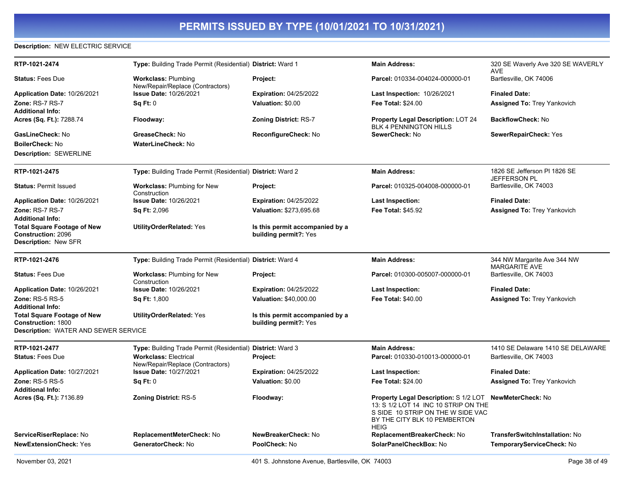### **Description:** NEW ELECTRIC SERVICE

| RTP-1021-2474                                                                           | Type: Building Trade Permit (Residential) District: Ward 1        |                                                          | <b>Main Address:</b>                                                                                                                                              | 320 SE Waverly Ave 320 SE WAVERLY<br><b>AVE</b> |
|-----------------------------------------------------------------------------------------|-------------------------------------------------------------------|----------------------------------------------------------|-------------------------------------------------------------------------------------------------------------------------------------------------------------------|-------------------------------------------------|
| <b>Status: Fees Due</b>                                                                 | <b>Workclass: Plumbing</b><br>New/Repair/Replace (Contractors)    | Project:                                                 | Parcel: 010334-004024-000000-01                                                                                                                                   | Bartlesville, OK 74006                          |
| Application Date: 10/26/2021                                                            | <b>Issue Date: 10/26/2021</b>                                     | <b>Expiration: 04/25/2022</b>                            | Last Inspection: 10/26/2021                                                                                                                                       | <b>Finaled Date:</b>                            |
| Zone: RS-7 RS-7                                                                         | <b>Sq Ft: 0</b>                                                   | Valuation: \$0.00                                        | Fee Total: \$24.00                                                                                                                                                | <b>Assigned To: Trey Yankovich</b>              |
| <b>Additional Info:</b>                                                                 |                                                                   |                                                          |                                                                                                                                                                   |                                                 |
| Acres (Sq. Ft.): 7288.74                                                                | Floodway:                                                         | <b>Zoning District: RS-7</b>                             | Property Legal Description: LOT 24<br><b>BLK 4 PENNINGTON HILLS</b>                                                                                               | <b>BackflowCheck: No</b>                        |
| GasLineCheck: No                                                                        | GreaseCheck: No                                                   | ReconfigureCheck: No                                     | SewerCheck: No                                                                                                                                                    | SewerRepairCheck: Yes                           |
| <b>BoilerCheck: No</b>                                                                  | <b>WaterLineCheck: No</b>                                         |                                                          |                                                                                                                                                                   |                                                 |
| Description: SEWERLINE                                                                  |                                                                   |                                                          |                                                                                                                                                                   |                                                 |
| RTP-1021-2475                                                                           | Type: Building Trade Permit (Residential) District: Ward 2        |                                                          | <b>Main Address:</b>                                                                                                                                              | 1826 SE Jefferson PI 1826 SE<br>JEFFERSON PL    |
| <b>Status: Permit Issued</b>                                                            | <b>Workclass: Plumbing for New</b><br>Construction                | Project:                                                 | Parcel: 010325-004008-000000-01                                                                                                                                   | Bartlesville, OK 74003                          |
| Application Date: 10/26/2021                                                            | Issue Date: 10/26/2021                                            | <b>Expiration: 04/25/2022</b>                            | Last Inspection:                                                                                                                                                  | <b>Finaled Date:</b>                            |
| Zone: RS-7 RS-7                                                                         | <b>Sq Ft: 2,096</b>                                               | Valuation: \$273,695.68                                  | <b>Fee Total: \$45.92</b>                                                                                                                                         | <b>Assigned To: Trey Yankovich</b>              |
| <b>Additional Info:</b>                                                                 |                                                                   |                                                          |                                                                                                                                                                   |                                                 |
| <b>Total Square Footage of New</b><br><b>Construction: 2096</b><br>Description: New SFR | <b>UtilityOrderRelated: Yes</b>                                   | Is this permit accompanied by a<br>building permit?: Yes |                                                                                                                                                                   |                                                 |
|                                                                                         |                                                                   |                                                          |                                                                                                                                                                   |                                                 |
| RTP-1021-2476                                                                           | Type: Building Trade Permit (Residential) District: Ward 4        |                                                          | <b>Main Address:</b>                                                                                                                                              | 344 NW Margarite Ave 344 NW                     |
|                                                                                         |                                                                   |                                                          |                                                                                                                                                                   | <b>MARGARITE AVE</b>                            |
| <b>Status: Fees Due</b>                                                                 | Workclass: Plumbing for New<br>Construction                       | Project:                                                 | Parcel: 010300-005007-000000-01                                                                                                                                   | Bartlesville, OK 74003                          |
| Application Date: 10/26/2021                                                            | <b>Issue Date: 10/26/2021</b>                                     | <b>Expiration: 04/25/2022</b>                            | <b>Last Inspection:</b>                                                                                                                                           | <b>Finaled Date:</b>                            |
| <b>Zone: RS-5 RS-5</b><br><b>Additional Info:</b>                                       | <b>Sq Ft: 1,800</b>                                               | <b>Valuation: \$40,000.00</b>                            | <b>Fee Total: \$40.00</b>                                                                                                                                         | <b>Assigned To: Trey Yankovich</b>              |
| <b>Total Square Footage of New</b><br><b>Construction: 1800</b>                         | <b>UtilityOrderRelated: Yes</b>                                   | Is this permit accompanied by a<br>building permit?: Yes |                                                                                                                                                                   |                                                 |
| Description: WATER AND SEWER SERVICE                                                    |                                                                   |                                                          |                                                                                                                                                                   |                                                 |
| RTP-1021-2477                                                                           | Type: Building Trade Permit (Residential) District: Ward 3        |                                                          | <b>Main Address:</b>                                                                                                                                              | 1410 SE Delaware 1410 SE DELAWARE               |
| <b>Status: Fees Due</b>                                                                 | <b>Workclass: Electrical</b>                                      | Project:                                                 | Parcel: 010330-010013-000000-01                                                                                                                                   | Bartlesville, OK 74003                          |
| Application Date: 10/27/2021                                                            | New/Repair/Replace (Contractors)<br><b>Issue Date: 10/27/2021</b> | <b>Expiration: 04/25/2022</b>                            | Last Inspection:                                                                                                                                                  | <b>Finaled Date:</b>                            |
| <b>Zone: RS-5 RS-5</b>                                                                  | Sq Ft: 0                                                          | Valuation: \$0.00                                        | <b>Fee Total: \$24.00</b>                                                                                                                                         | <b>Assigned To: Trey Yankovich</b>              |
| <b>Additional Info:</b>                                                                 |                                                                   |                                                          |                                                                                                                                                                   |                                                 |
| Acres (Sq. Ft.): 7136.89                                                                | <b>Zoning District: RS-5</b>                                      | Floodway:                                                | Property Legal Description: S 1/2 LOT<br>13: S 1/2 LOT 14 INC 10 STRIP ON THE<br>S SIDE 10 STRIP ON THE W SIDE VAC<br>BY THE CITY BLK 10 PEMBERTON<br><b>HEIG</b> | NewMeterCheck: No                               |
| ServiceRiserReplace: No                                                                 | ReplacementMeterCheck: No                                         | NewBreakerCheck: No                                      | ReplacementBreakerCheck: No                                                                                                                                       | <b>TransferSwitchInstallation: No</b>           |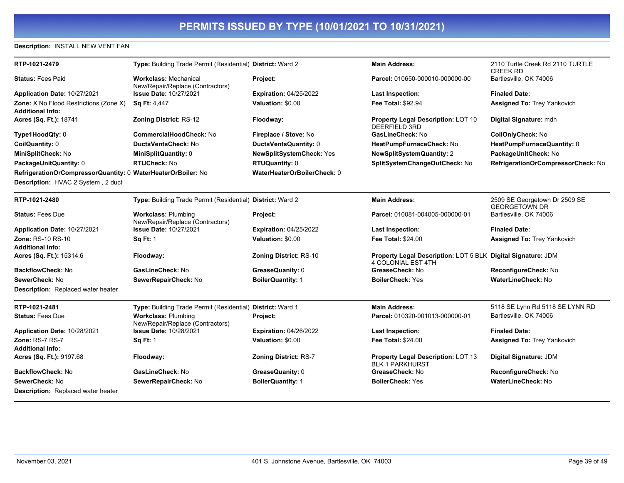### **Description:** INSTALL NEW VENT FAN

| RTP-1021-2479                                                                                      | Type: Building Trade Permit (Residential) District: Ward 2       |                                 | <b>Main Address:</b>                                                               | 2110 Turtle Creek Rd 2110 TURTLE<br><b>CREEK RD</b>   |
|----------------------------------------------------------------------------------------------------|------------------------------------------------------------------|---------------------------------|------------------------------------------------------------------------------------|-------------------------------------------------------|
| <b>Status: Fees Paid</b>                                                                           | <b>Workclass: Mechanical</b><br>New/Repair/Replace (Contractors) | Project:                        | Parcel: 010650-000010-000000-00                                                    | Bartlesville, OK 74006                                |
| Application Date: 10/27/2021                                                                       | <b>Issue Date: 10/27/2021</b>                                    | <b>Expiration: 04/25/2022</b>   | <b>Last Inspection:</b>                                                            | <b>Finaled Date:</b>                                  |
| Zone: X No Flood Restrictions (Zone X)<br><b>Additional Info:</b>                                  | <b>Sq Ft: 4,447</b>                                              | Valuation: \$0.00               | <b>Fee Total: \$92.94</b>                                                          | <b>Assigned To: Trey Yankovich</b>                    |
| Acres (Sq. Ft.): 18741                                                                             | Zoning District: RS-12                                           | Floodway:                       | Property Legal Description: LOT 10<br><b>DEERFIELD 3RD</b>                         | Digital Signature: mdh                                |
| Type1HoodQty: 0                                                                                    | <b>CommercialHoodCheck: No</b>                                   | Fireplace / Stove: No           | GasLineCheck: No                                                                   | <b>CoilOnlyCheck: No</b>                              |
| CoilQuantity: 0                                                                                    | <b>DuctsVentsCheck: No</b>                                       | DuctsVentsQuantity: 0           | HeatPumpFurnaceCheck: No                                                           | HeatPumpFurnaceQuantity: 0                            |
| MiniSplitCheck: No                                                                                 | MiniSplitQuantity: 0                                             | <b>NewSplitSystemCheck: Yes</b> | <b>NewSplitSystemQuantity: 2</b>                                                   | PackageUnitCheck: No                                  |
| PackageUnitQuantity: 0                                                                             | RTUCheck: No                                                     | <b>RTUQuantity: 0</b>           | SplitSystemChangeOutCheck: No                                                      | RefrigerationOrCompressorCheck: No                    |
| RefrigerationOrCompressorQuantity: 0 WaterHeaterOrBoiler: No<br>Description: HVAC 2 System, 2 duct |                                                                  | WaterHeaterOrBoilerCheck: 0     |                                                                                    |                                                       |
| RTP-1021-2480                                                                                      | Type: Building Trade Permit (Residential) District: Ward 2       |                                 | <b>Main Address:</b>                                                               | 2509 SE Georgetown Dr 2509 SE<br><b>GEORGETOWN DR</b> |
| <b>Status: Fees Due</b>                                                                            | <b>Workclass: Plumbing</b><br>New/Repair/Replace (Contractors)   | <b>Project:</b>                 | Parcel: 010081-004005-000000-01                                                    | Bartlesville, OK 74006                                |
| Application Date: 10/27/2021                                                                       | <b>Issue Date: 10/27/2021</b>                                    | <b>Expiration: 04/25/2022</b>   | <b>Last Inspection:</b>                                                            | <b>Finaled Date:</b>                                  |
| Zone: RS-10 RS-10<br><b>Additional Info:</b>                                                       | <b>Sq Ft: 1</b>                                                  | Valuation: \$0.00               | <b>Fee Total: \$24.00</b>                                                          | <b>Assigned To: Trey Yankovich</b>                    |
| Acres (Sq. Ft.): 15314.6                                                                           | Floodway:                                                        | <b>Zoning District: RS-10</b>   | Property Legal Description: LOT 5 BLK Digital Signature: JDM<br>4 COLONIAL EST 4TH |                                                       |
| <b>BackflowCheck: No</b>                                                                           | GasLineCheck: No                                                 | GreaseQuanity: 0                | GreaseCheck: No                                                                    | ReconfigureCheck: No                                  |
| SewerCheck: No                                                                                     | SewerRepairCheck: No                                             | <b>BoilerQuantity: 1</b>        | <b>BoilerCheck: Yes</b>                                                            | WaterLineCheck: No                                    |
| <b>Description:</b> Replaced water heater                                                          |                                                                  |                                 |                                                                                    |                                                       |
| RTP-1021-2481                                                                                      | Type: Building Trade Permit (Residential) District: Ward 1       |                                 | <b>Main Address:</b>                                                               | 5118 SE Lynn Rd 5118 SE LYNN RD                       |
| <b>Status: Fees Due</b>                                                                            | <b>Workclass: Plumbing</b><br>New/Repair/Replace (Contractors)   | <b>Project:</b>                 | Parcel: 010320-001013-000000-01                                                    | Bartlesville, OK 74006                                |
| Application Date: 10/28/2021                                                                       | <b>Issue Date: 10/28/2021</b>                                    | <b>Expiration: 04/26/2022</b>   | <b>Last Inspection:</b>                                                            | <b>Finaled Date:</b>                                  |
| Zone: RS-7 RS-7<br><b>Additional Info:</b>                                                         | <b>Sq Ft: 1</b>                                                  | Valuation: \$0.00               | Fee Total: \$24.00                                                                 | <b>Assigned To: Trey Yankovich</b>                    |
| Acres (Sq. Ft.): 9197.68                                                                           | Floodway:                                                        | <b>Zoning District: RS-7</b>    | Property Legal Description: LOT 13<br><b>BLK 1 PARKHURST</b>                       | Digital Signature: JDM                                |
| <b>BackflowCheck: No</b>                                                                           | GasLineCheck: No                                                 | GreaseQuanity: 0                | GreaseCheck: No                                                                    | ReconfigureCheck: No                                  |
| SewerCheck: No<br><b>Description:</b> Replaced water heater                                        | SewerRepairCheck: No                                             | <b>BoilerQuantity: 1</b>        | <b>BoilerCheck: Yes</b>                                                            | WaterLineCheck: No                                    |
|                                                                                                    |                                                                  |                                 |                                                                                    |                                                       |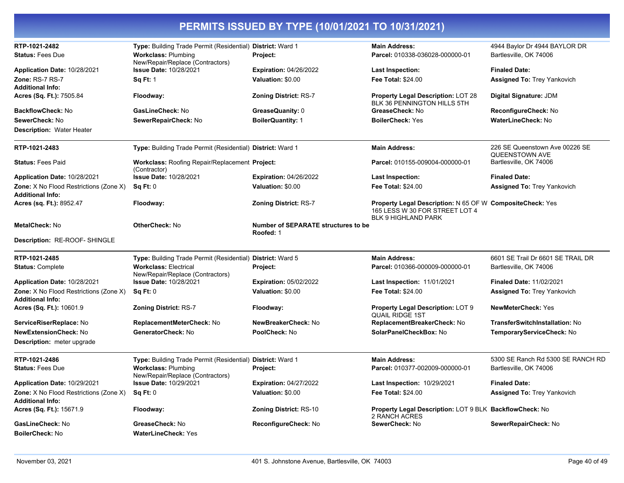| RTP-1021-2482<br><b>Status: Fees Due</b>                   | Type: Building Trade Permit (Residential) District: Ward 1<br><b>Workclass: Plumbing</b> | Project:                                         | <b>Main Address:</b><br>Parcel: 010338-036028-000000-01                                                                          | 4944 Baylor Dr 4944 BAYLOR DR<br>Bartlesville, OK 74006 |
|------------------------------------------------------------|------------------------------------------------------------------------------------------|--------------------------------------------------|----------------------------------------------------------------------------------------------------------------------------------|---------------------------------------------------------|
|                                                            | New/Repair/Replace (Contractors)                                                         |                                                  |                                                                                                                                  |                                                         |
| <b>Application Date: 10/28/2021</b>                        | Issue Date: 10/28/2021                                                                   | <b>Expiration: 04/26/2022</b>                    | Last Inspection:                                                                                                                 | <b>Finaled Date:</b>                                    |
| Zone: RS-7 RS-7                                            | <b>Sq Ft: 1</b>                                                                          | Valuation: \$0.00                                | <b>Fee Total: \$24.00</b>                                                                                                        | <b>Assigned To: Trey Yankovich</b>                      |
| <b>Additional Info:</b>                                    |                                                                                          |                                                  |                                                                                                                                  |                                                         |
| <b>Acres (Sq. Ft.):</b> 7505.84                            | Floodway:                                                                                | Zoning District: RS-7                            | <b>Property Legal Description: LOT 28</b><br>BLK 36 PENNINGTON HILLS 5TH                                                         | Digital Signature: JDM                                  |
| <b>BackflowCheck: No</b>                                   | GasLineCheck: No                                                                         | GreaseQuanity: 0                                 | GreaseCheck: No                                                                                                                  | ReconfigureCheck: No                                    |
| <b>SewerCheck: No</b>                                      | SewerRepairCheck: No                                                                     | <b>BoilerQuantity: 1</b>                         | <b>BoilerCheck: Yes</b>                                                                                                          | <b>WaterLineCheck: No</b>                               |
| <b>Description: Water Heater</b>                           |                                                                                          |                                                  |                                                                                                                                  |                                                         |
| RTP-1021-2483                                              | Type: Building Trade Permit (Residential) District: Ward 1                               |                                                  | <b>Main Address:</b>                                                                                                             | 226 SE Queenstown Ave 00226 SE                          |
| <b>Status: Fees Paid</b>                                   | <b>Workclass: Roofing Repair/Replacement Project:</b>                                    |                                                  | Parcel: 010155-009004-000000-01                                                                                                  | QUEENSTOWN AVE<br>Bartlesville, OK 74006                |
| Application Date: 10/28/2021                               | (Contractor)<br><b>Issue Date: 10/28/2021</b>                                            | <b>Expiration: 04/26/2022</b>                    | <b>Last Inspection:</b>                                                                                                          | <b>Finaled Date:</b>                                    |
| <b>Zone:</b> X No Flood Restrictions (Zone X)              | Sq Ft: 0                                                                                 | Valuation: \$0.00                                | <b>Fee Total: \$24.00</b>                                                                                                        | <b>Assigned To: Trey Yankovich</b>                      |
| Additional Info:                                           |                                                                                          |                                                  |                                                                                                                                  |                                                         |
| Acres (sq. Ft.): 8952.47                                   | Floodway:                                                                                | <b>Zoning District: RS-7</b>                     | <b>Property Legal Description: N 65 OF W CompositeCheck: Yes</b><br>165 LESS W 30 FOR STREET LOT 4<br><b>BLK 9 HIGHLAND PARK</b> |                                                         |
| MetalCheck: No                                             | OtherCheck: No                                                                           | Number of SEPARATE structures to be<br>Roofed: 1 |                                                                                                                                  |                                                         |
| Description: RE-ROOF- SHINGLE                              |                                                                                          |                                                  |                                                                                                                                  |                                                         |
| RTP-1021-2485                                              | Type: Building Trade Permit (Residential) District: Ward 5                               |                                                  | <b>Main Address:</b>                                                                                                             | 6601 SE Trail Dr 6601 SE TRAIL DR                       |
| <b>Status: Complete</b>                                    | <b>Workclass: Electrical</b>                                                             | Project:                                         | Parcel: 010366-000009-000000-01                                                                                                  | Bartlesville, OK 74006                                  |
| Application Date: 10/28/2021                               | New/Repair/Replace (Contractors)<br><b>Issue Date: 10/28/2021</b>                        | <b>Expiration: 05/02/2022</b>                    | Last Inspection: 11/01/2021                                                                                                      | <b>Finaled Date: 11/02/2021</b>                         |
| <b>Zone:</b> X No Flood Restrictions (Zone X)              | Sq Ft: 0                                                                                 | Valuation: \$0.00                                | <b>Fee Total: \$24.00</b>                                                                                                        | <b>Assigned To: Trey Yankovich</b>                      |
| <b>Additional Info:</b>                                    |                                                                                          |                                                  |                                                                                                                                  |                                                         |
| <b>Acres (Sq. Ft.):</b> 10601.9                            | <b>Zoning District: RS-7</b>                                                             | Floodway:                                        | <b>Property Legal Description: LOT 9</b><br><b>QUAIL RIDGE 1ST</b>                                                               | <b>NewMeterCheck: Yes</b>                               |
| <b>ServiceRiserReplace:</b> No                             | ReplacementMeterCheck: No                                                                | NewBreakerCheck: No                              | ReplacementBreakerCheck: No                                                                                                      | <b>TransferSwitchInstallation: No</b>                   |
| NewExtensionCheck: No                                      | <b>GeneratorCheck: No</b>                                                                | PoolCheck: No                                    | SolarPanelCheckBox: No                                                                                                           | TemporaryServiceCheck: No                               |
| <b>Description:</b> meter upgrade                          |                                                                                          |                                                  |                                                                                                                                  |                                                         |
| RTP-1021-2486                                              | Type: Building Trade Permit (Residential) District: Ward 1                               |                                                  | <b>Main Address:</b>                                                                                                             | 5300 SE Ranch Rd 5300 SE RANCH RD                       |
| <b>Status: Fees Due</b>                                    | <b>Workclass: Plumbing</b><br>New/Repair/Replace (Contractors)                           | Project:                                         | Parcel: 010377-002009-000000-01                                                                                                  | Bartlesville, OK 74006                                  |
| Application Date: 10/29/2021                               | <b>Issue Date: 10/29/2021</b>                                                            | <b>Expiration: 04/27/2022</b>                    | Last Inspection: 10/29/2021                                                                                                      | <b>Finaled Date:</b>                                    |
| Zone: X No Flood Restrictions (Zone X)<br>Additional Info: | Sq Ft: 0                                                                                 | Valuation: \$0.00                                | <b>Fee Total: \$24.00</b>                                                                                                        | <b>Assigned To: Trey Yankovich</b>                      |
| <b>Acres (Sq. Ft.):</b> 15671.9                            | Floodway:                                                                                | <b>Zoning District: RS-10</b>                    | Property Legal Description: LOT 9 BLK BackflowCheck: No<br>2 RANCH ACRES                                                         |                                                         |
| <b>GasLineCheck: No</b>                                    | GreaseCheck: No                                                                          | ReconfigureCheck: No                             | SewerCheck: No                                                                                                                   | SewerRepairCheck: No                                    |
| <b>BoilerCheck: No</b>                                     | <b>WaterLineCheck: Yes</b>                                                               |                                                  |                                                                                                                                  |                                                         |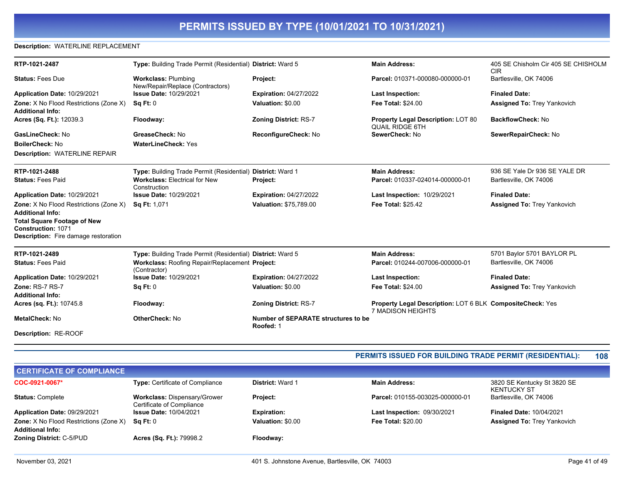### **Description:** WATERLINE REPLACEMENT

| RTP-1021-2487                                                                                           | Type: Building Trade Permit (Residential) District: Ward 5     |                                                  | <b>Main Address:</b>                                                           | 405 SE Chisholm Cir 405 SE CHISHOLM<br><b>CIR</b> |
|---------------------------------------------------------------------------------------------------------|----------------------------------------------------------------|--------------------------------------------------|--------------------------------------------------------------------------------|---------------------------------------------------|
| <b>Status: Fees Due</b>                                                                                 | <b>Workclass: Plumbing</b><br>New/Repair/Replace (Contractors) | Project:                                         | Parcel: 010371-000080-000000-01                                                | Bartlesville, OK 74006                            |
| Application Date: 10/29/2021                                                                            | <b>Issue Date: 10/29/2021</b>                                  | <b>Expiration: 04/27/2022</b>                    | <b>Last Inspection:</b>                                                        | <b>Finaled Date:</b>                              |
| Zone: X No Flood Restrictions (Zone X)                                                                  | <b>Sq Ft: 0</b>                                                | Valuation: \$0.00                                | <b>Fee Total: \$24.00</b>                                                      | <b>Assigned To: Trey Yankovich</b>                |
| <b>Additional Info:</b>                                                                                 |                                                                |                                                  |                                                                                |                                                   |
| Acres (Sq. Ft.): 12039.3                                                                                | Floodway:                                                      | <b>Zoning District: RS-7</b>                     | <b>Property Legal Description: LOT 80</b><br><b>QUAIL RIDGE 6TH</b>            | <b>BackflowCheck: No</b>                          |
| GasLineCheck: No                                                                                        | GreaseCheck: No                                                | ReconfigureCheck: No                             | SewerCheck: No                                                                 | SewerRepairCheck: No                              |
| <b>BoilerCheck: No</b>                                                                                  | <b>WaterLineCheck: Yes</b>                                     |                                                  |                                                                                |                                                   |
| <b>Description: WATERLINE REPAIR</b>                                                                    |                                                                |                                                  |                                                                                |                                                   |
| RTP-1021-2488                                                                                           | Type: Building Trade Permit (Residential) District: Ward 1     |                                                  | <b>Main Address:</b>                                                           | 936 SE Yale Dr 936 SE YALE DR                     |
| <b>Status: Fees Paid</b>                                                                                | <b>Workclass: Electrical for New</b><br>Construction           | Project:                                         | Parcel: 010337-024014-000000-01                                                | Bartlesville, OK 74006                            |
| Application Date: 10/29/2021                                                                            | <b>Issue Date: 10/29/2021</b>                                  | <b>Expiration: 04/27/2022</b>                    | Last Inspection: 10/29/2021                                                    | <b>Finaled Date:</b>                              |
| Zone: X No Flood Restrictions (Zone X)                                                                  | Sq Ft: 1,071                                                   | Valuation: \$75,789.00                           | <b>Fee Total: \$25.42</b>                                                      | <b>Assigned To: Trey Yankovich</b>                |
| <b>Additional Info:</b>                                                                                 |                                                                |                                                  |                                                                                |                                                   |
| <b>Total Square Footage of New</b><br>Construction: 1071<br><b>Description:</b> Fire damage restoration |                                                                |                                                  |                                                                                |                                                   |
|                                                                                                         |                                                                |                                                  |                                                                                |                                                   |
| RTP-1021-2489                                                                                           | Type: Building Trade Permit (Residential) District: Ward 5     |                                                  | <b>Main Address:</b>                                                           | 5701 Baylor 5701 BAYLOR PL                        |
| <b>Status: Fees Paid</b>                                                                                | Workclass: Roofing Repair/Replacement Project:<br>(Contractor) |                                                  | Parcel: 010244-007006-000000-01                                                | Bartlesville, OK 74006                            |
| Application Date: 10/29/2021                                                                            | <b>Issue Date: 10/29/2021</b>                                  | <b>Expiration: 04/27/2022</b>                    | Last Inspection:                                                               | <b>Finaled Date:</b>                              |
| Zone: RS-7 RS-7                                                                                         | Sq Ft: 0                                                       | Valuation: \$0.00                                | <b>Fee Total: \$24.00</b>                                                      | <b>Assigned To: Trey Yankovich</b>                |
| <b>Additional Info:</b>                                                                                 |                                                                |                                                  |                                                                                |                                                   |
| Acres (sq. Ft.): 10745.8                                                                                | Floodway:                                                      | <b>Zoning District: RS-7</b>                     | Property Legal Description: LOT 6 BLK CompositeCheck: Yes<br>7 MADISON HEIGHTS |                                                   |
| MetalCheck: No                                                                                          | <b>OtherCheck: No</b>                                          | Number of SEPARATE structures to be<br>Roofed: 1 |                                                                                |                                                   |
| <b>Description: RE-ROOF</b>                                                                             |                                                                |                                                  |                                                                                |                                                   |
|                                                                                                         |                                                                |                                                  |                                                                                |                                                   |

### **PERMITS ISSUED FOR BUILDING TRADE PERMIT (RESIDENTIAL): 108**

| <b>CERTIFICATE OF COMPLIANCE</b>                                         |                                                                  |                         |                                    |                                                   |  |
|--------------------------------------------------------------------------|------------------------------------------------------------------|-------------------------|------------------------------------|---------------------------------------------------|--|
| COC-0921-0067*                                                           | Type: Certificate of Compliance                                  | <b>District: Ward 1</b> | <b>Main Address:</b>               | 3820 SE Kentucky St 3820 SE<br><b>KENTUCKY ST</b> |  |
| <b>Status: Complete</b>                                                  | <b>Workclass: Dispensary/Grower</b><br>Certificate of Compliance | <b>Project:</b>         | Parcel: 010155-003025-000000-01    | Bartlesville, OK 74006                            |  |
| Application Date: 09/29/2021                                             | <b>Issue Date: 10/04/2021</b>                                    | <b>Expiration:</b>      | <b>Last Inspection: 09/30/2021</b> | <b>Finaled Date: 10/04/2021</b>                   |  |
| <b>Zone:</b> X No Flood Restrictions (Zone X)<br><b>Additional Info:</b> | Sa Ft: 0                                                         | Valuation: \$0.00       | <b>Fee Total: \$20.00</b>          | <b>Assigned To: Trey Yankovich</b>                |  |
| <b>Zoning District: C-5/PUD</b>                                          | Acres (Sq. Ft.): 79998.2                                         | Floodway:               |                                    |                                                   |  |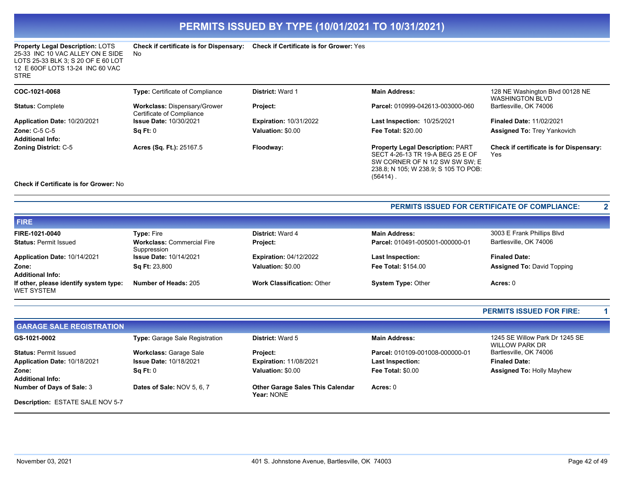**Check if certificate is for Dispensary: Check if Certificate is for Grower:** Yes

| <b>Property Legal Description: LOTS</b> | Сh |
|-----------------------------------------|----|
| 25-33 INC 10 VAC ALLEY ON E SIDE        | N٥ |
| LOTS 25-33 BLK 3: S 20 OF E 60 LOT      |    |
| 12 E 60 OF LOTS 13-24 INC 60 VAC        |    |
| <b>STRE</b>                             |    |

| COC-1021-0068                                                                                                                                                              | Type: Certificate of Compliance                                  | <b>District: Ward 1</b>       | <b>Main Address:</b>                                                                                                                                                 | 128 NE Washington Blvd 00128 NE<br><b>WASHINGTON BLVD</b> |
|----------------------------------------------------------------------------------------------------------------------------------------------------------------------------|------------------------------------------------------------------|-------------------------------|----------------------------------------------------------------------------------------------------------------------------------------------------------------------|-----------------------------------------------------------|
| <b>Status: Complete</b>                                                                                                                                                    | <b>Workclass: Dispensary/Grower</b><br>Certificate of Compliance | <b>Project:</b>               | Parcel: 010999-042613-003000-060                                                                                                                                     | Bartlesville, OK 74006                                    |
| Application Date: 10/20/2021                                                                                                                                               | <b>Issue Date: 10/30/2021</b>                                    | <b>Expiration: 10/31/2022</b> | Last Inspection: 10/25/2021                                                                                                                                          | <b>Finaled Date: 11/02/2021</b>                           |
| <b>Zone: C-5 C-5</b><br><b>Additional Info:</b>                                                                                                                            | Sq Ft: 0                                                         | Valuation: \$0.00             | <b>Fee Total: \$20.00</b>                                                                                                                                            | <b>Assigned To: Trey Yankovich</b>                        |
| <b>Zoning District: C-5</b><br>$\bigcap_{i=1}^{n}$ is the $\bigcap_{i=1}^{n}$ if $\bigcap_{i=1}^{n}$ is the $\bigcap_{i=1}^{n}$ $\bigcap_{i=1}^{n}$ if $\bigcap_{i=1}^{n}$ | Acres (Sq. Ft.): 25167.5                                         | Floodway:                     | <b>Property Legal Description: PART</b><br>SECT 4-26-13 TR 19-A BEG 25 E OF<br>SW CORNER OF N 1/2 SW SW SW; E<br>238.8; N 105; W 238.9; S 105 TO POB:<br>$(56414)$ . | <b>Check if certificate is for Dispensary:</b><br>Yes     |

### **Check if Certificate is for Grower:** No

### **PERMITS ISSUED FOR CERTIFICATE OF COMPLIANCE: 2**

| <b>FIRE</b>                                          |                                                  |                                   |                                 |                                   |
|------------------------------------------------------|--------------------------------------------------|-----------------------------------|---------------------------------|-----------------------------------|
| FIRE-1021-0040                                       | <b>Type: Fire</b>                                | <b>District: Ward 4</b>           | <b>Main Address:</b>            | 3003 E Frank Phillips Blvd        |
| <b>Status: Permit Issued</b>                         | <b>Workclass: Commercial Fire</b><br>Suppression | Project:                          | Parcel: 010491-005001-000000-01 | Bartlesville, OK 74006            |
| Application Date: 10/14/2021                         | <b>Issue Date: 10/14/2021</b>                    | <b>Expiration: 04/12/2022</b>     | <b>Last Inspection:</b>         | <b>Finaled Date:</b>              |
| Zone:                                                | <b>Sq Ft: 23,800</b>                             | Valuation: \$0.00                 | <b>Fee Total: \$154.00</b>      | <b>Assigned To: David Topping</b> |
| <b>Additional Info:</b>                              |                                                  |                                   |                                 |                                   |
| If other, please identify system type:<br>WET SYSTEM | Number of Heads: 205                             | <b>Work Classification: Other</b> | <b>System Type: Other</b>       | Acres: 0                          |

### **PERMITS ISSUED FOR FIRE: 1**

| <b>GARAGE SALE REGISTRATION</b>  |                                  |                                                       |                                 |                                                  |
|----------------------------------|----------------------------------|-------------------------------------------------------|---------------------------------|--------------------------------------------------|
| GS-1021-0002                     | Type: Garage Sale Registration   | <b>District: Ward 5</b>                               | <b>Main Address:</b>            | 1245 SE Willow Park Dr 1245 SE<br>WILLOW PARK DR |
| <b>Status: Permit Issued</b>     | <b>Workclass: Garage Sale</b>    | <b>Project:</b>                                       | Parcel: 010109-001008-000000-01 | Bartlesville, OK 74006                           |
| Application Date: 10/18/2021     | <b>Issue Date: 10/18/2021</b>    | <b>Expiration: 11/08/2021</b>                         | <b>Last Inspection:</b>         | <b>Finaled Date:</b>                             |
| Zone:<br><b>Additional Info:</b> | $\textsf{Sa} \, \textsf{Ft}$ : 0 | Valuation: \$0.00                                     | <b>Fee Total: \$0.00</b>        | <b>Assigned To: Holly Mayhew</b>                 |
| Number of Days of Sale: 3        | Dates of Sale: NOV 5, 6, 7       | <b>Other Garage Sales This Calendar</b><br>Year: NONE | Acres: 0                        |                                                  |
| Description: ESTATE SALE NOV 5-7 |                                  |                                                       |                                 |                                                  |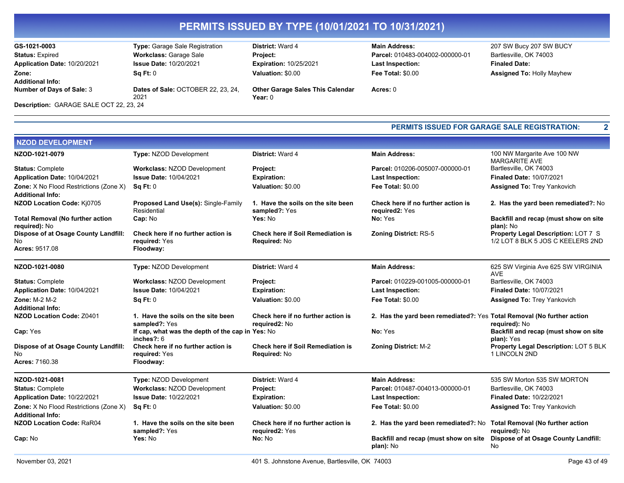| GS-1021-0003                            | Type: Garage Sale Registration             | <b>District: Ward 4</b>                              | <b>Main Address:</b>            | 207 SW Bucy 207 SW BUCY          |
|-----------------------------------------|--------------------------------------------|------------------------------------------------------|---------------------------------|----------------------------------|
| <b>Status: Expired</b>                  | <b>Workclass: Garage Sale</b>              | <b>Project:</b>                                      | Parcel: 010483-004002-000000-01 | Bartlesville, OK 74003           |
| Application Date: 10/20/2021            | <b>Issue Date: 10/20/2021</b>              | <b>Expiration: 10/25/2021</b>                        | <b>Last Inspection:</b>         | <b>Finaled Date:</b>             |
| Zone:                                   | Sq Ft: 0                                   | Valuation: \$0.00                                    | Fee Total: \$0.00               | <b>Assigned To: Holly Mayhew</b> |
| <b>Additional Info:</b>                 |                                            |                                                      |                                 |                                  |
| Number of Days of Sale: 3               | Dates of Sale: OCTOBER 22, 23, 24,<br>2021 | <b>Other Garage Sales This Calendar</b><br>Year: $0$ | Acres: 0                        |                                  |
|                                         |                                            |                                                      |                                 |                                  |
| Description: GARAGE SALE OCT 22, 23, 24 |                                            |                                                      |                                 |                                  |

# **Last Inspection: Fee Total:** \$0.00

**PERMITS ISSUED FOR GARAGE SALE REGISTRATION: 2**

| <b>NZOD DEVELOPMENT</b>                                           |                                                                   |                                                          |                                                                        |                                                                                 |
|-------------------------------------------------------------------|-------------------------------------------------------------------|----------------------------------------------------------|------------------------------------------------------------------------|---------------------------------------------------------------------------------|
| NZOD-1021-0079                                                    | <b>Type: NZOD Development</b>                                     | District: Ward 4                                         | <b>Main Address:</b>                                                   | 100 NW Margarite Ave 100 NW<br><b>MARGARITE AVE</b>                             |
| <b>Status: Complete</b>                                           | <b>Workclass: NZOD Development</b>                                | Project:                                                 | Parcel: 010206-005007-000000-01                                        | Bartlesville, OK 74003                                                          |
| Application Date: 10/04/2021                                      | <b>Issue Date: 10/04/2021</b>                                     | <b>Expiration:</b>                                       | <b>Last Inspection:</b>                                                | <b>Finaled Date: 10/07/2021</b>                                                 |
| Zone: X No Flood Restrictions (Zone X)<br><b>Additional Info:</b> | SqFt:0                                                            | Valuation: \$0.00                                        | <b>Fee Total: \$0.00</b>                                               | <b>Assigned To: Trey Yankovich</b>                                              |
| NZOD Location Code: Ki0705                                        | Proposed Land Use(s): Single-Family<br>Residential                | 1. Have the soils on the site been<br>sampled?: Yes      | Check here if no further action is<br>required2: Yes                   | 2. Has the yard been remediated?: No                                            |
| <b>Total Removal (No further action</b><br>required): No          | Cap: No                                                           | Yes: No                                                  | No: Yes                                                                | Backfill and recap (must show on site<br>plan): No                              |
| Dispose of at Osage County Landfill:<br>No                        | Check here if no further action is<br>required: Yes               | <b>Check here if Soil Remediation is</b><br>Required: No | <b>Zoning District: RS-5</b>                                           | <b>Property Legal Description: LOT 7 S</b><br>1/2 LOT 8 BLK 5 JOS C KEELERS 2ND |
| Acres: 9517.08                                                    | Floodway:                                                         |                                                          |                                                                        |                                                                                 |
| NZOD-1021-0080                                                    | Type: NZOD Development                                            | District: Ward 4                                         | <b>Main Address:</b>                                                   | 625 SW Virginia Ave 625 SW VIRGINIA<br><b>AVE</b>                               |
| <b>Status: Complete</b>                                           | <b>Workclass: NZOD Development</b>                                | Project:                                                 | Parcel: 010229-001005-000000-01                                        | Bartlesville, OK 74003                                                          |
| Application Date: 10/04/2021                                      | <b>Issue Date: 10/04/2021</b>                                     | <b>Expiration:</b>                                       | Last Inspection:                                                       | Finaled Date: 10/07/2021                                                        |
| Zone: M-2 M-2<br><b>Additional Info:</b>                          | <b>Sq Ft: 0</b>                                                   | Valuation: \$0.00                                        | <b>Fee Total: \$0.00</b>                                               | <b>Assigned To: Trey Yankovich</b>                                              |
| <b>NZOD Location Code: Z0401</b>                                  | 1. Have the soils on the site been<br>sampled?: Yes               | Check here if no further action is<br>required2: No      | 2. Has the yard been remediated?: Yes Total Removal (No further action | required): No                                                                   |
| Cap: Yes                                                          | If cap, what was the depth of the cap in Yes: No<br>inches $?: 6$ |                                                          | No: Yes                                                                | Backfill and recap (must show on site<br>plan): Yes                             |
| Dispose of at Osage County Landfill:                              | Check here if no further action is                                | <b>Check here if Soil Remediation is</b>                 | <b>Zoning District: M-2</b>                                            | Property Legal Description: LOT 5 BLK                                           |
| No                                                                | required: Yes                                                     | Required: No                                             |                                                                        | 1 LINCOLN 2ND                                                                   |
| Acres: 7160.38                                                    | Floodway:                                                         |                                                          |                                                                        |                                                                                 |
| NZOD-1021-0081                                                    | <b>Type: NZOD Development</b>                                     | District: Ward 4                                         | <b>Main Address:</b>                                                   | 535 SW Morton 535 SW MORTON                                                     |
| <b>Status: Complete</b>                                           | <b>Workclass: NZOD Development</b>                                | Project:                                                 | Parcel: 010487-004013-000000-01                                        | Bartlesville, OK 74003                                                          |
| Application Date: 10/22/2021                                      | <b>Issue Date: 10/22/2021</b>                                     | <b>Expiration:</b>                                       | Last Inspection:                                                       | <b>Finaled Date: 10/22/2021</b>                                                 |
| Zone: X No Flood Restrictions (Zone X)<br><b>Additional Info:</b> | Sq Ft: 0                                                          | Valuation: \$0.00                                        | <b>Fee Total: \$0.00</b>                                               | <b>Assigned To: Trey Yankovich</b>                                              |
| <b>NZOD Location Code: RaR04</b>                                  | 1. Have the soils on the site been<br>sampled?: Yes               | Check here if no further action is<br>required2: Yes     | 2. Has the yard been remediated?: No                                   | <b>Total Removal (No further action</b><br>required): No                        |
| Cap: No                                                           | <b>Yes:</b> No                                                    | No: No                                                   | Backfill and recap (must show on site<br>plan): No                     | Dispose of at Osage County Landfill:<br><b>No</b>                               |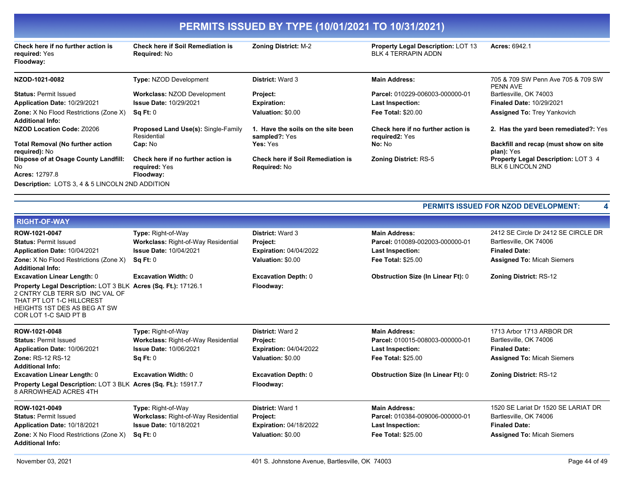| Check here if no further action is<br>required: Yes<br>Floodway:         | <b>Check here if Soil Remediation is</b><br><b>Required: No</b>  | <b>Zoning District: M-2</b>                                     | <b>Property Legal Description: LOT 13</b><br><b>BLK 4 TERRAPIN ADDN</b> | <b>Acres: 6942.1</b>                                            |
|--------------------------------------------------------------------------|------------------------------------------------------------------|-----------------------------------------------------------------|-------------------------------------------------------------------------|-----------------------------------------------------------------|
| NZOD-1021-0082                                                           | <b>Type: NZOD Development</b>                                    | <b>District: Ward 3</b>                                         | <b>Main Address:</b>                                                    | 705 & 709 SW Penn Ave 705 & 709 SW<br>PENN AVE                  |
| <b>Status: Permit Issued</b>                                             | <b>Workclass: NZOD Development</b>                               | Project:                                                        | Parcel: 010229-006003-000000-01                                         | Bartlesville, OK 74003                                          |
| Application Date: 10/29/2021                                             | <b>Issue Date: 10/29/2021</b>                                    | <b>Expiration:</b>                                              | Last Inspection:                                                        | <b>Finaled Date: 10/29/2021</b>                                 |
| <b>Zone:</b> X No Flood Restrictions (Zone X)<br><b>Additional Info:</b> | Sq Ft: 0                                                         | Valuation: \$0.00                                               | <b>Fee Total: \$20.00</b>                                               | <b>Assigned To: Trey Yankovich</b>                              |
| NZOD Location Code: Z0206                                                | <b>Proposed Land Use(s): Single-Family</b><br>Residential        | 1. Have the soils on the site been<br>sampled?: Yes             | Check here if no further action is<br>required2: Yes                    | 2. Has the yard been remediated?: Yes                           |
| <b>Total Removal (No further action</b><br>required): No                 | Cap: No                                                          | Yes: Yes                                                        | No: No                                                                  | Backfill and recap (must show on site<br>plan): Yes             |
| Dispose of at Osage County Landfill:<br>No.<br><b>Acres: 12797.8</b>     | Check here if no further action is<br>required: Yes<br>Floodway: | <b>Check here if Soil Remediation is</b><br><b>Required: No</b> | <b>Zoning District: RS-5</b>                                            | <b>Property Legal Description: LOT 3 4</b><br>BLK 6 LINCOLN 2ND |
| <b>Description:</b> LOTS 3, 4 & 5 LINCOLN 2ND ADDITION                   |                                                                  |                                                                 |                                                                         |                                                                 |

| <b>District: Ward 3</b><br><b>Main Address:</b><br>2412 SE Circle Dr 2412 SE CIRCLE DR<br>Type: Right-of-Way<br><b>Workclass: Right-of-Way Residential</b><br>Parcel: 010089-002003-000000-01<br>Bartlesville, OK 74006<br>Project:<br><b>Issue Date: 10/04/2021</b><br><b>Finaled Date:</b><br><b>Expiration: 04/04/2022</b><br>Last Inspection:<br>Valuation: \$0.00<br><b>Assigned To: Micah Siemers</b><br>Sq Ft: 0<br><b>Fee Total: \$25.00</b><br><b>Obstruction Size (In Linear Ft): 0</b><br><b>Excavation Width: 0</b><br><b>Excavation Depth: 0</b><br><b>Zoning District: RS-12</b><br>Property Legal Description: LOT 3 BLK Acres (Sq. Ft.): 17126.1<br>Floodway:<br>1713 Arbor 1713 ARBOR DR<br><b>Type: Right-of-Way</b><br><b>District: Ward 2</b><br><b>Main Address:</b><br><b>Workclass: Right-of-Way Residential</b><br>Bartlesville, OK 74006<br>Parcel: 010015-008003-000000-01<br>Project:<br><b>Issue Date: 10/06/2021</b><br><b>Finaled Date:</b><br><b>Expiration: 04/04/2022</b><br><b>Last Inspection:</b><br>Sq Ft: 0<br>Valuation: \$0.00<br><b>Fee Total: \$25.00</b><br><b>Assigned To: Micah Siemers</b><br><b>Obstruction Size (In Linear Ft): 0</b><br><b>Excavation Width: 0</b><br><b>Excavation Depth: 0</b><br><b>Zoning District: RS-12</b><br>Property Legal Description: LOT 3 BLK Acres (Sq. Ft.): 15917.7<br>Floodway:<br>1520 SE Lariat Dr 1520 SE LARIAT DR<br>Type: Right-of-Way<br>District: Ward 1<br><b>Main Address:</b><br>Workclass: Right-of-Way Residential<br>Parcel: 010384-009006-000000-01<br>Project:<br>Bartlesville, OK 74006<br><b>Issue Date: 10/18/2021</b><br><b>Finaled Date:</b><br><b>Expiration: 04/18/2022</b><br>Last Inspection:<br><b>Fee Total: \$25.00</b><br>Valuation: \$0.00<br><b>Assigned To: Micah Siemers</b><br>Sq Ft: 0 |                                                                                                                                                    |  |  |
|-------------------------------------------------------------------------------------------------------------------------------------------------------------------------------------------------------------------------------------------------------------------------------------------------------------------------------------------------------------------------------------------------------------------------------------------------------------------------------------------------------------------------------------------------------------------------------------------------------------------------------------------------------------------------------------------------------------------------------------------------------------------------------------------------------------------------------------------------------------------------------------------------------------------------------------------------------------------------------------------------------------------------------------------------------------------------------------------------------------------------------------------------------------------------------------------------------------------------------------------------------------------------------------------------------------------------------------------------------------------------------------------------------------------------------------------------------------------------------------------------------------------------------------------------------------------------------------------------------------------------------------------------------------------------------------------------------------------------------------------------------------------------------------------------------------|----------------------------------------------------------------------------------------------------------------------------------------------------|--|--|
|                                                                                                                                                                                                                                                                                                                                                                                                                                                                                                                                                                                                                                                                                                                                                                                                                                                                                                                                                                                                                                                                                                                                                                                                                                                                                                                                                                                                                                                                                                                                                                                                                                                                                                                                                                                                             | <b>RIGHT-OF-WAY</b>                                                                                                                                |  |  |
|                                                                                                                                                                                                                                                                                                                                                                                                                                                                                                                                                                                                                                                                                                                                                                                                                                                                                                                                                                                                                                                                                                                                                                                                                                                                                                                                                                                                                                                                                                                                                                                                                                                                                                                                                                                                             | ROW-1021-0047<br><b>Status: Permit Issued</b><br>Application Date: 10/04/2021<br>Zone: X No Flood Restrictions (Zone X)<br><b>Additional Info:</b> |  |  |
|                                                                                                                                                                                                                                                                                                                                                                                                                                                                                                                                                                                                                                                                                                                                                                                                                                                                                                                                                                                                                                                                                                                                                                                                                                                                                                                                                                                                                                                                                                                                                                                                                                                                                                                                                                                                             | <b>Excavation Linear Length: 0</b>                                                                                                                 |  |  |
|                                                                                                                                                                                                                                                                                                                                                                                                                                                                                                                                                                                                                                                                                                                                                                                                                                                                                                                                                                                                                                                                                                                                                                                                                                                                                                                                                                                                                                                                                                                                                                                                                                                                                                                                                                                                             | 2 CNTRY CLB TERR S/D INC VAL OF<br>THAT PT LOT 1-C HILLCREST<br>HEIGHTS 1ST DES AS BEG AT SW<br>COR LOT 1-C SAID PT B                              |  |  |
|                                                                                                                                                                                                                                                                                                                                                                                                                                                                                                                                                                                                                                                                                                                                                                                                                                                                                                                                                                                                                                                                                                                                                                                                                                                                                                                                                                                                                                                                                                                                                                                                                                                                                                                                                                                                             | ROW-1021-0048                                                                                                                                      |  |  |
|                                                                                                                                                                                                                                                                                                                                                                                                                                                                                                                                                                                                                                                                                                                                                                                                                                                                                                                                                                                                                                                                                                                                                                                                                                                                                                                                                                                                                                                                                                                                                                                                                                                                                                                                                                                                             | <b>Status: Permit Issued</b>                                                                                                                       |  |  |
|                                                                                                                                                                                                                                                                                                                                                                                                                                                                                                                                                                                                                                                                                                                                                                                                                                                                                                                                                                                                                                                                                                                                                                                                                                                                                                                                                                                                                                                                                                                                                                                                                                                                                                                                                                                                             | Application Date: 10/06/2021                                                                                                                       |  |  |
|                                                                                                                                                                                                                                                                                                                                                                                                                                                                                                                                                                                                                                                                                                                                                                                                                                                                                                                                                                                                                                                                                                                                                                                                                                                                                                                                                                                                                                                                                                                                                                                                                                                                                                                                                                                                             | Zone: RS-12 RS-12<br><b>Additional Info:</b>                                                                                                       |  |  |
|                                                                                                                                                                                                                                                                                                                                                                                                                                                                                                                                                                                                                                                                                                                                                                                                                                                                                                                                                                                                                                                                                                                                                                                                                                                                                                                                                                                                                                                                                                                                                                                                                                                                                                                                                                                                             | <b>Excavation Linear Length: 0</b>                                                                                                                 |  |  |
|                                                                                                                                                                                                                                                                                                                                                                                                                                                                                                                                                                                                                                                                                                                                                                                                                                                                                                                                                                                                                                                                                                                                                                                                                                                                                                                                                                                                                                                                                                                                                                                                                                                                                                                                                                                                             | 8 ARROWHEAD ACRES 4TH                                                                                                                              |  |  |
|                                                                                                                                                                                                                                                                                                                                                                                                                                                                                                                                                                                                                                                                                                                                                                                                                                                                                                                                                                                                                                                                                                                                                                                                                                                                                                                                                                                                                                                                                                                                                                                                                                                                                                                                                                                                             | ROW-1021-0049<br><b>Status: Permit Issued</b><br>Application Date: 10/18/2021<br>Zone: X No Flood Restrictions (Zone X)<br><b>Additional Info:</b> |  |  |

**PERMITS ISSUED FOR NZOD DEVELOPMENT: 4**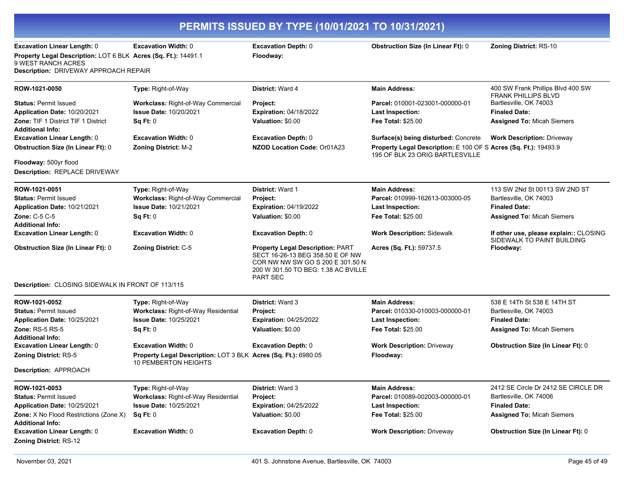|                                                                                                                                                                                                                                                                                                            | PERMITS ISSUED BY TYPE (10/01/2021 TO 10/31/2021)                                                                                                                                                                                     |                                                                                                                                                                                                                                                                                                      |                                                                                                                                                                                                                                                                      |                                                                                                                                                                                                           |  |  |
|------------------------------------------------------------------------------------------------------------------------------------------------------------------------------------------------------------------------------------------------------------------------------------------------------------|---------------------------------------------------------------------------------------------------------------------------------------------------------------------------------------------------------------------------------------|------------------------------------------------------------------------------------------------------------------------------------------------------------------------------------------------------------------------------------------------------------------------------------------------------|----------------------------------------------------------------------------------------------------------------------------------------------------------------------------------------------------------------------------------------------------------------------|-----------------------------------------------------------------------------------------------------------------------------------------------------------------------------------------------------------|--|--|
| <b>Excavation Linear Length: 0</b><br>Property Legal Description: LOT 6 BLK Acres (Sq. Ft.): 14491.1<br>9 WEST RANCH ACRES<br><b>Description: DRIVEWAY APPROACH REPAIR</b>                                                                                                                                 | <b>Excavation Width: 0</b>                                                                                                                                                                                                            | <b>Excavation Depth: 0</b><br>Floodway:                                                                                                                                                                                                                                                              | <b>Obstruction Size (In Linear Ft): 0</b>                                                                                                                                                                                                                            | Zoning District: RS-10                                                                                                                                                                                    |  |  |
| ROW-1021-0050<br><b>Status: Permit Issued</b><br>Application Date: 10/20/2021<br><b>Zone: TIF 1 District TIF 1 District</b><br><b>Additional Info:</b><br><b>Excavation Linear Length: 0</b><br><b>Obstruction Size (In Linear Ft): 0</b><br>Floodway: 500yr flood<br><b>Description: REPLACE DRIVEWAY</b> | Type: Right-of-Way<br>Workclass: Right-of-Way Commercial<br><b>Issue Date: 10/20/2021</b><br>Sq Ft: 0<br><b>Excavation Width: 0</b><br><b>Zoning District: M-2</b>                                                                    | <b>District: Ward 4</b><br>Project:<br><b>Expiration: 04/18/2022</b><br>Valuation: \$0.00<br><b>Excavation Depth: 0</b><br>NZOD Location Code: Or01A23                                                                                                                                               | <b>Main Address:</b><br>Parcel: 010001-023001-000000-01<br><b>Last Inspection:</b><br><b>Fee Total: \$25.00</b><br><b>Surface(s) being disturbed: Concrete</b><br>Property Legal Description: E 100 OF S Acres (Sq. Ft.): 19493.9<br>195 OF BLK 23 ORIG BARTLESVILLE | 400 SW Frank Phillips Blvd 400 SW<br><b>FRANK PHILLIPS BLVD</b><br>Bartlesville, OK 74003<br><b>Finaled Date:</b><br><b>Assigned To: Micah Siemers</b><br><b>Work Description: Driveway</b>               |  |  |
| ROW-1021-0051<br><b>Status: Permit Issued</b><br>Application Date: 10/21/2021<br>Zone: C-5 C-5<br><b>Additional Info:</b><br><b>Excavation Linear Length: 0</b><br><b>Obstruction Size (In Linear Ft): 0</b><br>Description: CLOSING SIDEWALK IN FRONT OF 113/115                                          | Type: Right-of-Way<br>Workclass: Right-of-Way Commercial<br><b>Issue Date: 10/21/2021</b><br>Sq Ft: 0<br><b>Excavation Width: 0</b><br><b>Zoning District: C-5</b>                                                                    | <b>District: Ward 1</b><br>Project:<br><b>Expiration: 04/19/2022</b><br>Valuation: \$0.00<br><b>Excavation Depth: 0</b><br><b>Property Legal Description: PART</b><br>SECT 16-26-13 BEG 358.50 E OF NW<br>COR NW NW SW GO S 200 E 301.50 N<br>200 W 301.50 TO BEG: 1.38 AC BVILLE<br><b>PART SEC</b> | <b>Main Address:</b><br>Parcel: 010999-162613-003000-05<br><b>Last Inspection:</b><br><b>Fee Total: \$25.00</b><br><b>Work Description: Sidewalk</b><br>Acres (Sq. Ft.): 59737.5                                                                                     | 113 SW 2Nd St 00113 SW 2ND ST<br>Bartlesville, OK 74003<br><b>Finaled Date:</b><br><b>Assigned To: Micah Siemers</b><br>If other use, please explain:: CLOSING<br>SIDEWALK TO PAINT BUILDING<br>Floodway: |  |  |
| ROW-1021-0052<br><b>Status: Permit Issued</b><br>Application Date: 10/25/2021<br>Zone: RS-5 RS-5<br><b>Additional Info:</b><br><b>Excavation Linear Length: 0</b><br><b>Zoning District: RS-5</b><br>Description: APPROACH                                                                                 | Type: Right-of-Way<br>Workclass: Right-of-Way Residential<br><b>Issue Date: 10/25/2021</b><br>Sq Ft: 0<br><b>Excavation Width: 0</b><br>Property Legal Description: LOT 3 BLK Acres (Sq. Ft.): 6980.05<br><b>10 PEMBERTON HEIGHTS</b> | <b>District: Ward 3</b><br>Project:<br><b>Expiration: 04/25/2022</b><br>Valuation: \$0.00<br><b>Excavation Depth: 0</b>                                                                                                                                                                              | <b>Main Address:</b><br>Parcel: 010330-010003-000000-01<br><b>Last Inspection:</b><br><b>Fee Total: \$25.00</b><br><b>Work Description: Driveway</b><br>Floodway:                                                                                                    | 538 E 14Th St 538 E 14TH ST<br>Bartlesville, OK 74003<br><b>Finaled Date:</b><br><b>Assigned To: Micah Siemers</b><br><b>Obstruction Size (In Linear Ft): 0</b>                                           |  |  |
| ROW-1021-0053<br><b>Status: Permit Issued</b><br>Application Date: 10/25/2021<br>Zone: X No Flood Restrictions (Zone X)<br><b>Additional Info:</b><br><b>Excavation Linear Length: 0</b><br><b>Zoning District: RS-12</b>                                                                                  | Type: Right-of-Way<br>Workclass: Right-of-Way Residential<br><b>Issue Date: 10/25/2021</b><br>Sq Ft: 0<br><b>Excavation Width: 0</b>                                                                                                  | <b>District: Ward 3</b><br>Project:<br><b>Expiration: 04/25/2022</b><br>Valuation: \$0.00<br><b>Excavation Depth: 0</b>                                                                                                                                                                              | <b>Main Address:</b><br>Parcel: 010089-002003-000000-01<br><b>Last Inspection:</b><br>Fee Total: \$25.00<br><b>Work Description: Driveway</b>                                                                                                                        | 2412 SE Circle Dr 2412 SE CIRCLE DR<br>Bartlesville, OK 74006<br><b>Finaled Date:</b><br><b>Assigned To: Micah Siemers</b><br><b>Obstruction Size (In Linear Ft): 0</b>                                   |  |  |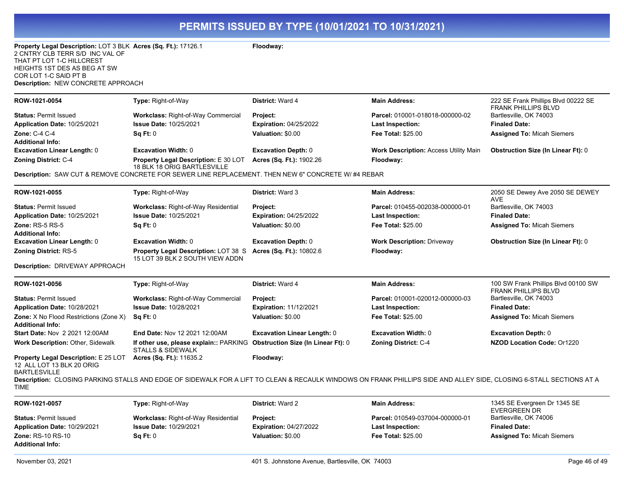| Property Legal Description: LOT 3 BLK Acres (Sq. Ft.): 17126.1<br>2 CNTRY CLB TERR S/D INC VAL OF<br>THAT PT LOT 1-C HILLCREST<br>HEIGHTS 1ST DES AS BEG AT SW<br>COR LOT 1-C SAID PT B<br>Description: NEW CONCRETE APPROACH |                                                                                                           | Floodway:                                        |                                                                                                                                                                            |                                                                   |
|-------------------------------------------------------------------------------------------------------------------------------------------------------------------------------------------------------------------------------|-----------------------------------------------------------------------------------------------------------|--------------------------------------------------|----------------------------------------------------------------------------------------------------------------------------------------------------------------------------|-------------------------------------------------------------------|
| ROW-1021-0054                                                                                                                                                                                                                 | Type: Right-of-Way                                                                                        | District: Ward 4                                 | <b>Main Address:</b>                                                                                                                                                       | 222 SE Frank Phillips Blvd 00222 SE<br>FRANK PHILLIPS BLVD        |
| <b>Status: Permit Issued</b>                                                                                                                                                                                                  | <b>Workclass: Right-of-Way Commercial</b>                                                                 | Project:                                         | Parcel: 010001-018018-000000-02                                                                                                                                            | Bartlesville, OK 74003                                            |
| Application Date: 10/25/2021                                                                                                                                                                                                  | <b>Issue Date: 10/25/2021</b>                                                                             | <b>Expiration: 04/25/2022</b>                    | <b>Last Inspection:</b>                                                                                                                                                    | <b>Finaled Date:</b>                                              |
| Zone: C-4 C-4<br><b>Additional Info:</b>                                                                                                                                                                                      | Sq Ft: 0                                                                                                  | Valuation: \$0.00                                | <b>Fee Total: \$25.00</b>                                                                                                                                                  | <b>Assigned To: Micah Siemers</b>                                 |
| <b>Excavation Linear Length: 0</b>                                                                                                                                                                                            | <b>Excavation Width: 0</b>                                                                                | <b>Excavation Depth: 0</b>                       | <b>Work Description: Access Utility Main</b>                                                                                                                               | <b>Obstruction Size (In Linear Ft): 0</b>                         |
| Zoning District: C-4                                                                                                                                                                                                          | Property Legal Description: E 30 LOT<br>18 BLK 18 ORIG BARTLESVILLE                                       | Acres (Sq. Ft.): 1902.26                         | Floodway:                                                                                                                                                                  |                                                                   |
|                                                                                                                                                                                                                               | Description: SAW CUT & REMOVE CONCRETE FOR SEWER LINE REPLACEMENT. THEN NEW 6" CONCRETE W/ #4 REBAR       |                                                  |                                                                                                                                                                            |                                                                   |
| ROW-1021-0055                                                                                                                                                                                                                 | <b>Type: Right-of-Way</b>                                                                                 | <b>District: Ward 3</b>                          | <b>Main Address:</b>                                                                                                                                                       | 2050 SE Dewey Ave 2050 SE DEWEY<br><b>AVE</b>                     |
| <b>Status: Permit Issued</b>                                                                                                                                                                                                  | <b>Workclass: Right-of-Way Residential</b>                                                                | Project:                                         | Parcel: 010455-002038-000000-01                                                                                                                                            | Bartlesville, OK 74003                                            |
| Application Date: 10/25/2021                                                                                                                                                                                                  | <b>Issue Date: 10/25/2021</b>                                                                             | <b>Expiration: 04/25/2022</b>                    | <b>Last Inspection:</b>                                                                                                                                                    | <b>Finaled Date:</b>                                              |
| <b>Zone: RS-5 RS-5</b><br><b>Additional Info:</b>                                                                                                                                                                             | Sq Ft: 0                                                                                                  | Valuation: \$0.00                                | <b>Fee Total: \$25.00</b>                                                                                                                                                  | <b>Assigned To: Micah Siemers</b>                                 |
| <b>Excavation Linear Length: 0</b>                                                                                                                                                                                            | <b>Excavation Width: 0</b>                                                                                | <b>Excavation Depth: 0</b>                       | <b>Work Description: Driveway</b>                                                                                                                                          | <b>Obstruction Size (In Linear Ft): 0</b>                         |
| <b>Zoning District: RS-5</b>                                                                                                                                                                                                  | <b>Property Legal Description: LOT 38 S</b><br>15 LOT 39 BLK 2 SOUTH VIEW ADDN                            | Acres (Sq. Ft.): 10802.6                         | Floodway:                                                                                                                                                                  |                                                                   |
| Description: DRIVEWAY APPROACH                                                                                                                                                                                                |                                                                                                           |                                                  |                                                                                                                                                                            |                                                                   |
| ROW-1021-0056                                                                                                                                                                                                                 | <b>Type: Right-of-Way</b>                                                                                 | <b>District: Ward 4</b>                          | <b>Main Address:</b>                                                                                                                                                       | 100 SW Frank Phillips Blvd 00100 SW<br><b>FRANK PHILLIPS BLVD</b> |
| <b>Status: Permit Issued</b>                                                                                                                                                                                                  | Workclass: Right-of-Way Commercial                                                                        | <b>Project:</b>                                  | Parcel: 010001-020012-000000-03                                                                                                                                            | Bartlesville, OK 74003                                            |
| Application Date: 10/28/2021                                                                                                                                                                                                  | <b>Issue Date: 10/28/2021</b>                                                                             | <b>Expiration: 11/12/2021</b>                    | Last Inspection:                                                                                                                                                           | <b>Finaled Date:</b>                                              |
| Zone: X No Flood Restrictions (Zone X)<br><b>Additional Info:</b>                                                                                                                                                             | Sq Ft: 0                                                                                                  | Valuation: \$0.00                                | Fee Total: \$25.00                                                                                                                                                         | <b>Assigned To: Micah Siemers</b>                                 |
| <b>Start Date: Nov 2 2021 12:00AM</b>                                                                                                                                                                                         | <b>End Date: Nov 12 2021 12:00AM</b>                                                                      | <b>Excavation Linear Length: 0</b>               | <b>Excavation Width: 0</b>                                                                                                                                                 | <b>Excavation Depth: 0</b>                                        |
| Work Description: Other, Sidewalk                                                                                                                                                                                             | If other use, please explain:: PARKING Obstruction Size (In Linear Ft): 0<br><b>STALLS &amp; SIDEWALK</b> |                                                  | <b>Zoning District: C-4</b>                                                                                                                                                | NZOD Location Code: Or1220                                        |
| Property Legal Description: E 25 LOT<br>12 ALL LOT 13 BLK 20 ORIG<br>BARTLESVILLE                                                                                                                                             | Acres (Sq. Ft.): 11635.2                                                                                  | Floodway:                                        | <b>Description:</b> CLOSING PARKING STALLS AND EDGE OF SIDEWALK FOR A LIFT TO CLEAN & RECAULK WINDOWS ON FRANK PHILLIPS SIDE AND ALLEY SIDE, CLOSING 6-STALL SECTIONS AT A |                                                                   |
| TIME                                                                                                                                                                                                                          |                                                                                                           |                                                  |                                                                                                                                                                            |                                                                   |
| ROW-1021-0057                                                                                                                                                                                                                 | Type: Right-of-Way                                                                                        | <b>District: Ward 2</b>                          | <b>Main Address:</b>                                                                                                                                                       | 1345 SE Evergreen Dr 1345 SE<br><b>EVERGREEN DR</b>               |
| <b>Status: Permit Issued</b>                                                                                                                                                                                                  | <b>Workclass: Right-of-Way Residential</b><br><b>Issue Date: 10/29/2021</b>                               | <b>Project:</b><br><b>Expiration: 04/27/2022</b> | Parcel: 010549-037004-000000-01                                                                                                                                            | Bartlesville, OK 74006<br><b>Finaled Date:</b>                    |
| Application Date: 10/29/2021<br>Zone: RS-10 RS-10                                                                                                                                                                             |                                                                                                           |                                                  | <b>Last Inspection:</b>                                                                                                                                                    |                                                                   |
| <b>Additional Info:</b>                                                                                                                                                                                                       | Sq Ft: 0                                                                                                  | Valuation: \$0.00                                | Fee Total: \$25.00                                                                                                                                                         | <b>Assigned To: Micah Siemers</b>                                 |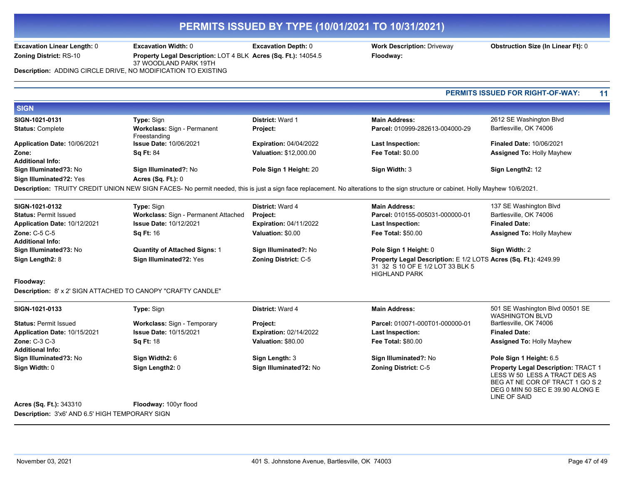HIGHLAND PARK

**Excavation Linear Length:** 0 **Excavation Width:** 0 **Excavation Depth:** 0 **Work Description:** Driveway **Obstruction Size (In Linear Ft):** 0

**Zoning District:** RS-10 **Property Legal Description:** LOT 4 BLK **Acres (Sq. Ft.):** 14054.5 **Floodway:** 

37 WOODLAND PARK 19TH **Description:** ADDING CIRCLE DRIVE, NO MODIFICATION TO EXISTING

**PERMITS ISSUED FOR RIGHT-OF-WAY: 11**

| <b>SIGN</b>                  |                                             |                               |                                 |                                  |
|------------------------------|---------------------------------------------|-------------------------------|---------------------------------|----------------------------------|
| SIGN-1021-0131               | <b>Type:</b> Sign                           | <b>District: Ward 1</b>       | <b>Main Address:</b>            | 2612 SE Washington Blvd          |
| <b>Status: Complete</b>      | Workclass: Sign - Permanent<br>Freestanding | <b>Project:</b>               | Parcel: 010999-282613-004000-29 | Bartlesville, OK 74006           |
| Application Date: 10/06/2021 | <b>Issue Date: 10/06/2021</b>               | <b>Expiration: 04/04/2022</b> | <b>Last Inspection:</b>         | <b>Finaled Date: 10/06/2021</b>  |
| Zone:                        | <b>Sa Ft: 84</b>                            | <b>Valuation: \$12,000.00</b> | <b>Fee Total: \$0.00</b>        | <b>Assigned To: Holly Mayhew</b> |
| <b>Additional Info:</b>      |                                             |                               |                                 |                                  |
| Sign Illuminated?3: No       | Sign Illuminated?: No                       | Pole Sign 1 Height: 20        | Sign Width: 3                   | Sign Length2: 12                 |
| Sign Illuminated?2: Yes      | Acres $(Sq. Ft.): 0$                        |                               |                                 |                                  |

**Description:** TRUITY CREDIT UNION NEW SIGN FACES- No permit needed, this is just a sign face replacement. No alterations to the sign structure or cabinet. Holly Mayhew 10/6/2021.

| SIGN-1021-0132               | <b>Type:</b> Sign                           | <b>District: Ward 4</b>       | <b>Main Address:</b>                                                                                 | 137 SE Washington Blvd           |
|------------------------------|---------------------------------------------|-------------------------------|------------------------------------------------------------------------------------------------------|----------------------------------|
| <b>Status: Permit Issued</b> | <b>Workclass: Sign - Permanent Attached</b> | <b>Project:</b>               | Parcel: 010155-005031-000000-01                                                                      | Bartlesville, OK 74006           |
| Application Date: 10/12/2021 | <b>Issue Date: 10/12/2021</b>               | <b>Expiration: 04/11/2022</b> | Last Inspection:                                                                                     | <b>Finaled Date:</b>             |
| Zone: $C-5$ $C-5$            | <b>Sa Ft: 16</b>                            | Valuation: \$0.00             | <b>Fee Total: \$50.00</b>                                                                            | <b>Assigned To: Holly Mayhew</b> |
| <b>Additional Info:</b>      |                                             |                               |                                                                                                      |                                  |
| Sign Illuminated?3: No       | <b>Quantity of Attached Signs: 1</b>        | Sign Illuminated?: No         | Pole Sign 1 Height: 0                                                                                | Sign Width: 2                    |
| Sign Length2: 8              | Sign Illuminated?2: Yes                     | <b>Zoning District: C-5</b>   | Property Legal Description: E 1/2 LOTS Acres (Sq. Ft.): 4249.99<br>31 32 S 10 OF F 1/2 I OT 33 BLK 5 |                                  |

**Floodway:** 

**Description:** 8' x 2' SIGN ATTACHED TO CANOPY "CRAFTY CANDLE"

| SIGN-1021-0133               | <b>Type:</b> Sign                  | <b>District: Ward 4</b>       | <b>Main Address:</b>            | 501 SE Washington Blvd 00501 SE            |
|------------------------------|------------------------------------|-------------------------------|---------------------------------|--------------------------------------------|
|                              |                                    |                               |                                 | <b>WASHINGTON BLVD</b>                     |
| <b>Status: Permit Issued</b> | <b>Workclass: Sign - Temporary</b> | <b>Project:</b>               | Parcel: 010071-000T01-000000-01 | Bartlesville, OK 74006                     |
| Application Date: 10/15/2021 | <b>Issue Date: 10/15/2021</b>      | <b>Expiration: 02/14/2022</b> | <b>Last Inspection:</b>         | <b>Finaled Date:</b>                       |
| <b>Zone: C-3 C-3</b>         | <b>Sq Ft: 18</b>                   | Valuation: \$80.00            | <b>Fee Total: \$80.00</b>       | <b>Assigned To: Holly Mayhew</b>           |
| <b>Additional Info:</b>      |                                    |                               |                                 |                                            |
| Sign Illuminated?3: No       | Sign Width2: 6                     | Sign Length: 3                | Sign Illuminated?: No           | Pole Sign 1 Height: 6.5                    |
| Sign Width: 0                | Sign Length2: 0                    | Sign Illuminated?2: No        | <b>Zoning District: C-5</b>     | <b>Property Legal Description: TRACT 1</b> |
|                              |                                    |                               |                                 | LESS W 50 LESS A TRACT DES AS              |
|                              |                                    |                               |                                 | BEG AT NE COR OF TRACT 1 GO S 2            |

**Acres (Sq. Ft.):** 343310 **Floodway:** 100yr flood **Description:** 3'x6' AND 6.5' HIGH TEMPORARY SIGN

DEG 0 MIN 50 SEC E 39.90 ALONG E

LINE OF SAID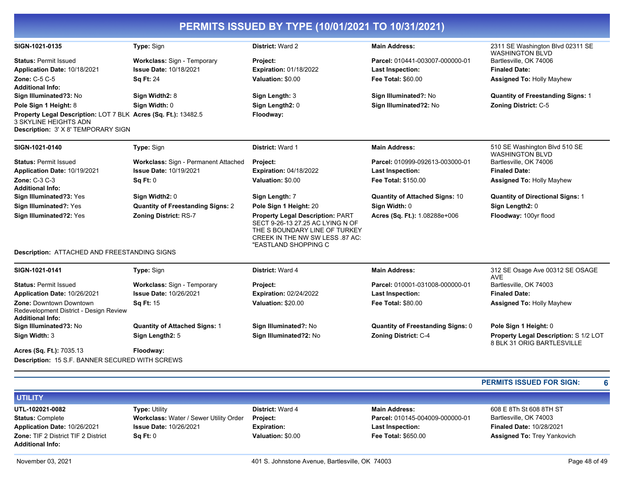| PERMITS ISSUED BY TYPE (10/01/2021 TO 10/31/2021) |  |
|---------------------------------------------------|--|
|                                                   |  |

| SIGN-1021-0135                                                                                                                 | Type: Sign                               | District: Ward 2                                                                                                                                                        | <b>Main Address:</b>                     | 2311 SE Washington Blvd 02311 SE<br><b>WASHINGTON BLVD</b>          |
|--------------------------------------------------------------------------------------------------------------------------------|------------------------------------------|-------------------------------------------------------------------------------------------------------------------------------------------------------------------------|------------------------------------------|---------------------------------------------------------------------|
| <b>Status: Permit Issued</b>                                                                                                   | Workclass: Sign - Temporary              | Project:                                                                                                                                                                | Parcel: 010441-003007-000000-01          | Bartlesville, OK 74006                                              |
| Application Date: 10/18/2021                                                                                                   | <b>Issue Date: 10/18/2021</b>            | <b>Expiration: 01/18/2022</b>                                                                                                                                           | <b>Last Inspection:</b>                  | <b>Finaled Date:</b>                                                |
| <b>Zone: C-5 C-5</b>                                                                                                           | <b>Sq Ft: 24</b>                         | Valuation: \$0.00                                                                                                                                                       | Fee Total: \$60.00                       | <b>Assigned To: Holly Mayhew</b>                                    |
| <b>Additional Info:</b>                                                                                                        |                                          |                                                                                                                                                                         |                                          |                                                                     |
| Sign Illuminated?3: No                                                                                                         | Sign Width2: 8                           | Sign Length: 3                                                                                                                                                          | Sign Illuminated?: No                    | <b>Quantity of Freestanding Signs: 1</b>                            |
| Pole Sign 1 Height: 8                                                                                                          | Sign Width: 0                            | Sign Length2: 0                                                                                                                                                         | Sign Illuminated?2: No                   | <b>Zoning District: C-5</b>                                         |
| Property Legal Description: LOT 7 BLK Acres (Sq. Ft.): 13482.5<br>3 SKYLINE HEIGHTS ADN<br>Description: 3' X 8' TEMPORARY SIGN |                                          | Floodway:                                                                                                                                                               |                                          |                                                                     |
| SIGN-1021-0140                                                                                                                 | Type: Sign                               | District: Ward 1                                                                                                                                                        | <b>Main Address:</b>                     | 510 SE Washington Blvd 510 SE<br><b>WASHINGTON BLVD</b>             |
| <b>Status: Permit Issued</b>                                                                                                   | Workclass: Sign - Permanent Attached     | Project:                                                                                                                                                                | Parcel: 010999-092613-003000-01          | Bartlesville, OK 74006                                              |
| Application Date: 10/19/2021                                                                                                   | <b>Issue Date: 10/19/2021</b>            | <b>Expiration: 04/18/2022</b>                                                                                                                                           | <b>Last Inspection:</b>                  | <b>Finaled Date:</b>                                                |
| Zone: C-3 C-3                                                                                                                  | Sq Ft: 0                                 | Valuation: \$0.00                                                                                                                                                       | Fee Total: \$150.00                      | <b>Assigned To: Holly Mayhew</b>                                    |
| <b>Additional Info:</b>                                                                                                        |                                          |                                                                                                                                                                         |                                          |                                                                     |
| Sign Illuminated?3: Yes                                                                                                        | Sign Width2: 0                           | Sign Length: 7                                                                                                                                                          | <b>Quantity of Attached Signs: 10</b>    | <b>Quantity of Directional Signs: 1</b>                             |
| Sign Illuminated?: Yes                                                                                                         | <b>Quantity of Freestanding Signs: 2</b> | Pole Sign 1 Height: 20                                                                                                                                                  | Sign Width: 0                            | Sign Length2: 0                                                     |
| Sign Illuminated?2: Yes                                                                                                        | <b>Zoning District: RS-7</b>             | <b>Property Legal Description: PART</b><br>SECT 9-26-13 27.25 AC LYING N OF<br>THE S BOUNDARY LINE OF TURKEY<br>CREEK IN THE NW SW LESS .87 AC:<br>"EASTLAND SHOPPING C | Acres (Sq. Ft.): 1.08288e+006            | Floodway: 100yr flood                                               |
| <b>Description: ATTACHED AND FREESTANDING SIGNS</b>                                                                            |                                          |                                                                                                                                                                         |                                          |                                                                     |
| SIGN-1021-0141                                                                                                                 | Type: Sign                               | District: Ward 4                                                                                                                                                        | <b>Main Address:</b>                     | 312 SE Osage Ave 00312 SE OSAGE<br><b>AVE</b>                       |
| <b>Status: Permit Issued</b>                                                                                                   | Workclass: Sign - Temporary              | Project:                                                                                                                                                                | Parcel: 010001-031008-000000-01          | Bartlesville, OK 74003                                              |
| Application Date: 10/26/2021                                                                                                   | <b>Issue Date: 10/26/2021</b>            | <b>Expiration: 02/24/2022</b>                                                                                                                                           | <b>Last Inspection:</b>                  | <b>Finaled Date:</b>                                                |
| Zone: Downtown Downtown<br>Redevelopment District - Design Review<br><b>Additional Info:</b>                                   | Sq Ft: 15                                | Valuation: \$20.00                                                                                                                                                      | Fee Total: \$80.00                       | <b>Assigned To: Holly Mayhew</b>                                    |
| Sign Illuminated?3: No                                                                                                         | <b>Quantity of Attached Signs: 1</b>     | Sign Illuminated?: No                                                                                                                                                   | <b>Quantity of Freestanding Signs: 0</b> | Pole Sign 1 Height: 0                                               |
| Sign Width: 3                                                                                                                  | Sign Length2: 5                          | Sign Illuminated?2: No                                                                                                                                                  | <b>Zoning District: C-4</b>              | Property Legal Description: S 1/2 LOT<br>8 BLK 31 ORIG BARTLESVILLE |
| Acres (Sq. Ft.): 7035.13                                                                                                       | Floodway:                                |                                                                                                                                                                         |                                          |                                                                     |
| Description: 15 S.F. BANNER SECURED WITH SCREWS                                                                                |                                          |                                                                                                                                                                         |                                          |                                                                     |

### **PERMITS ISSUED FOR SIGN: 6**

| <b>UTILITY</b>                             |                                               |                         |                                 |                                    |
|--------------------------------------------|-----------------------------------------------|-------------------------|---------------------------------|------------------------------------|
| UTL-102021-0082                            | <b>Type: Utility</b>                          | <b>District: Ward 4</b> | <b>Main Address:</b>            | 608 E 8Th St 608 8TH ST            |
| <b>Status: Complete</b>                    | <b>Workclass: Water / Sewer Utility Order</b> | Project:                | Parcel: 010145-004009-000000-01 | Bartlesville, OK 74003             |
| Application Date: 10/26/2021               | <b>Issue Date: 10/26/2021</b>                 | <b>Expiration:</b>      | <b>Last Inspection:</b>         | <b>Finaled Date: 10/28/2021</b>    |
| <b>Zone: TIF 2 District TIF 2 District</b> | SaFt:0                                        | Valuation: \$0.00       | <b>Fee Total: \$650.00</b>      | <b>Assigned To: Trey Yankovich</b> |
| <b>Additional Info:</b>                    |                                               |                         |                                 |                                    |